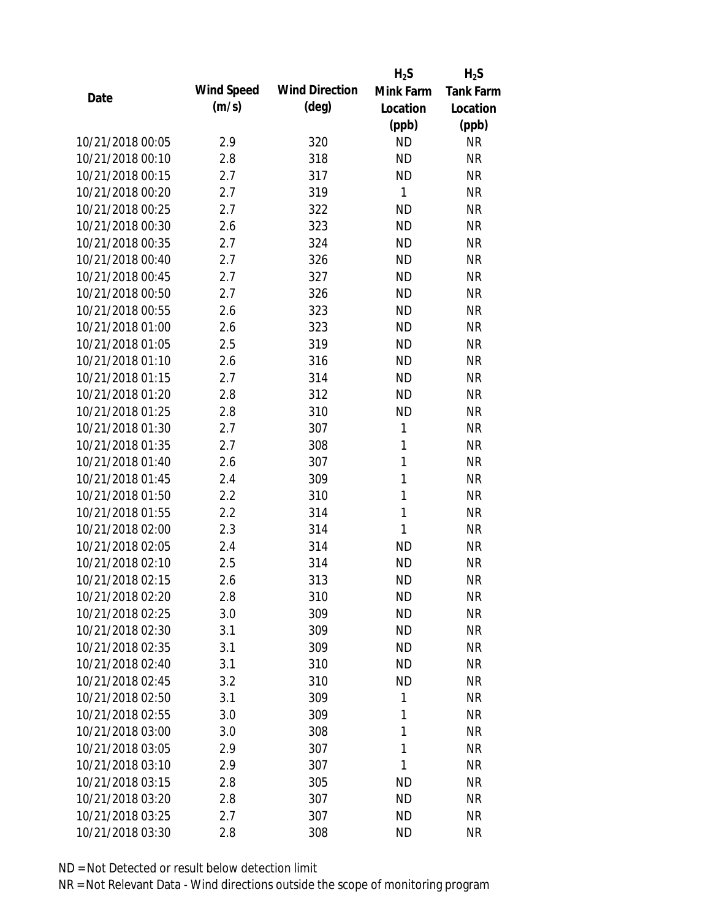|                  |            |                       | $H_2S$       | $H_2S$           |
|------------------|------------|-----------------------|--------------|------------------|
| Date             | Wind Speed | <b>Wind Direction</b> | Mink Farm    | <b>Tank Farm</b> |
|                  | (m/s)      | (deg)                 | Location     | Location         |
|                  |            |                       | (ppb)        | (ppb)            |
| 10/21/2018 00:05 | 2.9        | 320                   | <b>ND</b>    | <b>NR</b>        |
| 10/21/2018 00:10 | 2.8        | 318                   | <b>ND</b>    | <b>NR</b>        |
| 10/21/2018 00:15 | 2.7        | 317                   | <b>ND</b>    | <b>NR</b>        |
| 10/21/2018 00:20 | 2.7        | 319                   | $\mathbf{1}$ | <b>NR</b>        |
| 10/21/2018 00:25 | 2.7        | 322                   | <b>ND</b>    | <b>NR</b>        |
| 10/21/2018 00:30 | 2.6        | 323                   | <b>ND</b>    | <b>NR</b>        |
| 10/21/2018 00:35 | 2.7        | 324                   | <b>ND</b>    | <b>NR</b>        |
| 10/21/2018 00:40 | 2.7        | 326                   | <b>ND</b>    | <b>NR</b>        |
| 10/21/2018 00:45 | 2.7        | 327                   | <b>ND</b>    | <b>NR</b>        |
| 10/21/2018 00:50 | 2.7        | 326                   | <b>ND</b>    | <b>NR</b>        |
| 10/21/2018 00:55 | 2.6        | 323                   | <b>ND</b>    | <b>NR</b>        |
| 10/21/2018 01:00 | 2.6        | 323                   | <b>ND</b>    | <b>NR</b>        |
| 10/21/2018 01:05 | 2.5        | 319                   | <b>ND</b>    | <b>NR</b>        |
| 10/21/2018 01:10 | 2.6        | 316                   | <b>ND</b>    | <b>NR</b>        |
| 10/21/2018 01:15 | 2.7        | 314                   | <b>ND</b>    | <b>NR</b>        |
| 10/21/2018 01:20 | 2.8        | 312                   | <b>ND</b>    | <b>NR</b>        |
| 10/21/2018 01:25 | 2.8        | 310                   | <b>ND</b>    | <b>NR</b>        |
| 10/21/2018 01:30 | 2.7        | 307                   | 1            | <b>NR</b>        |
| 10/21/2018 01:35 | 2.7        | 308                   | 1            | <b>NR</b>        |
| 10/21/2018 01:40 | 2.6        | 307                   | 1            | <b>NR</b>        |
| 10/21/2018 01:45 | 2.4        | 309                   | $\mathbf{1}$ | <b>NR</b>        |
| 10/21/2018 01:50 | 2.2        | 310                   | $\mathbf{1}$ | <b>NR</b>        |
| 10/21/2018 01:55 | 2.2        | 314                   | $\mathbf{1}$ | <b>NR</b>        |
| 10/21/2018 02:00 | 2.3        | 314                   | 1            | <b>NR</b>        |
| 10/21/2018 02:05 | 2.4        | 314                   | <b>ND</b>    | <b>NR</b>        |
| 10/21/2018 02:10 | 2.5        | 314                   | <b>ND</b>    | <b>NR</b>        |
| 10/21/2018 02:15 | 2.6        | 313                   | <b>ND</b>    | <b>NR</b>        |
| 10/21/2018 02:20 | 2.8        | 310                   | <b>ND</b>    | <b>NR</b>        |
| 10/21/2018 02:25 | 3.0        | 309                   | <b>ND</b>    | <b>NR</b>        |
| 10/21/2018 02:30 | 3.1        | 309                   | <b>ND</b>    | <b>NR</b>        |
| 10/21/2018 02:35 | 3.1        | 309                   | <b>ND</b>    | NR               |
| 10/21/2018 02:40 | 3.1        | 310                   | <b>ND</b>    | NR               |
| 10/21/2018 02:45 | 3.2        | 310                   | <b>ND</b>    | NR               |
| 10/21/2018 02:50 | 3.1        | 309                   | 1            | <b>NR</b>        |
| 10/21/2018 02:55 | 3.0        | 309                   | 1            | <b>NR</b>        |
| 10/21/2018 03:00 | 3.0        | 308                   | 1            | <b>NR</b>        |
| 10/21/2018 03:05 | 2.9        | 307                   | 1            | <b>NR</b>        |
| 10/21/2018 03:10 | 2.9        | 307                   | 1            | <b>NR</b>        |
| 10/21/2018 03:15 | 2.8        | 305                   | <b>ND</b>    | <b>NR</b>        |
| 10/21/2018 03:20 | 2.8        | 307                   | <b>ND</b>    | <b>NR</b>        |
| 10/21/2018 03:25 | 2.7        | 307                   | <b>ND</b>    | NR               |
| 10/21/2018 03:30 | 2.8        | 308                   | <b>ND</b>    | <b>NR</b>        |
|                  |            |                       |              |                  |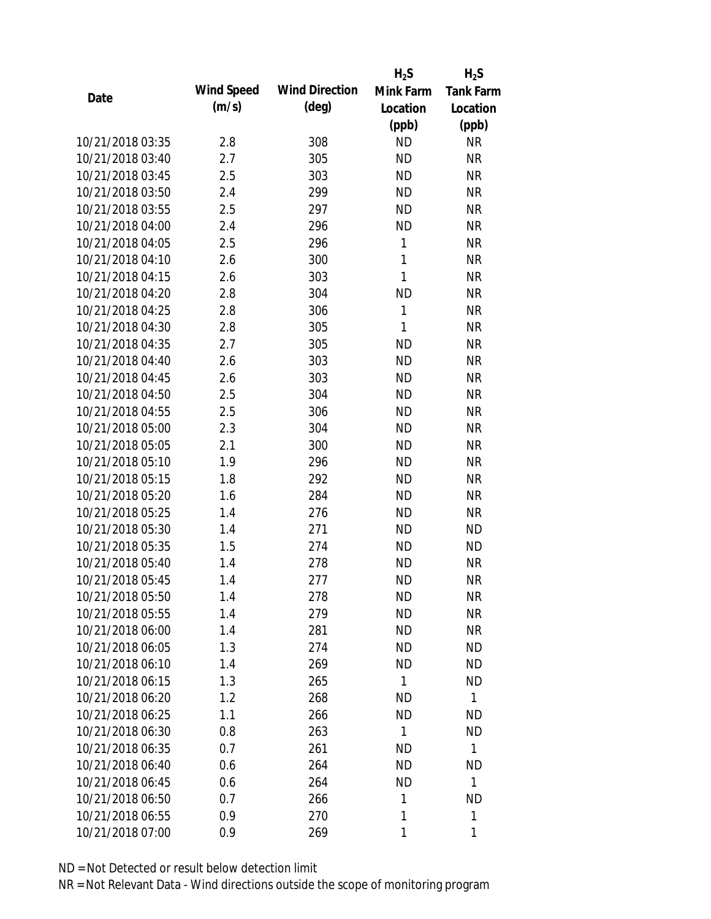|                  |            |                       | $H_2S$       | $H_2S$           |
|------------------|------------|-----------------------|--------------|------------------|
| Date             | Wind Speed | <b>Wind Direction</b> | Mink Farm    | <b>Tank Farm</b> |
|                  | (m/s)      | (deg)                 | Location     | Location         |
|                  |            |                       | (ppb)        | (ppb)            |
| 10/21/2018 03:35 | 2.8        | 308                   | <b>ND</b>    | <b>NR</b>        |
| 10/21/2018 03:40 | 2.7        | 305                   | <b>ND</b>    | <b>NR</b>        |
| 10/21/2018 03:45 | 2.5        | 303                   | <b>ND</b>    | <b>NR</b>        |
| 10/21/2018 03:50 | 2.4        | 299                   | <b>ND</b>    | <b>NR</b>        |
| 10/21/2018 03:55 | 2.5        | 297                   | <b>ND</b>    | <b>NR</b>        |
| 10/21/2018 04:00 | 2.4        | 296                   | <b>ND</b>    | <b>NR</b>        |
| 10/21/2018 04:05 | 2.5        | 296                   | $\mathbf{1}$ | <b>NR</b>        |
| 10/21/2018 04:10 | 2.6        | 300                   | 1            | <b>NR</b>        |
| 10/21/2018 04:15 | 2.6        | 303                   | $\mathbf{1}$ | <b>NR</b>        |
| 10/21/2018 04:20 | 2.8        | 304                   | <b>ND</b>    | <b>NR</b>        |
| 10/21/2018 04:25 | 2.8        | 306                   | $\mathbf{1}$ | <b>NR</b>        |
| 10/21/2018 04:30 | 2.8        | 305                   | $\mathbf{1}$ | <b>NR</b>        |
| 10/21/2018 04:35 | 2.7        | 305                   | <b>ND</b>    | <b>NR</b>        |
| 10/21/2018 04:40 | 2.6        | 303                   | <b>ND</b>    | <b>NR</b>        |
| 10/21/2018 04:45 | 2.6        | 303                   | <b>ND</b>    | <b>NR</b>        |
| 10/21/2018 04:50 | 2.5        | 304                   | <b>ND</b>    | <b>NR</b>        |
| 10/21/2018 04:55 | 2.5        | 306                   | <b>ND</b>    | <b>NR</b>        |
| 10/21/2018 05:00 | 2.3        | 304                   | <b>ND</b>    | <b>NR</b>        |
| 10/21/2018 05:05 | 2.1        | 300                   | <b>ND</b>    | <b>NR</b>        |
| 10/21/2018 05:10 | 1.9        | 296                   | <b>ND</b>    | <b>NR</b>        |
| 10/21/2018 05:15 | 1.8        | 292                   | <b>ND</b>    | <b>NR</b>        |
| 10/21/2018 05:20 | 1.6        | 284                   | <b>ND</b>    | <b>NR</b>        |
| 10/21/2018 05:25 | 1.4        | 276                   | <b>ND</b>    | <b>NR</b>        |
| 10/21/2018 05:30 | 1.4        | 271                   | <b>ND</b>    | <b>ND</b>        |
| 10/21/2018 05:35 | 1.5        | 274                   | <b>ND</b>    | <b>ND</b>        |
| 10/21/2018 05:40 | 1.4        | 278                   | <b>ND</b>    | <b>NR</b>        |
| 10/21/2018 05:45 | 1.4        | 277                   | <b>ND</b>    | <b>NR</b>        |
| 10/21/2018 05:50 | 1.4        | 278                   | <b>ND</b>    | <b>NR</b>        |
| 10/21/2018 05:55 | 1.4        | 279                   | <b>ND</b>    | <b>NR</b>        |
| 10/21/2018 06:00 | 1.4        | 281                   | <b>ND</b>    | <b>NR</b>        |
| 10/21/2018 06:05 | 1.3        | 274                   | <b>ND</b>    | <b>ND</b>        |
| 10/21/2018 06:10 | 1.4        | 269                   | <b>ND</b>    | <b>ND</b>        |
| 10/21/2018 06:15 | 1.3        | 265                   | 1            | <b>ND</b>        |
| 10/21/2018 06:20 | 1.2        | 268                   | <b>ND</b>    | 1                |
| 10/21/2018 06:25 | 1.1        | 266                   | <b>ND</b>    | <b>ND</b>        |
| 10/21/2018 06:30 | 0.8        | 263                   | $\mathbf{1}$ | <b>ND</b>        |
| 10/21/2018 06:35 | 0.7        | 261                   | ND           | $\mathbf{1}$     |
| 10/21/2018 06:40 | 0.6        | 264                   | <b>ND</b>    | <b>ND</b>        |
| 10/21/2018 06:45 | 0.6        | 264                   | <b>ND</b>    | 1                |
| 10/21/2018 06:50 | 0.7        | 266                   | 1            | <b>ND</b>        |
| 10/21/2018 06:55 | 0.9        | 270                   | 1            | 1                |
| 10/21/2018 07:00 | 0.9        | 269                   | 1            | 1                |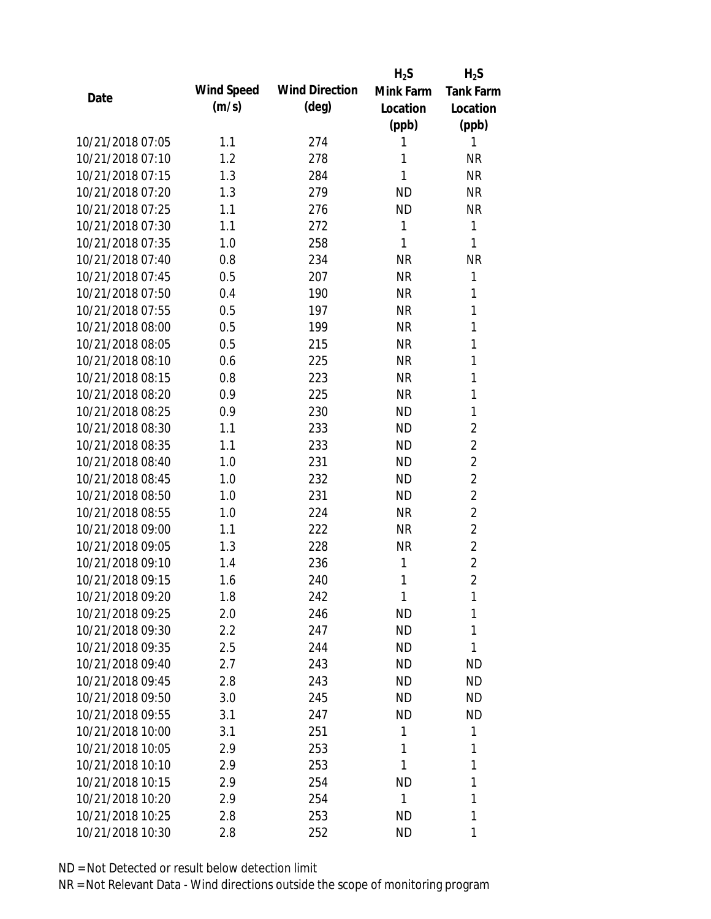|                  |            |                       | $H_2S$    | $H_2S$           |
|------------------|------------|-----------------------|-----------|------------------|
| Date             | Wind Speed | <b>Wind Direction</b> | Mink Farm | <b>Tank Farm</b> |
|                  | (m/s)      | $(\text{deg})$        | Location  | Location         |
|                  |            |                       | (ppb)     | (ppb)            |
| 10/21/2018 07:05 | 1.1        | 274                   | 1         | 1                |
| 10/21/2018 07:10 | 1.2        | 278                   | 1         | <b>NR</b>        |
| 10/21/2018 07:15 | 1.3        | 284                   | 1         | <b>NR</b>        |
| 10/21/2018 07:20 | 1.3        | 279                   | <b>ND</b> | <b>NR</b>        |
| 10/21/2018 07:25 | 1.1        | 276                   | <b>ND</b> | <b>NR</b>        |
| 10/21/2018 07:30 | 1.1        | 272                   | 1         | 1                |
| 10/21/2018 07:35 | 1.0        | 258                   | 1         | 1                |
| 10/21/2018 07:40 | 0.8        | 234                   | <b>NR</b> | <b>NR</b>        |
| 10/21/2018 07:45 | 0.5        | 207                   | <b>NR</b> | 1                |
| 10/21/2018 07:50 | 0.4        | 190                   | <b>NR</b> | 1                |
| 10/21/2018 07:55 | 0.5        | 197                   | <b>NR</b> | 1                |
| 10/21/2018 08:00 | 0.5        | 199                   | <b>NR</b> | 1                |
| 10/21/2018 08:05 | 0.5        | 215                   | <b>NR</b> | 1                |
| 10/21/2018 08:10 | 0.6        | 225                   | <b>NR</b> | 1                |
| 10/21/2018 08:15 | 0.8        | 223                   | <b>NR</b> | 1                |
| 10/21/2018 08:20 | 0.9        | 225                   | <b>NR</b> | 1                |
| 10/21/2018 08:25 | 0.9        | 230                   | <b>ND</b> | 1                |
| 10/21/2018 08:30 | 1.1        | 233                   | <b>ND</b> | $\overline{2}$   |
| 10/21/2018 08:35 | 1.1        | 233                   | <b>ND</b> | $\overline{2}$   |
| 10/21/2018 08:40 | 1.0        | 231                   | <b>ND</b> | $\overline{2}$   |
| 10/21/2018 08:45 | 1.0        | 232                   | <b>ND</b> | $\overline{2}$   |
| 10/21/2018 08:50 | 1.0        | 231                   | <b>ND</b> | $\overline{2}$   |
| 10/21/2018 08:55 | 1.0        | 224                   | <b>NR</b> | $\overline{2}$   |
| 10/21/2018 09:00 | 1.1        | 222                   | <b>NR</b> | $\overline{2}$   |
| 10/21/2018 09:05 | 1.3        | 228                   | <b>NR</b> | $\overline{2}$   |
| 10/21/2018 09:10 | 1.4        | 236                   | 1         | $\overline{2}$   |
| 10/21/2018 09:15 | 1.6        | 240                   | 1         | $\overline{2}$   |
| 10/21/2018 09:20 | 1.8        | 242                   | 1         | 1                |
| 10/21/2018 09:25 | 2.0        | 246                   | <b>ND</b> | 1                |
| 10/21/2018 09:30 | 2.2        | 247                   | <b>ND</b> | 1                |
| 10/21/2018 09:35 | 2.5        | 244                   | <b>ND</b> | 1                |
| 10/21/2018 09:40 | 2.7        | 243                   | <b>ND</b> | <b>ND</b>        |
| 10/21/2018 09:45 | 2.8        | 243                   | <b>ND</b> | <b>ND</b>        |
| 10/21/2018 09:50 | 3.0        | 245                   | <b>ND</b> | <b>ND</b>        |
| 10/21/2018 09:55 | 3.1        | 247                   | <b>ND</b> | <b>ND</b>        |
| 10/21/2018 10:00 | 3.1        | 251                   | 1         | 1                |
| 10/21/2018 10:05 | 2.9        | 253                   | 1         | 1                |
| 10/21/2018 10:10 | 2.9        | 253                   | 1         | 1                |
| 10/21/2018 10:15 | 2.9        | 254                   | <b>ND</b> | 1                |
| 10/21/2018 10:20 | 2.9        | 254                   | 1         | 1                |
| 10/21/2018 10:25 | 2.8        | 253                   | <b>ND</b> | 1                |
| 10/21/2018 10:30 | 2.8        | 252                   | <b>ND</b> | 1                |
|                  |            |                       |           |                  |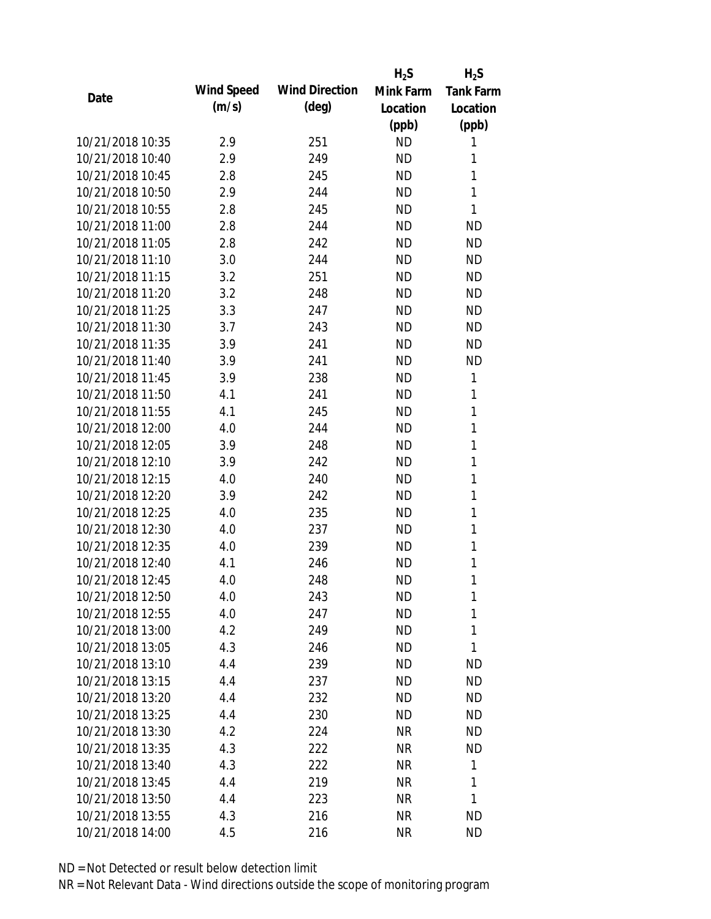|                  |            |                       | $H_2S$    | $H_2S$           |
|------------------|------------|-----------------------|-----------|------------------|
| Date             | Wind Speed | <b>Wind Direction</b> | Mink Farm | <b>Tank Farm</b> |
|                  | (m/s)      | $(\text{deg})$        | Location  | Location         |
|                  |            |                       | (ppb)     | (ppb)            |
| 10/21/2018 10:35 | 2.9        | 251                   | <b>ND</b> | 1                |
| 10/21/2018 10:40 | 2.9        | 249                   | <b>ND</b> | 1                |
| 10/21/2018 10:45 | 2.8        | 245                   | <b>ND</b> | 1                |
| 10/21/2018 10:50 | 2.9        | 244                   | <b>ND</b> | $\mathbf{1}$     |
| 10/21/2018 10:55 | 2.8        | 245                   | <b>ND</b> | 1                |
| 10/21/2018 11:00 | 2.8        | 244                   | <b>ND</b> | <b>ND</b>        |
| 10/21/2018 11:05 | 2.8        | 242                   | <b>ND</b> | <b>ND</b>        |
| 10/21/2018 11:10 | 3.0        | 244                   | <b>ND</b> | <b>ND</b>        |
| 10/21/2018 11:15 | 3.2        | 251                   | <b>ND</b> | <b>ND</b>        |
| 10/21/2018 11:20 | 3.2        | 248                   | <b>ND</b> | <b>ND</b>        |
| 10/21/2018 11:25 | 3.3        | 247                   | <b>ND</b> | <b>ND</b>        |
| 10/21/2018 11:30 | 3.7        | 243                   | <b>ND</b> | <b>ND</b>        |
| 10/21/2018 11:35 | 3.9        | 241                   | <b>ND</b> | <b>ND</b>        |
| 10/21/2018 11:40 | 3.9        | 241                   | <b>ND</b> | <b>ND</b>        |
| 10/21/2018 11:45 | 3.9        | 238                   | <b>ND</b> | 1                |
| 10/21/2018 11:50 | 4.1        | 241                   | <b>ND</b> | 1                |
| 10/21/2018 11:55 | 4.1        | 245                   | <b>ND</b> | 1                |
| 10/21/2018 12:00 | 4.0        | 244                   | <b>ND</b> | $\mathbf{1}$     |
| 10/21/2018 12:05 | 3.9        | 248                   | <b>ND</b> | 1                |
| 10/21/2018 12:10 | 3.9        | 242                   | <b>ND</b> | $\mathbf{1}$     |
| 10/21/2018 12:15 | 4.0        | 240                   | <b>ND</b> | 1                |
| 10/21/2018 12:20 | 3.9        | 242                   | <b>ND</b> | $\mathbf{1}$     |
| 10/21/2018 12:25 | 4.0        | 235                   | <b>ND</b> | $\mathbf{1}$     |
| 10/21/2018 12:30 | 4.0        | 237                   | <b>ND</b> | 1                |
| 10/21/2018 12:35 | 4.0        | 239                   | <b>ND</b> | 1                |
| 10/21/2018 12:40 | 4.1        | 246                   | <b>ND</b> | 1                |
| 10/21/2018 12:45 | 4.0        | 248                   | <b>ND</b> | 1                |
| 10/21/2018 12:50 | 4.0        | 243                   | ND        | 1                |
| 10/21/2018 12:55 | 4.0        | 247                   | <b>ND</b> | 1                |
| 10/21/2018 13:00 | 4.2        | 249                   | ND        | 1                |
| 10/21/2018 13:05 | 4.3        | 246                   | <b>ND</b> | 1                |
| 10/21/2018 13:10 | 4.4        | 239                   | ND        | ND               |
| 10/21/2018 13:15 | 4.4        | 237                   | ND        | <b>ND</b>        |
| 10/21/2018 13:20 | 4.4        | 232                   | <b>ND</b> | <b>ND</b>        |
| 10/21/2018 13:25 | 4.4        | 230                   | ND        | ND               |
| 10/21/2018 13:30 | 4.2        | 224                   | <b>NR</b> | <b>ND</b>        |
| 10/21/2018 13:35 | 4.3        | 222                   | <b>NR</b> | ND               |
| 10/21/2018 13:40 | 4.3        | 222                   | <b>NR</b> | 1                |
| 10/21/2018 13:45 | 4.4        | 219                   | <b>NR</b> | 1                |
| 10/21/2018 13:50 | 4.4        | 223                   | <b>NR</b> | 1                |
| 10/21/2018 13:55 | 4.3        | 216                   | <b>NR</b> | <b>ND</b>        |
| 10/21/2018 14:00 | 4.5        | 216                   | <b>NR</b> | <b>ND</b>        |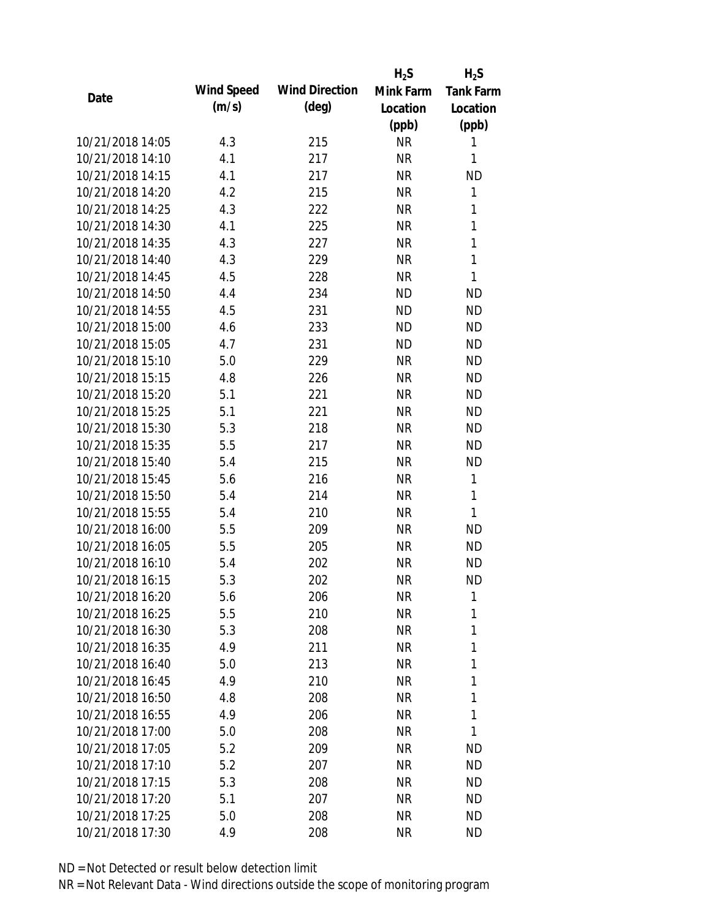|                  |            |                       | $H_2S$    | $H_2S$           |
|------------------|------------|-----------------------|-----------|------------------|
| Date             | Wind Speed | <b>Wind Direction</b> | Mink Farm | <b>Tank Farm</b> |
|                  | (m/s)      | $(\text{deg})$        | Location  | Location         |
|                  |            |                       | (ppb)     | (ppb)            |
| 10/21/2018 14:05 | 4.3        | 215                   | <b>NR</b> | 1                |
| 10/21/2018 14:10 | 4.1        | 217                   | <b>NR</b> | 1                |
| 10/21/2018 14:15 | 4.1        | 217                   | <b>NR</b> | <b>ND</b>        |
| 10/21/2018 14:20 | 4.2        | 215                   | <b>NR</b> | 1                |
| 10/21/2018 14:25 | 4.3        | 222                   | <b>NR</b> | 1                |
| 10/21/2018 14:30 | 4.1        | 225                   | <b>NR</b> | 1                |
| 10/21/2018 14:35 | 4.3        | 227                   | <b>NR</b> | 1                |
| 10/21/2018 14:40 | 4.3        | 229                   | <b>NR</b> | 1                |
| 10/21/2018 14:45 | 4.5        | 228                   | <b>NR</b> | $\mathbf{1}$     |
| 10/21/2018 14:50 | 4.4        | 234                   | <b>ND</b> | <b>ND</b>        |
| 10/21/2018 14:55 | 4.5        | 231                   | <b>ND</b> | <b>ND</b>        |
| 10/21/2018 15:00 | 4.6        | 233                   | <b>ND</b> | <b>ND</b>        |
| 10/21/2018 15:05 | 4.7        | 231                   | <b>ND</b> | <b>ND</b>        |
| 10/21/2018 15:10 | 5.0        | 229                   | <b>NR</b> | <b>ND</b>        |
| 10/21/2018 15:15 | 4.8        | 226                   | <b>NR</b> | <b>ND</b>        |
| 10/21/2018 15:20 | 5.1        | 221                   | <b>NR</b> | <b>ND</b>        |
| 10/21/2018 15:25 | 5.1        | 221                   | <b>NR</b> | <b>ND</b>        |
| 10/21/2018 15:30 | 5.3        | 218                   | <b>NR</b> | <b>ND</b>        |
| 10/21/2018 15:35 | 5.5        | 217                   | <b>NR</b> | <b>ND</b>        |
| 10/21/2018 15:40 | 5.4        | 215                   | <b>NR</b> | <b>ND</b>        |
| 10/21/2018 15:45 | 5.6        | 216                   | <b>NR</b> | 1                |
| 10/21/2018 15:50 | 5.4        | 214                   | <b>NR</b> | $\mathbf{1}$     |
| 10/21/2018 15:55 | 5.4        | 210                   | <b>NR</b> | 1                |
| 10/21/2018 16:00 | 5.5        | 209                   | <b>NR</b> | <b>ND</b>        |
| 10/21/2018 16:05 | 5.5        | 205                   | <b>NR</b> | <b>ND</b>        |
| 10/21/2018 16:10 | 5.4        | 202                   | <b>NR</b> | <b>ND</b>        |
| 10/21/2018 16:15 | 5.3        | 202                   | <b>NR</b> | <b>ND</b>        |
| 10/21/2018 16:20 | 5.6        | 206                   | <b>NR</b> | 1                |
| 10/21/2018 16:25 | 5.5        | 210                   | <b>NR</b> | 1                |
| 10/21/2018 16:30 | 5.3        | 208                   | <b>NR</b> | 1                |
| 10/21/2018 16:35 | 4.9        | 211                   | <b>NR</b> | 1                |
| 10/21/2018 16:40 | 5.0        | 213                   | <b>NR</b> | 1                |
| 10/21/2018 16:45 | 4.9        | 210                   | <b>NR</b> | 1                |
| 10/21/2018 16:50 | 4.8        | 208                   | <b>NR</b> | 1                |
| 10/21/2018 16:55 | 4.9        | 206                   | <b>NR</b> | 1                |
| 10/21/2018 17:00 | 5.0        | 208                   | <b>NR</b> | 1                |
| 10/21/2018 17:05 | 5.2        | 209                   | <b>NR</b> | <b>ND</b>        |
| 10/21/2018 17:10 | 5.2        | 207                   | <b>NR</b> | <b>ND</b>        |
| 10/21/2018 17:15 | 5.3        | 208                   | <b>NR</b> | <b>ND</b>        |
| 10/21/2018 17:20 | 5.1        | 207                   | <b>NR</b> | <b>ND</b>        |
| 10/21/2018 17:25 | 5.0        | 208                   | <b>NR</b> | <b>ND</b>        |
| 10/21/2018 17:30 | 4.9        | 208                   | <b>NR</b> | <b>ND</b>        |
|                  |            |                       |           |                  |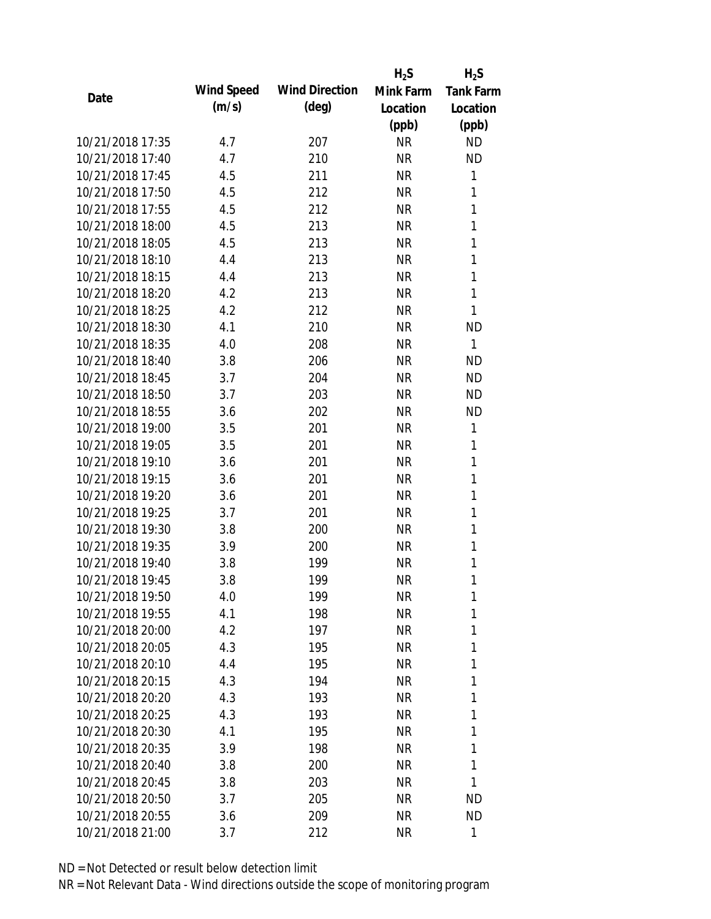|                  |            |                       | $H_2S$    | $H_2S$           |
|------------------|------------|-----------------------|-----------|------------------|
| Date             | Wind Speed | <b>Wind Direction</b> | Mink Farm | <b>Tank Farm</b> |
|                  | (m/s)      | $(\text{deg})$        | Location  | Location         |
|                  |            |                       | (ppb)     | (ppb)            |
| 10/21/2018 17:35 | 4.7        | 207                   | <b>NR</b> | <b>ND</b>        |
| 10/21/2018 17:40 | 4.7        | 210                   | <b>NR</b> | <b>ND</b>        |
| 10/21/2018 17:45 | 4.5        | 211                   | <b>NR</b> | 1                |
| 10/21/2018 17:50 | 4.5        | 212                   | <b>NR</b> | 1                |
| 10/21/2018 17:55 | 4.5        | 212                   | <b>NR</b> | 1                |
| 10/21/2018 18:00 | 4.5        | 213                   | <b>NR</b> | $\mathbf{1}$     |
| 10/21/2018 18:05 | 4.5        | 213                   | <b>NR</b> | 1                |
| 10/21/2018 18:10 | 4.4        | 213                   | <b>NR</b> | $\mathbf{1}$     |
| 10/21/2018 18:15 | 4.4        | 213                   | <b>NR</b> | $\mathbf{1}$     |
| 10/21/2018 18:20 | 4.2        | 213                   | <b>NR</b> | 1                |
| 10/21/2018 18:25 | 4.2        | 212                   | <b>NR</b> | 1                |
| 10/21/2018 18:30 | 4.1        | 210                   | <b>NR</b> | <b>ND</b>        |
| 10/21/2018 18:35 | 4.0        | 208                   | <b>NR</b> | $\mathbf{1}$     |
| 10/21/2018 18:40 | 3.8        | 206                   | <b>NR</b> | <b>ND</b>        |
| 10/21/2018 18:45 | 3.7        | 204                   | <b>NR</b> | <b>ND</b>        |
| 10/21/2018 18:50 | 3.7        | 203                   | <b>NR</b> | <b>ND</b>        |
| 10/21/2018 18:55 | 3.6        | 202                   | <b>NR</b> | <b>ND</b>        |
| 10/21/2018 19:00 | 3.5        | 201                   | <b>NR</b> | 1                |
| 10/21/2018 19:05 | 3.5        | 201                   | <b>NR</b> | 1                |
| 10/21/2018 19:10 | 3.6        | 201                   | <b>NR</b> | 1                |
| 10/21/2018 19:15 | 3.6        | 201                   | <b>NR</b> | 1                |
| 10/21/2018 19:20 | 3.6        | 201                   | <b>NR</b> | 1                |
| 10/21/2018 19:25 | 3.7        | 201                   | <b>NR</b> | 1                |
| 10/21/2018 19:30 | 3.8        | 200                   | <b>NR</b> | 1                |
| 10/21/2018 19:35 | 3.9        | 200                   | <b>NR</b> | 1                |
| 10/21/2018 19:40 | 3.8        | 199                   | <b>NR</b> | 1                |
| 10/21/2018 19:45 | 3.8        | 199                   | <b>NR</b> | 1                |
| 10/21/2018 19:50 | 4.0        | 199                   | <b>NR</b> | 1                |
| 10/21/2018 19:55 | 4.1        | 198                   | <b>NR</b> | 1                |
| 10/21/2018 20:00 | 4.2        | 197                   | <b>NR</b> | 1                |
| 10/21/2018 20:05 | 4.3        | 195                   | <b>NR</b> | 1                |
| 10/21/2018 20:10 | 4.4        | 195                   | <b>NR</b> | 1                |
| 10/21/2018 20:15 | 4.3        | 194                   | <b>NR</b> | 1                |
| 10/21/2018 20:20 | 4.3        | 193                   | <b>NR</b> | 1                |
| 10/21/2018 20:25 | 4.3        | 193                   | <b>NR</b> | 1                |
| 10/21/2018 20:30 | 4.1        | 195                   | <b>NR</b> | 1                |
| 10/21/2018 20:35 | 3.9        | 198                   | <b>NR</b> | 1                |
| 10/21/2018 20:40 | 3.8        | 200                   | NR        | 1                |
| 10/21/2018 20:45 | 3.8        | 203                   | <b>NR</b> | 1                |
| 10/21/2018 20:50 | 3.7        | 205                   | <b>NR</b> | ND               |
| 10/21/2018 20:55 | 3.6        | 209                   | <b>NR</b> | <b>ND</b>        |
| 10/21/2018 21:00 | 3.7        | 212                   | <b>NR</b> | $\mathbf{1}$     |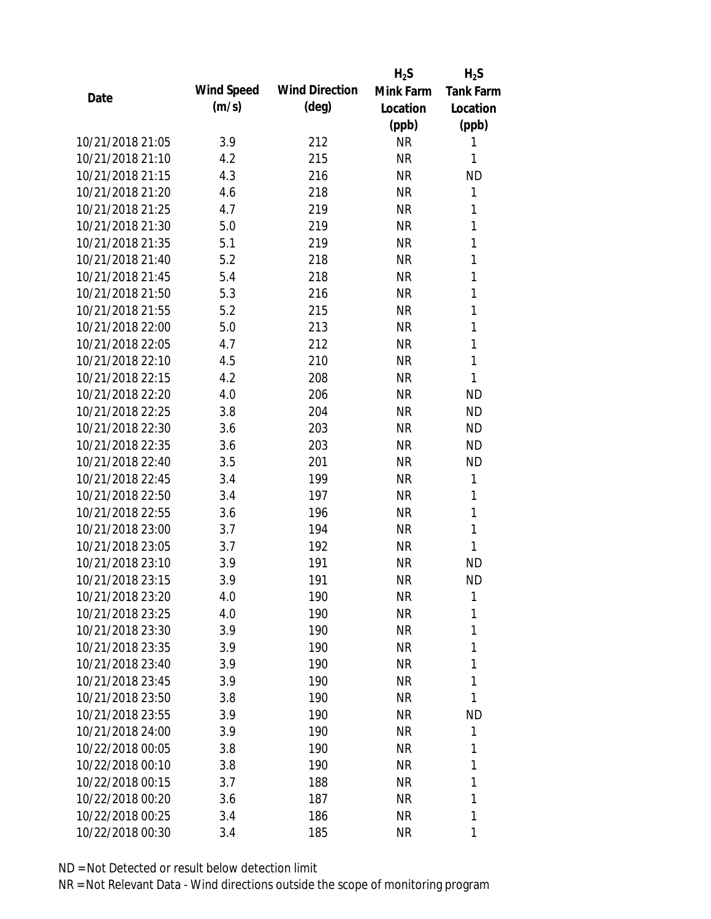|                  |            |                       | $H_2S$    | $H_2S$           |
|------------------|------------|-----------------------|-----------|------------------|
| Date             | Wind Speed | <b>Wind Direction</b> | Mink Farm | <b>Tank Farm</b> |
|                  | (m/s)      | $(\text{deg})$        | Location  | Location         |
|                  |            |                       | (ppb)     | (ppb)            |
| 10/21/2018 21:05 | 3.9        | 212                   | <b>NR</b> | 1                |
| 10/21/2018 21:10 | 4.2        | 215                   | <b>NR</b> | 1                |
| 10/21/2018 21:15 | 4.3        | 216                   | <b>NR</b> | <b>ND</b>        |
| 10/21/2018 21:20 | 4.6        | 218                   | <b>NR</b> | 1                |
| 10/21/2018 21:25 | 4.7        | 219                   | <b>NR</b> | 1                |
| 10/21/2018 21:30 | 5.0        | 219                   | <b>NR</b> | 1                |
| 10/21/2018 21:35 | 5.1        | 219                   | <b>NR</b> | 1                |
| 10/21/2018 21:40 | 5.2        | 218                   | <b>NR</b> | $\mathbf{1}$     |
| 10/21/2018 21:45 | 5.4        | 218                   | <b>NR</b> | $\mathbf{1}$     |
| 10/21/2018 21:50 | 5.3        | 216                   | <b>NR</b> | 1                |
| 10/21/2018 21:55 | 5.2        | 215                   | <b>NR</b> | 1                |
| 10/21/2018 22:00 | 5.0        | 213                   | <b>NR</b> | 1                |
| 10/21/2018 22:05 | 4.7        | 212                   | <b>NR</b> | $\mathbf{1}$     |
| 10/21/2018 22:10 | 4.5        | 210                   | <b>NR</b> | $\mathbf{1}$     |
| 10/21/2018 22:15 | 4.2        | 208                   | <b>NR</b> | 1                |
| 10/21/2018 22:20 | 4.0        | 206                   | <b>NR</b> | <b>ND</b>        |
| 10/21/2018 22:25 | 3.8        | 204                   | <b>NR</b> | <b>ND</b>        |
| 10/21/2018 22:30 | 3.6        | 203                   | <b>NR</b> | <b>ND</b>        |
| 10/21/2018 22:35 | 3.6        | 203                   | <b>NR</b> | <b>ND</b>        |
| 10/21/2018 22:40 | 3.5        | 201                   | <b>NR</b> | <b>ND</b>        |
| 10/21/2018 22:45 | 3.4        | 199                   | <b>NR</b> | 1                |
| 10/21/2018 22:50 | 3.4        | 197                   | <b>NR</b> | 1                |
| 10/21/2018 22:55 | 3.6        | 196                   | <b>NR</b> | 1                |
| 10/21/2018 23:00 | 3.7        | 194                   | <b>NR</b> | 1                |
| 10/21/2018 23:05 | 3.7        | 192                   | <b>NR</b> | 1                |
| 10/21/2018 23:10 | 3.9        | 191                   | <b>NR</b> | <b>ND</b>        |
| 10/21/2018 23:15 | 3.9        | 191                   | <b>NR</b> | <b>ND</b>        |
| 10/21/2018 23:20 | 4.0        | 190                   | <b>NR</b> | 1                |
| 10/21/2018 23:25 | 4.0        | 190                   | <b>NR</b> | 1                |
| 10/21/2018 23:30 | 3.9        | 190                   | <b>NR</b> | 1                |
| 10/21/2018 23:35 | 3.9        | 190                   | <b>NR</b> | 1                |
| 10/21/2018 23:40 | 3.9        | 190                   | <b>NR</b> | 1                |
| 10/21/2018 23:45 | 3.9        | 190                   | <b>NR</b> | 1                |
| 10/21/2018 23:50 | 3.8        | 190                   | <b>NR</b> | 1                |
| 10/21/2018 23:55 | 3.9        | 190                   | <b>NR</b> | <b>ND</b>        |
| 10/21/2018 24:00 | 3.9        | 190                   | <b>NR</b> | 1                |
| 10/22/2018 00:05 | 3.8        | 190                   | <b>NR</b> | 1                |
| 10/22/2018 00:10 | 3.8        | 190                   | NR        | 1                |
| 10/22/2018 00:15 | 3.7        | 188                   | <b>NR</b> | 1                |
| 10/22/2018 00:20 | 3.6        | 187                   | <b>NR</b> | 1                |
| 10/22/2018 00:25 | 3.4        | 186                   | <b>NR</b> | 1                |
| 10/22/2018 00:30 | 3.4        | 185                   | <b>NR</b> | 1                |
|                  |            |                       |           |                  |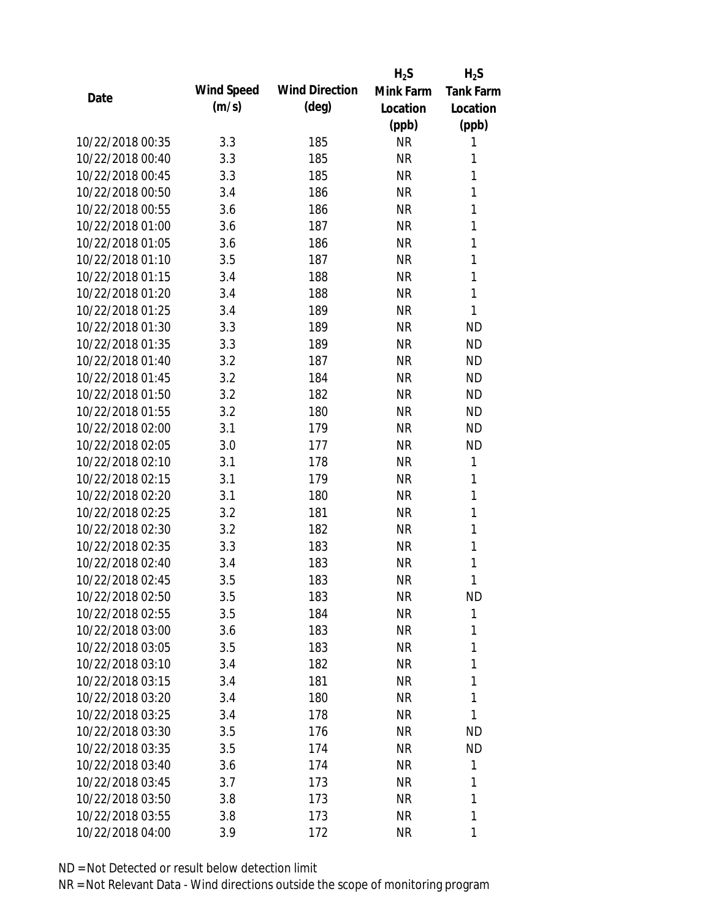|                  |            |                       | $H_2S$    | $H_2S$           |
|------------------|------------|-----------------------|-----------|------------------|
| Date             | Wind Speed | <b>Wind Direction</b> | Mink Farm | <b>Tank Farm</b> |
|                  | (m/s)      | $(\text{deg})$        | Location  | Location         |
|                  |            |                       | (ppb)     | (ppb)            |
| 10/22/2018 00:35 | 3.3        | 185                   | <b>NR</b> | 1                |
| 10/22/2018 00:40 | 3.3        | 185                   | <b>NR</b> | 1                |
| 10/22/2018 00:45 | 3.3        | 185                   | <b>NR</b> | 1                |
| 10/22/2018 00:50 | 3.4        | 186                   | <b>NR</b> | 1                |
| 10/22/2018 00:55 | 3.6        | 186                   | <b>NR</b> | 1                |
| 10/22/2018 01:00 | 3.6        | 187                   | <b>NR</b> | 1                |
| 10/22/2018 01:05 | 3.6        | 186                   | <b>NR</b> | 1                |
| 10/22/2018 01:10 | 3.5        | 187                   | <b>NR</b> | 1                |
| 10/22/2018 01:15 | 3.4        | 188                   | <b>NR</b> | 1                |
| 10/22/2018 01:20 | 3.4        | 188                   | <b>NR</b> | 1                |
| 10/22/2018 01:25 | 3.4        | 189                   | <b>NR</b> | 1                |
| 10/22/2018 01:30 | 3.3        | 189                   | <b>NR</b> | <b>ND</b>        |
| 10/22/2018 01:35 | 3.3        | 189                   | <b>NR</b> | <b>ND</b>        |
| 10/22/2018 01:40 | 3.2        | 187                   | <b>NR</b> | <b>ND</b>        |
| 10/22/2018 01:45 | 3.2        | 184                   | <b>NR</b> | <b>ND</b>        |
| 10/22/2018 01:50 | 3.2        | 182                   | <b>NR</b> | <b>ND</b>        |
| 10/22/2018 01:55 | 3.2        | 180                   | <b>NR</b> | <b>ND</b>        |
| 10/22/2018 02:00 | 3.1        | 179                   | <b>NR</b> | <b>ND</b>        |
| 10/22/2018 02:05 | 3.0        | 177                   | <b>NR</b> | <b>ND</b>        |
| 10/22/2018 02:10 | 3.1        | 178                   | <b>NR</b> | 1                |
| 10/22/2018 02:15 | 3.1        | 179                   | <b>NR</b> | 1                |
| 10/22/2018 02:20 | 3.1        | 180                   | <b>NR</b> | 1                |
| 10/22/2018 02:25 | 3.2        | 181                   | <b>NR</b> | 1                |
| 10/22/2018 02:30 | 3.2        | 182                   | <b>NR</b> | 1                |
| 10/22/2018 02:35 | 3.3        | 183                   | <b>NR</b> | 1                |
| 10/22/2018 02:40 | 3.4        | 183                   | <b>NR</b> | 1                |
| 10/22/2018 02:45 | 3.5        | 183                   | <b>NR</b> | 1                |
| 10/22/2018 02:50 | 3.5        | 183                   | <b>NR</b> | <b>ND</b>        |
| 10/22/2018 02:55 | 3.5        | 184                   | <b>NR</b> | 1                |
| 10/22/2018 03:00 | 3.6        | 183                   | NR        | 1                |
| 10/22/2018 03:05 | 3.5        | 183                   | <b>NR</b> | 1                |
| 10/22/2018 03:10 | 3.4        | 182                   | <b>NR</b> | 1                |
| 10/22/2018 03:15 | 3.4        | 181                   | NR        | 1                |
| 10/22/2018 03:20 | 3.4        | 180                   | NR        | 1                |
| 10/22/2018 03:25 | 3.4        | 178                   | NR        | 1                |
| 10/22/2018 03:30 | 3.5        | 176                   | <b>NR</b> | <b>ND</b>        |
| 10/22/2018 03:35 | 3.5        | 174                   | NR        | <b>ND</b>        |
| 10/22/2018 03:40 | 3.6        | 174                   | NR        | 1                |
| 10/22/2018 03:45 | 3.7        | 173                   | NR        | 1                |
| 10/22/2018 03:50 | 3.8        | 173                   | NR        | 1                |
| 10/22/2018 03:55 | 3.8        | 173                   | <b>NR</b> | 1                |
| 10/22/2018 04:00 | 3.9        | 172                   | <b>NR</b> | 1                |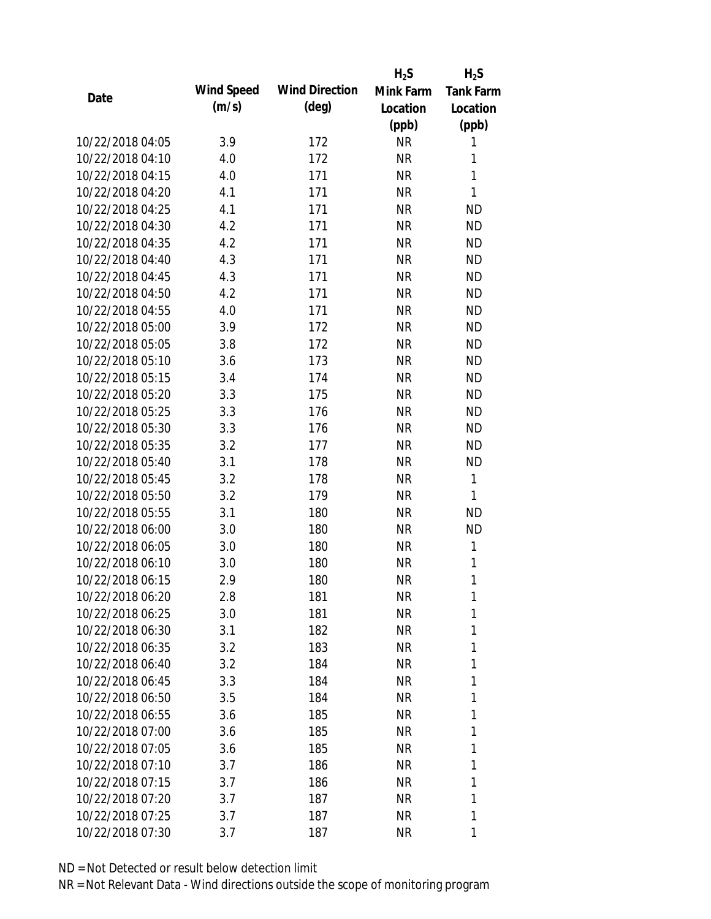|                  |            |                       | $H_2S$    | $H_2S$           |
|------------------|------------|-----------------------|-----------|------------------|
| Date             | Wind Speed | <b>Wind Direction</b> | Mink Farm | <b>Tank Farm</b> |
|                  | (m/s)      | (deg)                 | Location  | Location         |
|                  |            |                       | (ppb)     | (ppb)            |
| 10/22/2018 04:05 | 3.9        | 172                   | <b>NR</b> | 1                |
| 10/22/2018 04:10 | 4.0        | 172                   | <b>NR</b> | 1                |
| 10/22/2018 04:15 | 4.0        | 171                   | <b>NR</b> | 1                |
| 10/22/2018 04:20 | 4.1        | 171                   | <b>NR</b> | 1                |
| 10/22/2018 04:25 | 4.1        | 171                   | <b>NR</b> | <b>ND</b>        |
| 10/22/2018 04:30 | 4.2        | 171                   | <b>NR</b> | <b>ND</b>        |
| 10/22/2018 04:35 | 4.2        | 171                   | <b>NR</b> | <b>ND</b>        |
| 10/22/2018 04:40 | 4.3        | 171                   | <b>NR</b> | <b>ND</b>        |
| 10/22/2018 04:45 | 4.3        | 171                   | <b>NR</b> | <b>ND</b>        |
| 10/22/2018 04:50 | 4.2        | 171                   | <b>NR</b> | <b>ND</b>        |
| 10/22/2018 04:55 | 4.0        | 171                   | <b>NR</b> | <b>ND</b>        |
| 10/22/2018 05:00 | 3.9        | 172                   | <b>NR</b> | <b>ND</b>        |
| 10/22/2018 05:05 | 3.8        | 172                   | <b>NR</b> | <b>ND</b>        |
| 10/22/2018 05:10 | 3.6        | 173                   | <b>NR</b> | <b>ND</b>        |
| 10/22/2018 05:15 | 3.4        | 174                   | <b>NR</b> | <b>ND</b>        |
| 10/22/2018 05:20 | 3.3        | 175                   | <b>NR</b> | <b>ND</b>        |
| 10/22/2018 05:25 | 3.3        | 176                   | NR        | <b>ND</b>        |
| 10/22/2018 05:30 | 3.3        | 176                   | <b>NR</b> | <b>ND</b>        |
| 10/22/2018 05:35 | 3.2        | 177                   | <b>NR</b> | <b>ND</b>        |
| 10/22/2018 05:40 | 3.1        | 178                   | <b>NR</b> | <b>ND</b>        |
| 10/22/2018 05:45 | 3.2        | 178                   | <b>NR</b> | 1                |
| 10/22/2018 05:50 | 3.2        | 179                   | <b>NR</b> | 1                |
| 10/22/2018 05:55 | 3.1        | 180                   | <b>NR</b> | <b>ND</b>        |
| 10/22/2018 06:00 | 3.0        | 180                   | <b>NR</b> | <b>ND</b>        |
| 10/22/2018 06:05 | 3.0        | 180                   | <b>NR</b> | 1                |
| 10/22/2018 06:10 | 3.0        | 180                   | <b>NR</b> | 1                |
| 10/22/2018 06:15 | 2.9        | 180                   | <b>NR</b> | 1                |
| 10/22/2018 06:20 | 2.8        | 181                   | <b>NR</b> | 1                |
| 10/22/2018 06:25 | 3.0        | 181                   | <b>NR</b> | 1                |
| 10/22/2018 06:30 | 3.1        | 182                   | NR        | 1                |
| 10/22/2018 06:35 | 3.2        | 183                   | <b>NR</b> | 1                |
| 10/22/2018 06:40 | 3.2        | 184                   | <b>NR</b> | 1                |
| 10/22/2018 06:45 | 3.3        | 184                   | NR        | 1                |
| 10/22/2018 06:50 | 3.5        | 184                   | NR        | 1                |
| 10/22/2018 06:55 | 3.6        | 185                   | <b>NR</b> | 1                |
| 10/22/2018 07:00 | 3.6        | 185                   | <b>NR</b> | 1                |
| 10/22/2018 07:05 | 3.6        | 185                   | NR        | 1                |
| 10/22/2018 07:10 | 3.7        | 186                   | NR        | 1                |
| 10/22/2018 07:15 | 3.7        | 186                   | NR        | 1                |
| 10/22/2018 07:20 | 3.7        | 187                   | NR        | 1                |
| 10/22/2018 07:25 | 3.7        | 187                   | <b>NR</b> | 1                |
| 10/22/2018 07:30 | 3.7        | 187                   | <b>NR</b> | 1                |
|                  |            |                       |           |                  |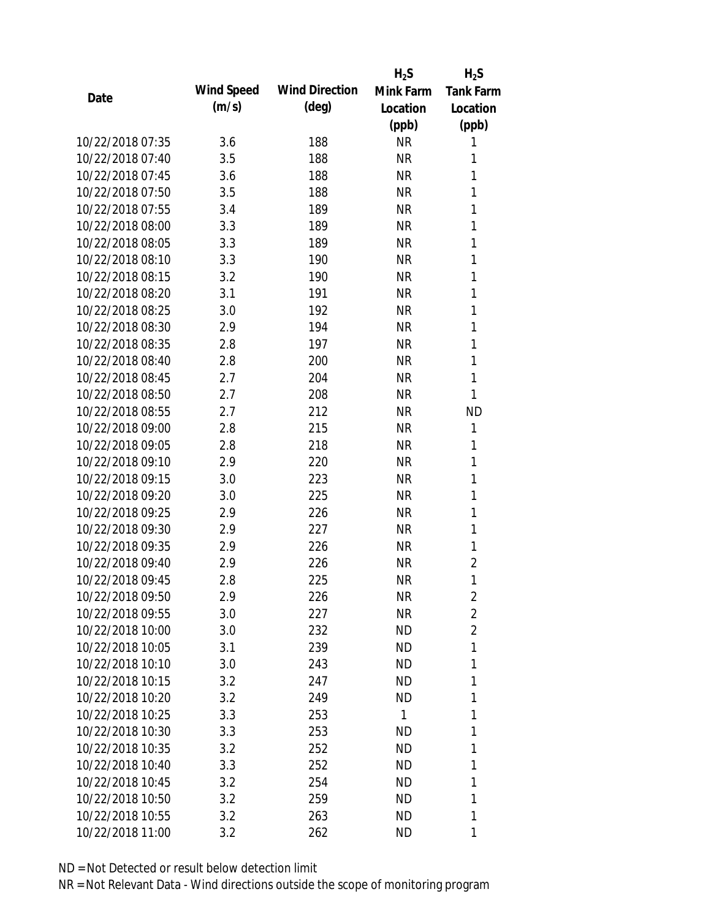|                  |            |                       | $H_2S$       | $H_2S$           |
|------------------|------------|-----------------------|--------------|------------------|
|                  | Wind Speed | <b>Wind Direction</b> | Mink Farm    | <b>Tank Farm</b> |
| Date             | (m/s)      | $(\text{deg})$        | Location     | Location         |
|                  |            |                       | (ppb)        | (ppb)            |
| 10/22/2018 07:35 | 3.6        | 188                   | <b>NR</b>    | 1                |
| 10/22/2018 07:40 | 3.5        | 188                   | <b>NR</b>    | 1                |
| 10/22/2018 07:45 | 3.6        | 188                   | <b>NR</b>    | 1                |
| 10/22/2018 07:50 | 3.5        | 188                   | <b>NR</b>    | 1                |
| 10/22/2018 07:55 | 3.4        | 189                   | <b>NR</b>    | 1                |
| 10/22/2018 08:00 | 3.3        | 189                   | <b>NR</b>    | 1                |
| 10/22/2018 08:05 | 3.3        | 189                   | <b>NR</b>    | 1                |
| 10/22/2018 08:10 | 3.3        | 190                   | <b>NR</b>    | 1                |
| 10/22/2018 08:15 | 3.2        | 190                   | <b>NR</b>    | 1                |
| 10/22/2018 08:20 | 3.1        | 191                   | <b>NR</b>    | 1                |
| 10/22/2018 08:25 | 3.0        | 192                   | <b>NR</b>    | 1                |
| 10/22/2018 08:30 | 2.9        | 194                   | <b>NR</b>    | 1                |
| 10/22/2018 08:35 | 2.8        | 197                   | <b>NR</b>    | 1                |
| 10/22/2018 08:40 | 2.8        | 200                   | <b>NR</b>    | 1                |
| 10/22/2018 08:45 | 2.7        | 204                   | <b>NR</b>    | 1                |
| 10/22/2018 08:50 | 2.7        | 208                   | <b>NR</b>    | 1                |
| 10/22/2018 08:55 | 2.7        | 212                   | <b>NR</b>    | <b>ND</b>        |
| 10/22/2018 09:00 | 2.8        | 215                   | <b>NR</b>    | 1                |
| 10/22/2018 09:05 | 2.8        | 218                   | <b>NR</b>    | 1                |
| 10/22/2018 09:10 | 2.9        | 220                   | <b>NR</b>    | 1                |
| 10/22/2018 09:15 | 3.0        | 223                   | <b>NR</b>    | 1                |
| 10/22/2018 09:20 | 3.0        | 225                   | <b>NR</b>    | 1                |
| 10/22/2018 09:25 | 2.9        | 226                   | <b>NR</b>    | 1                |
| 10/22/2018 09:30 | 2.9        | 227                   | <b>NR</b>    | 1                |
| 10/22/2018 09:35 | 2.9        | 226                   | <b>NR</b>    | 1                |
| 10/22/2018 09:40 | 2.9        | 226                   | <b>NR</b>    | $\overline{2}$   |
| 10/22/2018 09:45 | 2.8        | 225                   | <b>NR</b>    | 1                |
| 10/22/2018 09:50 | 2.9        | 226                   | <b>NR</b>    | $\overline{2}$   |
| 10/22/2018 09:55 | 3.0        | 227                   | <b>NR</b>    | $\overline{2}$   |
| 10/22/2018 10:00 | 3.0        | 232                   | ND           | 2                |
| 10/22/2018 10:05 | 3.1        | 239                   | ND           | 1                |
| 10/22/2018 10:10 | 3.0        | 243                   | <b>ND</b>    | 1                |
| 10/22/2018 10:15 | 3.2        | 247                   | <b>ND</b>    | 1                |
| 10/22/2018 10:20 | 3.2        | 249                   | <b>ND</b>    | 1                |
| 10/22/2018 10:25 | 3.3        | 253                   | $\mathbf{1}$ | 1                |
| 10/22/2018 10:30 | 3.3        | 253                   | <b>ND</b>    | 1                |
| 10/22/2018 10:35 | 3.2        | 252                   | ND           | 1                |
| 10/22/2018 10:40 | 3.3        | 252                   | ND           | 1                |
| 10/22/2018 10:45 | 3.2        | 254                   | <b>ND</b>    | 1                |
| 10/22/2018 10:50 | 3.2        | 259                   | ND           | 1                |
| 10/22/2018 10:55 | 3.2        | 263                   | <b>ND</b>    | 1                |
| 10/22/2018 11:00 | 3.2        | 262                   | ND           | 1                |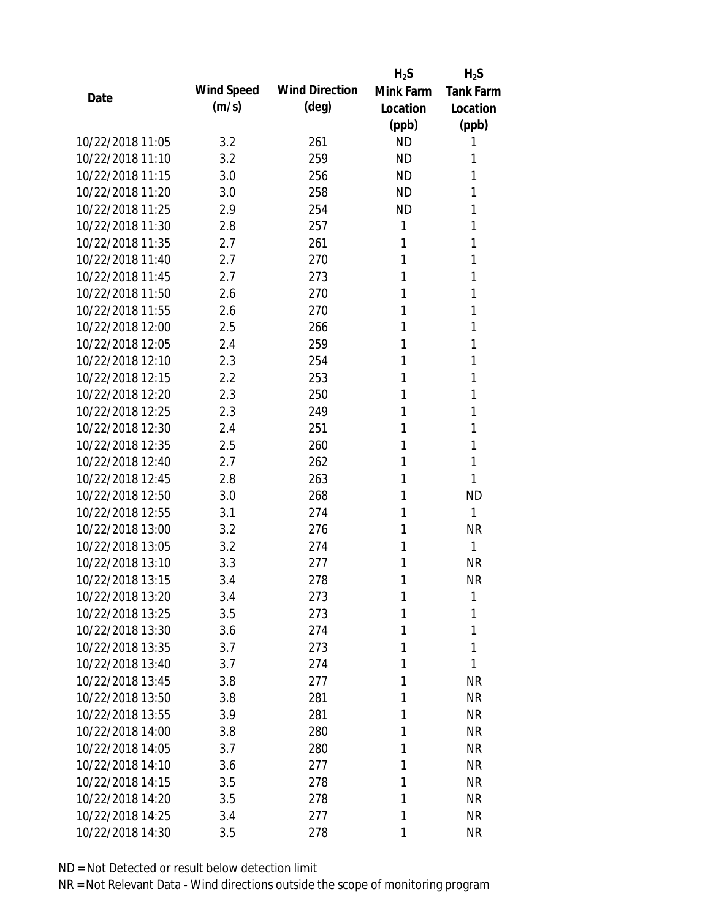|                  |            |                       | $H_2S$    | $H_2S$           |
|------------------|------------|-----------------------|-----------|------------------|
| Date             | Wind Speed | <b>Wind Direction</b> | Mink Farm | <b>Tank Farm</b> |
|                  | (m/s)      | $(\text{deg})$        | Location  | Location         |
|                  |            |                       | (ppb)     | (ppb)            |
| 10/22/2018 11:05 | 3.2        | 261                   | <b>ND</b> | 1                |
| 10/22/2018 11:10 | 3.2        | 259                   | <b>ND</b> | 1                |
| 10/22/2018 11:15 | 3.0        | 256                   | <b>ND</b> | 1                |
| 10/22/2018 11:20 | 3.0        | 258                   | <b>ND</b> | 1                |
| 10/22/2018 11:25 | 2.9        | 254                   | <b>ND</b> | 1                |
| 10/22/2018 11:30 | 2.8        | 257                   | 1         | 1                |
| 10/22/2018 11:35 | 2.7        | 261                   | 1         | 1                |
| 10/22/2018 11:40 | 2.7        | 270                   | 1         | 1                |
| 10/22/2018 11:45 | 2.7        | 273                   | 1         | 1                |
| 10/22/2018 11:50 | 2.6        | 270                   | 1         | 1                |
| 10/22/2018 11:55 | 2.6        | 270                   | 1         | 1                |
| 10/22/2018 12:00 | 2.5        | 266                   | 1         | 1                |
| 10/22/2018 12:05 | 2.4        | 259                   | 1         | 1                |
| 10/22/2018 12:10 | 2.3        | 254                   | 1         | 1                |
| 10/22/2018 12:15 | 2.2        | 253                   | 1         | 1                |
| 10/22/2018 12:20 | 2.3        | 250                   | 1         | 1                |
| 10/22/2018 12:25 | 2.3        | 249                   | 1         | 1                |
| 10/22/2018 12:30 | 2.4        | 251                   | 1         | 1                |
| 10/22/2018 12:35 | 2.5        | 260                   | 1         | 1                |
| 10/22/2018 12:40 | 2.7        | 262                   | 1         | 1                |
| 10/22/2018 12:45 | 2.8        | 263                   | 1         | 1                |
| 10/22/2018 12:50 | 3.0        | 268                   | 1         | <b>ND</b>        |
| 10/22/2018 12:55 | 3.1        | 274                   | 1         | 1                |
| 10/22/2018 13:00 | 3.2        | 276                   | 1         | <b>NR</b>        |
| 10/22/2018 13:05 | 3.2        | 274                   | 1         | 1                |
| 10/22/2018 13:10 | 3.3        | 277                   | 1         | <b>NR</b>        |
| 10/22/2018 13:15 | 3.4        | 278                   | 1         | <b>NR</b>        |
| 10/22/2018 13:20 | 3.4        | 273                   | 1         | 1                |
| 10/22/2018 13:25 | 3.5        | 273                   | 1         | 1                |
| 10/22/2018 13:30 | 3.6        | 274                   | 1         | 1                |
| 10/22/2018 13:35 | 3.7        | 273                   | 1         | 1                |
| 10/22/2018 13:40 | 3.7        | 274                   | 1         | 1                |
| 10/22/2018 13:45 | 3.8        | 277                   | 1         | <b>NR</b>        |
| 10/22/2018 13:50 | 3.8        | 281                   | 1         | <b>NR</b>        |
| 10/22/2018 13:55 | 3.9        | 281                   | 1         | <b>NR</b>        |
| 10/22/2018 14:00 | 3.8        | 280                   | 1         | <b>NR</b>        |
| 10/22/2018 14:05 | 3.7        | 280                   | 1         | <b>NR</b>        |
| 10/22/2018 14:10 | 3.6        | 277                   | 1         | <b>NR</b>        |
| 10/22/2018 14:15 | 3.5        | 278                   | 1         | <b>NR</b>        |
| 10/22/2018 14:20 | 3.5        | 278                   | 1         | <b>NR</b>        |
| 10/22/2018 14:25 | 3.4        | 277                   | 1         | <b>NR</b>        |
| 10/22/2018 14:30 | 3.5        | 278                   | 1         | <b>NR</b>        |
|                  |            |                       |           |                  |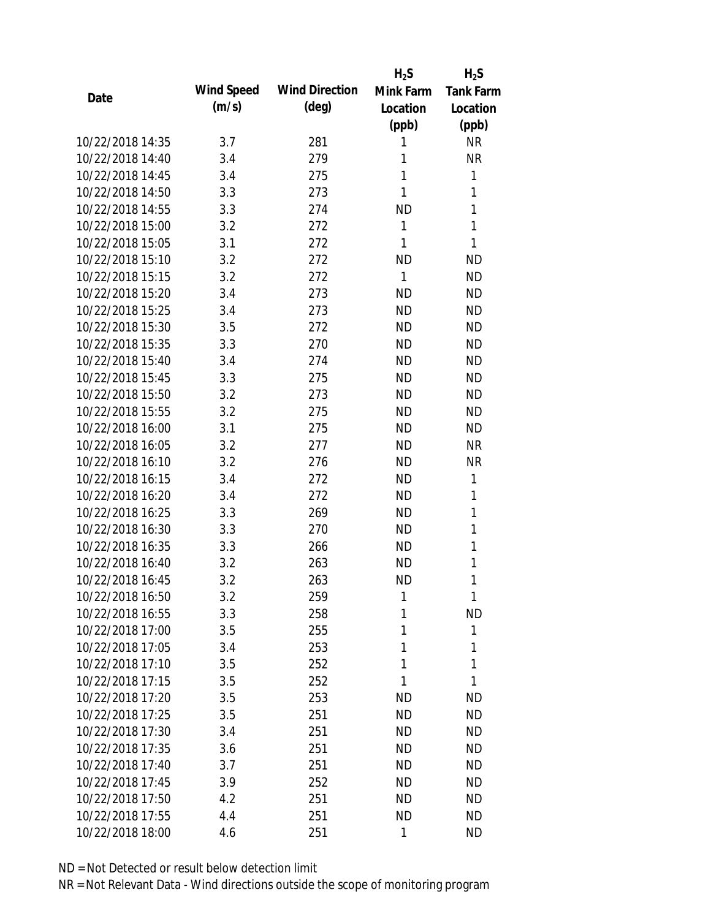|                  |            |                       | $H_2S$    | $H_2S$           |
|------------------|------------|-----------------------|-----------|------------------|
| Date             | Wind Speed | <b>Wind Direction</b> | Mink Farm | <b>Tank Farm</b> |
|                  | (m/s)      | $(\text{deg})$        | Location  | Location         |
|                  |            |                       | (ppb)     | (ppb)            |
| 10/22/2018 14:35 | 3.7        | 281                   | 1         | <b>NR</b>        |
| 10/22/2018 14:40 | 3.4        | 279                   | 1         | <b>NR</b>        |
| 10/22/2018 14:45 | 3.4        | 275                   | 1         | 1                |
| 10/22/2018 14:50 | 3.3        | 273                   | 1         | 1                |
| 10/22/2018 14:55 | 3.3        | 274                   | <b>ND</b> | 1                |
| 10/22/2018 15:00 | 3.2        | 272                   | 1         | 1                |
| 10/22/2018 15:05 | 3.1        | 272                   | 1         | 1                |
| 10/22/2018 15:10 | 3.2        | 272                   | <b>ND</b> | <b>ND</b>        |
| 10/22/2018 15:15 | 3.2        | 272                   | 1         | <b>ND</b>        |
| 10/22/2018 15:20 | 3.4        | 273                   | <b>ND</b> | <b>ND</b>        |
| 10/22/2018 15:25 | 3.4        | 273                   | <b>ND</b> | <b>ND</b>        |
| 10/22/2018 15:30 | 3.5        | 272                   | <b>ND</b> | <b>ND</b>        |
| 10/22/2018 15:35 | 3.3        | 270                   | <b>ND</b> | <b>ND</b>        |
| 10/22/2018 15:40 | 3.4        | 274                   | <b>ND</b> | <b>ND</b>        |
| 10/22/2018 15:45 | 3.3        | 275                   | <b>ND</b> | <b>ND</b>        |
| 10/22/2018 15:50 | 3.2        | 273                   | <b>ND</b> | <b>ND</b>        |
| 10/22/2018 15:55 | 3.2        | 275                   | <b>ND</b> | <b>ND</b>        |
| 10/22/2018 16:00 | 3.1        | 275                   | <b>ND</b> | <b>ND</b>        |
| 10/22/2018 16:05 | 3.2        | 277                   | <b>ND</b> | <b>NR</b>        |
| 10/22/2018 16:10 | 3.2        | 276                   | <b>ND</b> | <b>NR</b>        |
| 10/22/2018 16:15 | 3.4        | 272                   | <b>ND</b> | 1                |
| 10/22/2018 16:20 | 3.4        | 272                   | <b>ND</b> | 1                |
| 10/22/2018 16:25 | 3.3        | 269                   | <b>ND</b> | 1                |
| 10/22/2018 16:30 | 3.3        | 270                   | <b>ND</b> | 1                |
| 10/22/2018 16:35 | 3.3        | 266                   | <b>ND</b> | 1                |
| 10/22/2018 16:40 | 3.2        | 263                   | <b>ND</b> | 1                |
| 10/22/2018 16:45 | 3.2        | 263                   | <b>ND</b> | 1                |
| 10/22/2018 16:50 | 3.2        | 259                   | 1         | 1                |
| 10/22/2018 16:55 | 3.3        | 258                   | 1         | <b>ND</b>        |
| 10/22/2018 17:00 | 3.5        | 255                   | 1         | 1                |
| 10/22/2018 17:05 | 3.4        | 253                   | 1         | 1                |
| 10/22/2018 17:10 | 3.5        | 252                   | 1         | 1                |
| 10/22/2018 17:15 | 3.5        | 252                   | 1         | 1                |
| 10/22/2018 17:20 | 3.5        | 253                   | <b>ND</b> | <b>ND</b>        |
| 10/22/2018 17:25 | 3.5        | 251                   | <b>ND</b> | <b>ND</b>        |
| 10/22/2018 17:30 | 3.4        | 251                   | <b>ND</b> | <b>ND</b>        |
| 10/22/2018 17:35 | 3.6        | 251                   | ND.       | <b>ND</b>        |
| 10/22/2018 17:40 | 3.7        | 251                   | <b>ND</b> | <b>ND</b>        |
| 10/22/2018 17:45 | 3.9        | 252                   | <b>ND</b> | <b>ND</b>        |
| 10/22/2018 17:50 | 4.2        | 251                   | <b>ND</b> | <b>ND</b>        |
| 10/22/2018 17:55 | 4.4        | 251                   | <b>ND</b> | <b>ND</b>        |
| 10/22/2018 18:00 | 4.6        | 251                   | 1         | <b>ND</b>        |
|                  |            |                       |           |                  |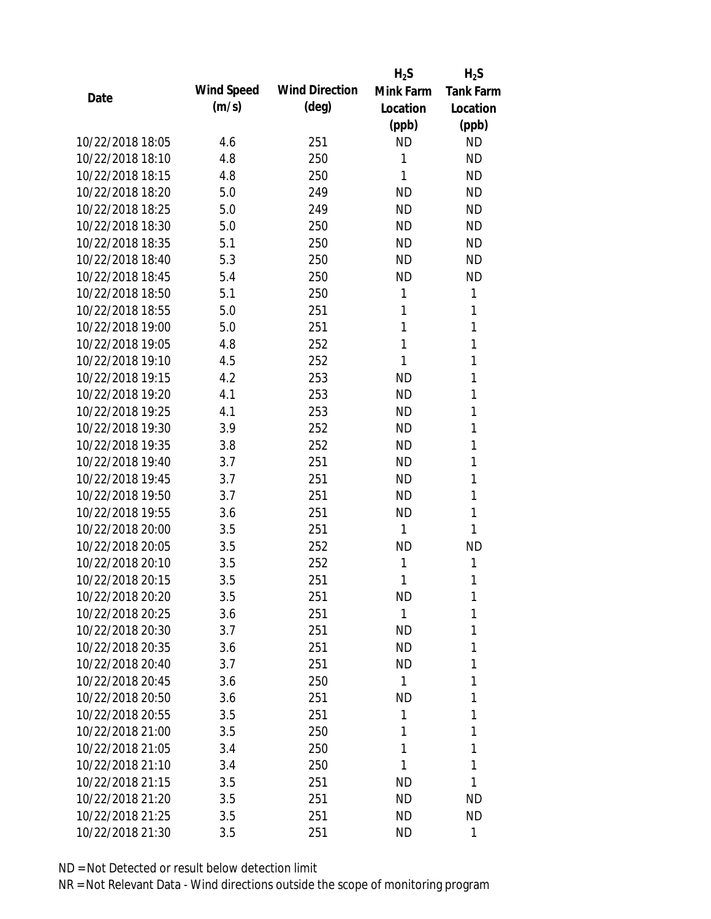|                  |            |                       | $H_2S$    | $H_2S$           |
|------------------|------------|-----------------------|-----------|------------------|
| Date             | Wind Speed | <b>Wind Direction</b> | Mink Farm | <b>Tank Farm</b> |
|                  | (m/s)      | $(\text{deg})$        | Location  | Location         |
|                  |            |                       | (ppb)     | (ppb)            |
| 10/22/2018 18:05 | 4.6        | 251                   | <b>ND</b> | <b>ND</b>        |
| 10/22/2018 18:10 | 4.8        | 250                   | 1         | <b>ND</b>        |
| 10/22/2018 18:15 | 4.8        | 250                   | 1         | <b>ND</b>        |
| 10/22/2018 18:20 | 5.0        | 249                   | <b>ND</b> | <b>ND</b>        |
| 10/22/2018 18:25 | 5.0        | 249                   | <b>ND</b> | <b>ND</b>        |
| 10/22/2018 18:30 | 5.0        | 250                   | <b>ND</b> | <b>ND</b>        |
| 10/22/2018 18:35 | 5.1        | 250                   | <b>ND</b> | <b>ND</b>        |
| 10/22/2018 18:40 | 5.3        | 250                   | <b>ND</b> | <b>ND</b>        |
| 10/22/2018 18:45 | 5.4        | 250                   | <b>ND</b> | <b>ND</b>        |
| 10/22/2018 18:50 | 5.1        | 250                   | 1         | 1                |
| 10/22/2018 18:55 | 5.0        | 251                   | 1         | 1                |
| 10/22/2018 19:00 | 5.0        | 251                   | 1         | 1                |
| 10/22/2018 19:05 | 4.8        | 252                   | 1         | 1                |
| 10/22/2018 19:10 | 4.5        | 252                   | 1         | 1                |
| 10/22/2018 19:15 | 4.2        | 253                   | <b>ND</b> | 1                |
| 10/22/2018 19:20 | 4.1        | 253                   | <b>ND</b> | 1                |
| 10/22/2018 19:25 | 4.1        | 253                   | <b>ND</b> | 1                |
| 10/22/2018 19:30 | 3.9        | 252                   | <b>ND</b> | 1                |
| 10/22/2018 19:35 | 3.8        | 252                   | <b>ND</b> | 1                |
| 10/22/2018 19:40 | 3.7        | 251                   | <b>ND</b> | 1                |
| 10/22/2018 19:45 | 3.7        | 251                   | <b>ND</b> | 1                |
| 10/22/2018 19:50 | 3.7        | 251                   | <b>ND</b> | 1                |
| 10/22/2018 19:55 | 3.6        | 251                   | <b>ND</b> | 1                |
| 10/22/2018 20:00 | 3.5        | 251                   | 1         | 1                |
| 10/22/2018 20:05 | 3.5        | 252                   | <b>ND</b> | <b>ND</b>        |
| 10/22/2018 20:10 | 3.5        | 252                   | 1         | 1                |
| 10/22/2018 20:15 | 3.5        | 251                   | 1         | 1                |
| 10/22/2018 20:20 | 3.5        | 251                   | ND        | 1                |
| 10/22/2018 20:25 | 3.6        | 251                   | 1         | 1                |
| 10/22/2018 20:30 | 3.7        | 251                   | ND        | 1                |
| 10/22/2018 20:35 | 3.6        | 251                   | <b>ND</b> | 1                |
| 10/22/2018 20:40 | 3.7        | 251                   | <b>ND</b> | 1                |
| 10/22/2018 20:45 | 3.6        | 250                   | 1         | 1                |
| 10/22/2018 20:50 | 3.6        | 251                   | <b>ND</b> | 1                |
| 10/22/2018 20:55 | 3.5        | 251                   | 1         | 1                |
| 10/22/2018 21:00 | 3.5        | 250                   | 1         | 1                |
| 10/22/2018 21:05 | 3.4        | 250                   | 1         | 1                |
| 10/22/2018 21:10 | 3.4        | 250                   | 1         | 1                |
| 10/22/2018 21:15 | 3.5        | 251                   | <b>ND</b> | 1                |
| 10/22/2018 21:20 | 3.5        | 251                   | ND        | <b>ND</b>        |
| 10/22/2018 21:25 | 3.5        | 251                   | ND        | <b>ND</b>        |
| 10/22/2018 21:30 | 3.5        | 251                   | ND        | 1                |
|                  |            |                       |           |                  |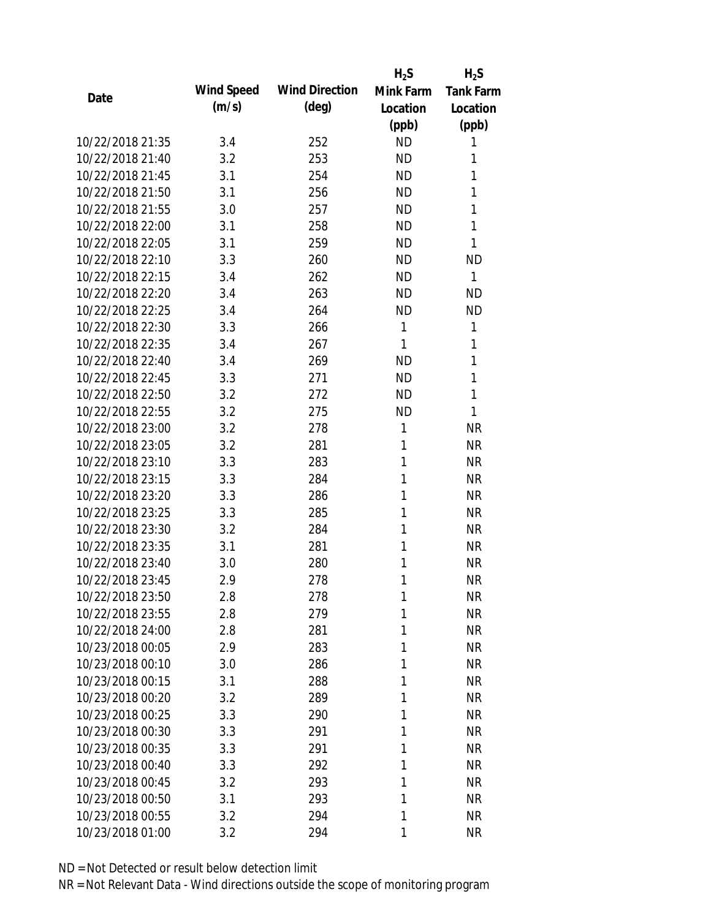|                  |            |                       | $H_2S$    | $H_2S$           |
|------------------|------------|-----------------------|-----------|------------------|
| Date             | Wind Speed | <b>Wind Direction</b> | Mink Farm | <b>Tank Farm</b> |
|                  | (m/s)      | $(\text{deg})$        | Location  | Location         |
|                  |            |                       | (ppb)     | (ppb)            |
| 10/22/2018 21:35 | 3.4        | 252                   | <b>ND</b> | 1                |
| 10/22/2018 21:40 | 3.2        | 253                   | <b>ND</b> | 1                |
| 10/22/2018 21:45 | 3.1        | 254                   | <b>ND</b> | 1                |
| 10/22/2018 21:50 | 3.1        | 256                   | <b>ND</b> | 1                |
| 10/22/2018 21:55 | 3.0        | 257                   | <b>ND</b> | 1                |
| 10/22/2018 22:00 | 3.1        | 258                   | <b>ND</b> | 1                |
| 10/22/2018 22:05 | 3.1        | 259                   | <b>ND</b> | 1                |
| 10/22/2018 22:10 | 3.3        | 260                   | <b>ND</b> | <b>ND</b>        |
| 10/22/2018 22:15 | 3.4        | 262                   | <b>ND</b> | 1                |
| 10/22/2018 22:20 | 3.4        | 263                   | <b>ND</b> | <b>ND</b>        |
| 10/22/2018 22:25 | 3.4        | 264                   | <b>ND</b> | <b>ND</b>        |
| 10/22/2018 22:30 | 3.3        | 266                   | 1         | 1                |
| 10/22/2018 22:35 | 3.4        | 267                   | 1         | 1                |
| 10/22/2018 22:40 | 3.4        | 269                   | <b>ND</b> | 1                |
| 10/22/2018 22:45 | 3.3        | 271                   | <b>ND</b> | 1                |
| 10/22/2018 22:50 | 3.2        | 272                   | <b>ND</b> | 1                |
| 10/22/2018 22:55 | 3.2        | 275                   | <b>ND</b> | 1                |
| 10/22/2018 23:00 | 3.2        | 278                   | 1         | <b>NR</b>        |
| 10/22/2018 23:05 | 3.2        | 281                   | 1         | <b>NR</b>        |
| 10/22/2018 23:10 | 3.3        | 283                   | 1         | <b>NR</b>        |
| 10/22/2018 23:15 | 3.3        | 284                   | 1         | <b>NR</b>        |
| 10/22/2018 23:20 | 3.3        | 286                   | 1         | <b>NR</b>        |
| 10/22/2018 23:25 | 3.3        | 285                   | 1         | <b>NR</b>        |
| 10/22/2018 23:30 | 3.2        | 284                   | 1         | <b>NR</b>        |
| 10/22/2018 23:35 | 3.1        | 281                   | 1         | <b>NR</b>        |
| 10/22/2018 23:40 | 3.0        | 280                   | 1         | <b>NR</b>        |
| 10/22/2018 23:45 | 2.9        | 278                   | 1         | <b>NR</b>        |
| 10/22/2018 23:50 | 2.8        | 278                   | 1         | <b>NR</b>        |
| 10/22/2018 23:55 | 2.8        | 279                   | 1         | <b>NR</b>        |
| 10/22/2018 24:00 | 2.8        | 281                   | 1         | <b>NR</b>        |
| 10/23/2018 00:05 | 2.9        | 283                   | 1         | <b>NR</b>        |
| 10/23/2018 00:10 | 3.0        | 286                   | 1         | <b>NR</b>        |
| 10/23/2018 00:15 | 3.1        | 288                   | 1         | <b>NR</b>        |
| 10/23/2018 00:20 | 3.2        | 289                   | 1         | <b>NR</b>        |
| 10/23/2018 00:25 | 3.3        | 290                   | 1         | <b>NR</b>        |
| 10/23/2018 00:30 | 3.3        | 291                   | 1         | <b>NR</b>        |
| 10/23/2018 00:35 | 3.3        | 291                   | 1         | <b>NR</b>        |
| 10/23/2018 00:40 | 3.3        | 292                   | 1         | <b>NR</b>        |
| 10/23/2018 00:45 | 3.2        | 293                   | 1         | <b>NR</b>        |
| 10/23/2018 00:50 | 3.1        | 293                   | 1         | <b>NR</b>        |
| 10/23/2018 00:55 | 3.2        | 294                   | 1         | <b>NR</b>        |
| 10/23/2018 01:00 | 3.2        | 294                   | 1         | <b>NR</b>        |
|                  |            |                       |           |                  |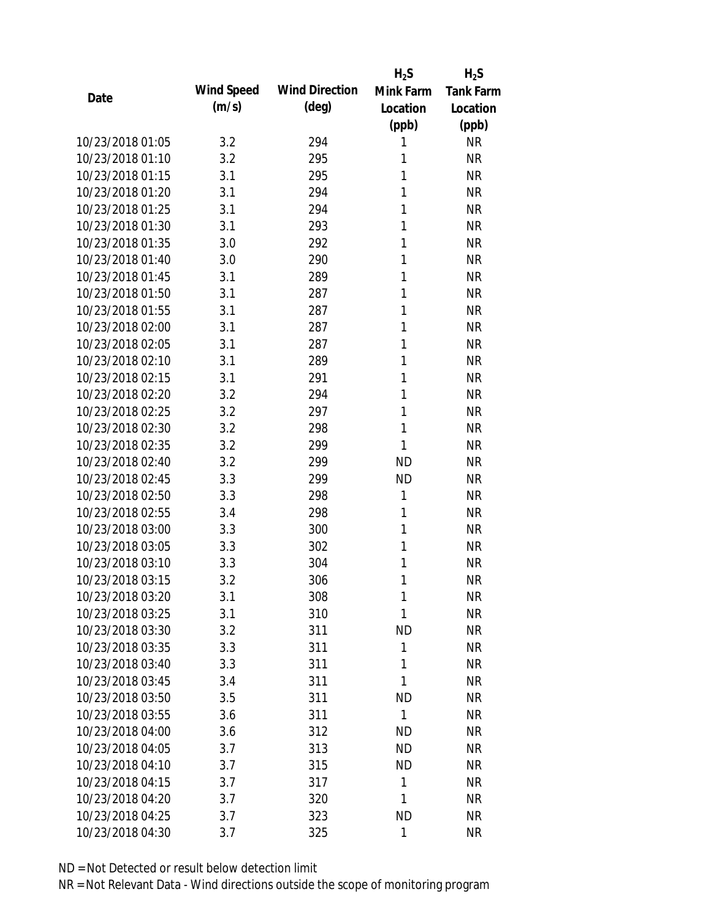|                  |            |                       | $H_2S$    | $H_2S$           |
|------------------|------------|-----------------------|-----------|------------------|
| Date             | Wind Speed | <b>Wind Direction</b> | Mink Farm | <b>Tank Farm</b> |
|                  | (m/s)      | $(\text{deg})$        | Location  | Location         |
|                  |            |                       | (ppb)     | (ppb)            |
| 10/23/2018 01:05 | 3.2        | 294                   | 1         | <b>NR</b>        |
| 10/23/2018 01:10 | 3.2        | 295                   | 1         | <b>NR</b>        |
| 10/23/2018 01:15 | 3.1        | 295                   | 1         | <b>NR</b>        |
| 10/23/2018 01:20 | 3.1        | 294                   | 1         | <b>NR</b>        |
| 10/23/2018 01:25 | 3.1        | 294                   | 1         | <b>NR</b>        |
| 10/23/2018 01:30 | 3.1        | 293                   | 1         | <b>NR</b>        |
| 10/23/2018 01:35 | 3.0        | 292                   | 1         | <b>NR</b>        |
| 10/23/2018 01:40 | 3.0        | 290                   | 1         | <b>NR</b>        |
| 10/23/2018 01:45 | 3.1        | 289                   | 1         | <b>NR</b>        |
| 10/23/2018 01:50 | 3.1        | 287                   | 1         | <b>NR</b>        |
| 10/23/2018 01:55 | 3.1        | 287                   | 1         | <b>NR</b>        |
| 10/23/2018 02:00 | 3.1        | 287                   | 1         | <b>NR</b>        |
| 10/23/2018 02:05 | 3.1        | 287                   | 1         | <b>NR</b>        |
| 10/23/2018 02:10 | 3.1        | 289                   | 1         | <b>NR</b>        |
| 10/23/2018 02:15 | 3.1        | 291                   | 1         | <b>NR</b>        |
| 10/23/2018 02:20 | 3.2        | 294                   | 1         | <b>NR</b>        |
| 10/23/2018 02:25 | 3.2        | 297                   | 1         | <b>NR</b>        |
| 10/23/2018 02:30 | 3.2        | 298                   | 1         | <b>NR</b>        |
| 10/23/2018 02:35 | 3.2        | 299                   | 1         | <b>NR</b>        |
| 10/23/2018 02:40 | 3.2        | 299                   | <b>ND</b> | <b>NR</b>        |
| 10/23/2018 02:45 | 3.3        | 299                   | <b>ND</b> | <b>NR</b>        |
| 10/23/2018 02:50 | 3.3        | 298                   | 1         | <b>NR</b>        |
| 10/23/2018 02:55 | 3.4        | 298                   | 1         | <b>NR</b>        |
| 10/23/2018 03:00 | 3.3        | 300                   | 1         | <b>NR</b>        |
| 10/23/2018 03:05 | 3.3        | 302                   | 1         | <b>NR</b>        |
| 10/23/2018 03:10 | 3.3        | 304                   | 1         | <b>NR</b>        |
| 10/23/2018 03:15 | 3.2        | 306                   | 1         | <b>NR</b>        |
| 10/23/2018 03:20 | 3.1        | 308                   | 1         | <b>NR</b>        |
| 10/23/2018 03:25 | 3.1        | 310                   | 1         | <b>NR</b>        |
| 10/23/2018 03:30 | 3.2        | 311                   | <b>ND</b> | <b>NR</b>        |
| 10/23/2018 03:35 | 3.3        | 311                   | 1         | <b>NR</b>        |
| 10/23/2018 03:40 | 3.3        | 311                   | 1         | <b>NR</b>        |
| 10/23/2018 03:45 | 3.4        | 311                   | 1         | <b>NR</b>        |
| 10/23/2018 03:50 | 3.5        | 311                   | <b>ND</b> | <b>NR</b>        |
| 10/23/2018 03:55 | 3.6        | 311                   | 1         | <b>NR</b>        |
| 10/23/2018 04:00 | 3.6        | 312                   | <b>ND</b> | <b>NR</b>        |
| 10/23/2018 04:05 | 3.7        | 313                   | <b>ND</b> | <b>NR</b>        |
| 10/23/2018 04:10 | 3.7        | 315                   | <b>ND</b> | <b>NR</b>        |
| 10/23/2018 04:15 | 3.7        | 317                   | 1         | <b>NR</b>        |
| 10/23/2018 04:20 | 3.7        | 320                   | 1         | <b>NR</b>        |
| 10/23/2018 04:25 | 3.7        | 323                   | <b>ND</b> | <b>NR</b>        |
| 10/23/2018 04:30 | 3.7        | 325                   | 1         | <b>NR</b>        |
|                  |            |                       |           |                  |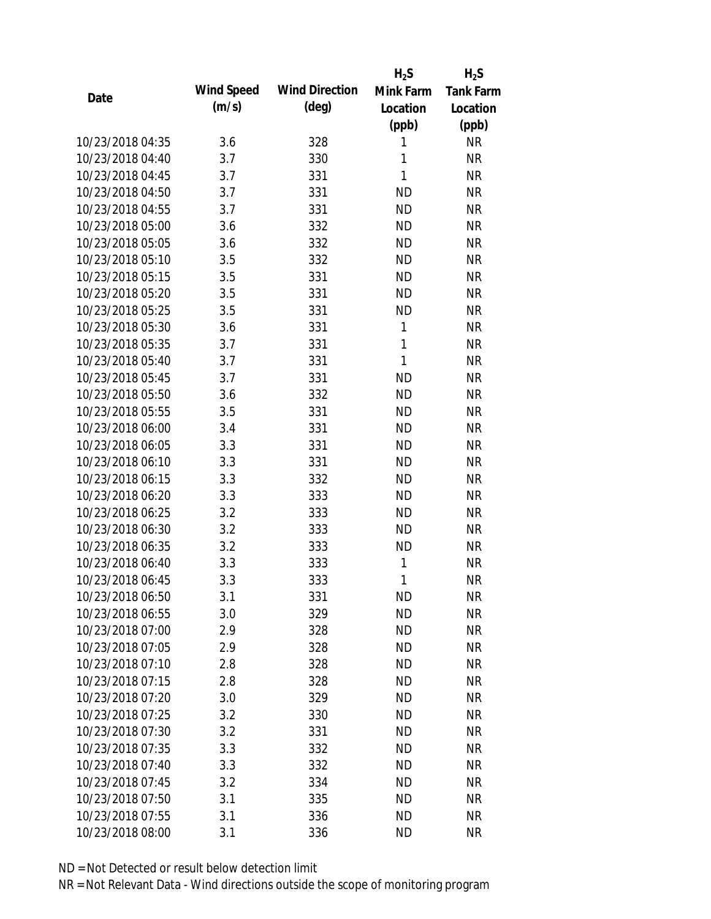|                  |            |                       | $H_2S$       | $H_2S$           |
|------------------|------------|-----------------------|--------------|------------------|
| Date             | Wind Speed | <b>Wind Direction</b> | Mink Farm    | <b>Tank Farm</b> |
|                  | (m/s)      | $(\text{deg})$        | Location     | Location         |
|                  |            |                       | (ppb)        | (ppb)            |
| 10/23/2018 04:35 | 3.6        | 328                   | 1            | <b>NR</b>        |
| 10/23/2018 04:40 | 3.7        | 330                   | 1            | <b>NR</b>        |
| 10/23/2018 04:45 | 3.7        | 331                   | $\mathbf{1}$ | <b>NR</b>        |
| 10/23/2018 04:50 | 3.7        | 331                   | <b>ND</b>    | <b>NR</b>        |
| 10/23/2018 04:55 | 3.7        | 331                   | <b>ND</b>    | <b>NR</b>        |
| 10/23/2018 05:00 | 3.6        | 332                   | <b>ND</b>    | <b>NR</b>        |
| 10/23/2018 05:05 | 3.6        | 332                   | <b>ND</b>    | <b>NR</b>        |
| 10/23/2018 05:10 | 3.5        | 332                   | <b>ND</b>    | <b>NR</b>        |
| 10/23/2018 05:15 | 3.5        | 331                   | <b>ND</b>    | <b>NR</b>        |
| 10/23/2018 05:20 | 3.5        | 331                   | <b>ND</b>    | <b>NR</b>        |
| 10/23/2018 05:25 | 3.5        | 331                   | <b>ND</b>    | <b>NR</b>        |
| 10/23/2018 05:30 | 3.6        | 331                   | 1            | <b>NR</b>        |
| 10/23/2018 05:35 | 3.7        | 331                   | $\mathbf{1}$ | <b>NR</b>        |
| 10/23/2018 05:40 | 3.7        | 331                   | $\mathbf{1}$ | <b>NR</b>        |
| 10/23/2018 05:45 | 3.7        | 331                   | <b>ND</b>    | <b>NR</b>        |
| 10/23/2018 05:50 | 3.6        | 332                   | <b>ND</b>    | <b>NR</b>        |
| 10/23/2018 05:55 | 3.5        | 331                   | <b>ND</b>    | <b>NR</b>        |
| 10/23/2018 06:00 | 3.4        | 331                   | <b>ND</b>    | <b>NR</b>        |
| 10/23/2018 06:05 | 3.3        | 331                   | <b>ND</b>    | <b>NR</b>        |
| 10/23/2018 06:10 | 3.3        | 331                   | <b>ND</b>    | <b>NR</b>        |
| 10/23/2018 06:15 | 3.3        | 332                   | <b>ND</b>    | <b>NR</b>        |
| 10/23/2018 06:20 | 3.3        | 333                   | <b>ND</b>    | <b>NR</b>        |
| 10/23/2018 06:25 | 3.2        | 333                   | <b>ND</b>    | <b>NR</b>        |
| 10/23/2018 06:30 | 3.2        | 333                   | <b>ND</b>    | <b>NR</b>        |
| 10/23/2018 06:35 | 3.2        | 333                   | <b>ND</b>    | <b>NR</b>        |
| 10/23/2018 06:40 | 3.3        | 333                   | 1            | <b>NR</b>        |
| 10/23/2018 06:45 | 3.3        | 333                   | 1            | <b>NR</b>        |
| 10/23/2018 06:50 | 3.1        | 331                   | <b>ND</b>    | <b>NR</b>        |
| 10/23/2018 06:55 | 3.0        | 329                   | <b>ND</b>    | <b>NR</b>        |
| 10/23/2018 07:00 | 2.9        | 328                   | <b>ND</b>    | <b>NR</b>        |
| 10/23/2018 07:05 | 2.9        | 328                   | <b>ND</b>    | <b>NR</b>        |
| 10/23/2018 07:10 | 2.8        | 328                   | <b>ND</b>    | NR               |
| 10/23/2018 07:15 | 2.8        | 328                   | <b>ND</b>    | <b>NR</b>        |
| 10/23/2018 07:20 | 3.0        | 329                   | <b>ND</b>    | <b>NR</b>        |
| 10/23/2018 07:25 | 3.2        | 330                   | ND           | <b>NR</b>        |
| 10/23/2018 07:30 | 3.2        | 331                   | <b>ND</b>    | <b>NR</b>        |
| 10/23/2018 07:35 | 3.3        | 332                   | ND.          | <b>NR</b>        |
| 10/23/2018 07:40 | 3.3        | 332                   | <b>ND</b>    | <b>NR</b>        |
| 10/23/2018 07:45 | 3.2        | 334                   | <b>ND</b>    | <b>NR</b>        |
| 10/23/2018 07:50 | 3.1        | 335                   | <b>ND</b>    | <b>NR</b>        |
| 10/23/2018 07:55 | 3.1        | 336                   | <b>ND</b>    | <b>NR</b>        |
| 10/23/2018 08:00 | 3.1        | 336                   | <b>ND</b>    | <b>NR</b>        |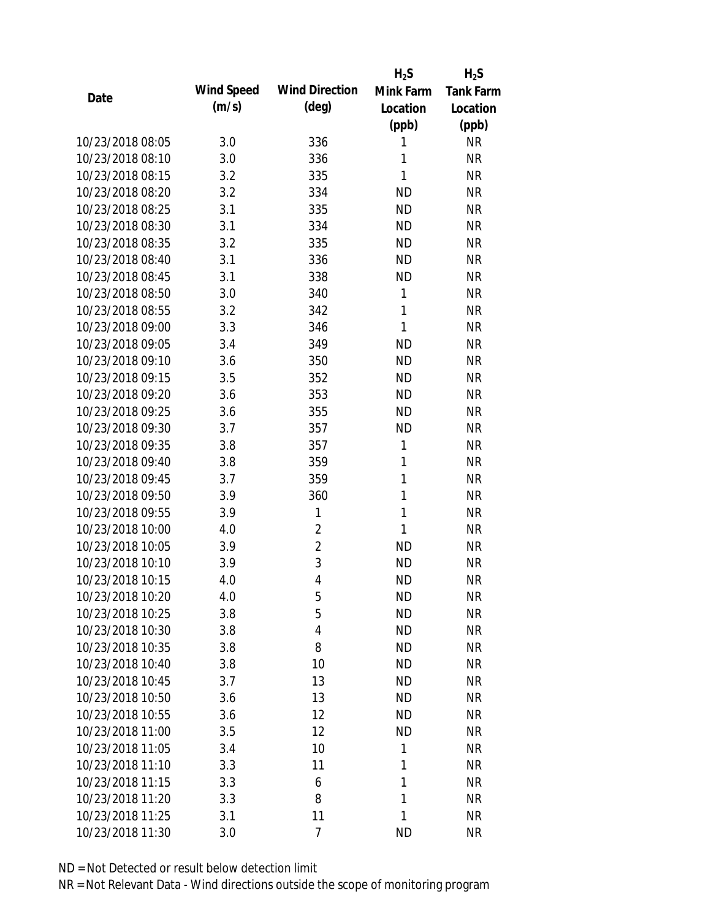|                  |            |                       | $H_2S$       | $H_2S$    |
|------------------|------------|-----------------------|--------------|-----------|
| Date             | Wind Speed | <b>Wind Direction</b> | Mink Farm    | Tank Farm |
|                  | (m/s)      | $(\text{deg})$        | Location     | Location  |
|                  |            |                       | (ppb)        | (ppb)     |
| 10/23/2018 08:05 | 3.0        | 336                   | 1            | <b>NR</b> |
| 10/23/2018 08:10 | 3.0        | 336                   | 1            | <b>NR</b> |
| 10/23/2018 08:15 | 3.2        | 335                   | 1            | <b>NR</b> |
| 10/23/2018 08:20 | 3.2        | 334                   | <b>ND</b>    | <b>NR</b> |
| 10/23/2018 08:25 | 3.1        | 335                   | <b>ND</b>    | <b>NR</b> |
| 10/23/2018 08:30 | 3.1        | 334                   | <b>ND</b>    | <b>NR</b> |
| 10/23/2018 08:35 | 3.2        | 335                   | <b>ND</b>    | <b>NR</b> |
| 10/23/2018 08:40 | 3.1        | 336                   | <b>ND</b>    | <b>NR</b> |
| 10/23/2018 08:45 | 3.1        | 338                   | <b>ND</b>    | <b>NR</b> |
| 10/23/2018 08:50 | 3.0        | 340                   | $\mathbf{1}$ | <b>NR</b> |
| 10/23/2018 08:55 | 3.2        | 342                   | $\mathbf{1}$ | <b>NR</b> |
| 10/23/2018 09:00 | 3.3        | 346                   | $\mathbf{1}$ | <b>NR</b> |
| 10/23/2018 09:05 | 3.4        | 349                   | <b>ND</b>    | <b>NR</b> |
| 10/23/2018 09:10 | 3.6        | 350                   | <b>ND</b>    | <b>NR</b> |
| 10/23/2018 09:15 | 3.5        | 352                   | <b>ND</b>    | <b>NR</b> |
| 10/23/2018 09:20 | 3.6        | 353                   | <b>ND</b>    | <b>NR</b> |
| 10/23/2018 09:25 | 3.6        | 355                   | <b>ND</b>    | <b>NR</b> |
| 10/23/2018 09:30 | 3.7        | 357                   | <b>ND</b>    | <b>NR</b> |
| 10/23/2018 09:35 | 3.8        | 357                   | 1            | <b>NR</b> |
| 10/23/2018 09:40 | 3.8        | 359                   | 1            | <b>NR</b> |
| 10/23/2018 09:45 | 3.7        | 359                   | $\mathbf{1}$ | <b>NR</b> |
| 10/23/2018 09:50 | 3.9        | 360                   | 1            | <b>NR</b> |
| 10/23/2018 09:55 | 3.9        | 1                     | 1            | <b>NR</b> |
| 10/23/2018 10:00 | 4.0        | $\overline{2}$        | 1            | <b>NR</b> |
| 10/23/2018 10:05 | 3.9        | $\overline{2}$        | <b>ND</b>    | <b>NR</b> |
| 10/23/2018 10:10 | 3.9        | 3                     | <b>ND</b>    | <b>NR</b> |
| 10/23/2018 10:15 | 4.0        | $\overline{4}$        | <b>ND</b>    | <b>NR</b> |
| 10/23/2018 10:20 | 4.0        | 5                     | <b>ND</b>    | <b>NR</b> |
| 10/23/2018 10:25 | 3.8        | 5                     | <b>ND</b>    | <b>NR</b> |
| 10/23/2018 10:30 | 3.8        | $\overline{4}$        | <b>ND</b>    | <b>NR</b> |
| 10/23/2018 10:35 | 3.8        | 8                     | <b>ND</b>    | <b>NR</b> |
| 10/23/2018 10:40 | 3.8        | 10                    | <b>ND</b>    | <b>NR</b> |
| 10/23/2018 10:45 | 3.7        | 13                    | <b>ND</b>    | <b>NR</b> |
| 10/23/2018 10:50 | 3.6        | 13                    | <b>ND</b>    | <b>NR</b> |
| 10/23/2018 10:55 | 3.6        | 12                    | ND           | <b>NR</b> |
| 10/23/2018 11:00 | 3.5        | 12                    | <b>ND</b>    | <b>NR</b> |
| 10/23/2018 11:05 | 3.4        | 10                    | 1            | <b>NR</b> |
| 10/23/2018 11:10 | 3.3        | 11                    | 1            | <b>NR</b> |
| 10/23/2018 11:15 | 3.3        | 6                     | 1            | <b>NR</b> |
| 10/23/2018 11:20 | 3.3        | 8                     | 1            | <b>NR</b> |
| 10/23/2018 11:25 | 3.1        | 11                    | 1            | <b>NR</b> |
| 10/23/2018 11:30 | 3.0        | 7                     | <b>ND</b>    | <b>NR</b> |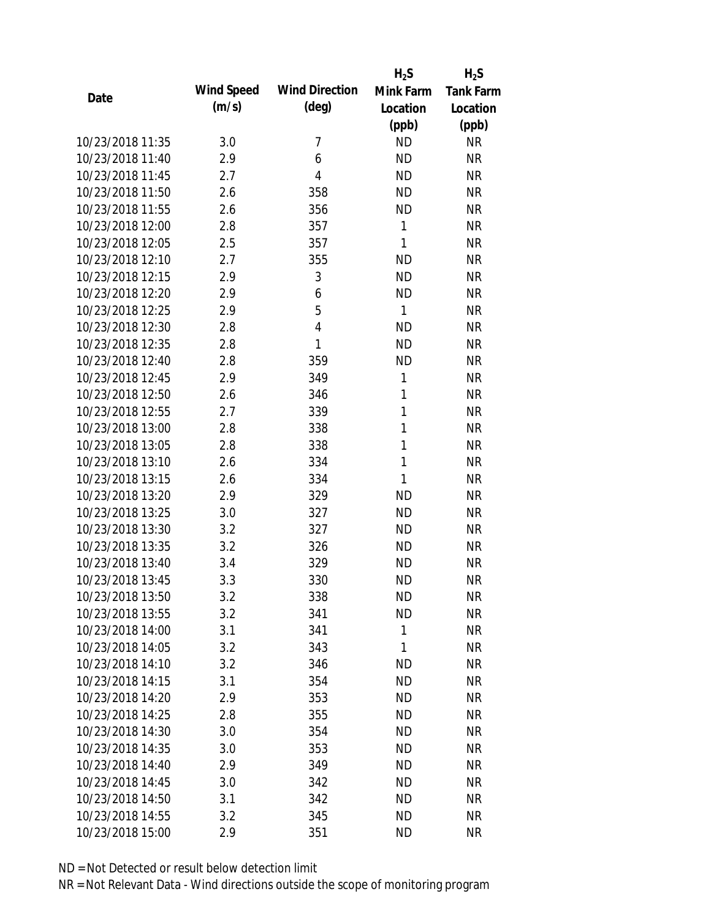|                  |            |                       | $H_2S$       | $H_2S$           |
|------------------|------------|-----------------------|--------------|------------------|
| Date             | Wind Speed | <b>Wind Direction</b> | Mink Farm    | <b>Tank Farm</b> |
|                  | (m/s)      | $(\text{deg})$        | Location     | Location         |
|                  |            |                       | (ppb)        | (ppb)            |
| 10/23/2018 11:35 | 3.0        | 7                     | <b>ND</b>    | <b>NR</b>        |
| 10/23/2018 11:40 | 2.9        | 6                     | <b>ND</b>    | <b>NR</b>        |
| 10/23/2018 11:45 | 2.7        | 4                     | <b>ND</b>    | <b>NR</b>        |
| 10/23/2018 11:50 | 2.6        | 358                   | <b>ND</b>    | <b>NR</b>        |
| 10/23/2018 11:55 | 2.6        | 356                   | <b>ND</b>    | <b>NR</b>        |
| 10/23/2018 12:00 | 2.8        | 357                   | 1            | <b>NR</b>        |
| 10/23/2018 12:05 | 2.5        | 357                   | 1            | <b>NR</b>        |
| 10/23/2018 12:10 | 2.7        | 355                   | <b>ND</b>    | <b>NR</b>        |
| 10/23/2018 12:15 | 2.9        | 3                     | <b>ND</b>    | <b>NR</b>        |
| 10/23/2018 12:20 | 2.9        | 6                     | <b>ND</b>    | <b>NR</b>        |
| 10/23/2018 12:25 | 2.9        | 5                     | 1            | <b>NR</b>        |
| 10/23/2018 12:30 | 2.8        | 4                     | <b>ND</b>    | <b>NR</b>        |
| 10/23/2018 12:35 | 2.8        | 1                     | <b>ND</b>    | <b>NR</b>        |
| 10/23/2018 12:40 | 2.8        | 359                   | <b>ND</b>    | <b>NR</b>        |
| 10/23/2018 12:45 | 2.9        | 349                   | 1            | <b>NR</b>        |
| 10/23/2018 12:50 | 2.6        | 346                   | 1            | <b>NR</b>        |
| 10/23/2018 12:55 | 2.7        | 339                   | 1            | <b>NR</b>        |
| 10/23/2018 13:00 | 2.8        | 338                   | $\mathbf{1}$ | <b>NR</b>        |
| 10/23/2018 13:05 | 2.8        | 338                   | $\mathbf{1}$ | <b>NR</b>        |
| 10/23/2018 13:10 | 2.6        | 334                   | $\mathbf{1}$ | <b>NR</b>        |
| 10/23/2018 13:15 | 2.6        | 334                   | 1            | <b>NR</b>        |
| 10/23/2018 13:20 | 2.9        | 329                   | <b>ND</b>    | <b>NR</b>        |
| 10/23/2018 13:25 | 3.0        | 327                   | <b>ND</b>    | <b>NR</b>        |
| 10/23/2018 13:30 | 3.2        | 327                   | <b>ND</b>    | <b>NR</b>        |
| 10/23/2018 13:35 | 3.2        | 326                   | <b>ND</b>    | <b>NR</b>        |
| 10/23/2018 13:40 | 3.4        | 329                   | <b>ND</b>    | <b>NR</b>        |
| 10/23/2018 13:45 | 3.3        | 330                   | <b>ND</b>    | <b>NR</b>        |
| 10/23/2018 13:50 | 3.2        | 338                   | <b>ND</b>    | <b>NR</b>        |
| 10/23/2018 13:55 | 3.2        | 341                   | <b>ND</b>    | <b>NR</b>        |
| 10/23/2018 14:00 | 3.1        | 341                   | 1            | <b>NR</b>        |
| 10/23/2018 14:05 | 3.2        | 343                   | 1            | <b>NR</b>        |
| 10/23/2018 14:10 | 3.2        | 346                   | <b>ND</b>    | <b>NR</b>        |
| 10/23/2018 14:15 | 3.1        | 354                   | <b>ND</b>    | <b>NR</b>        |
| 10/23/2018 14:20 | 2.9        | 353                   | <b>ND</b>    | <b>NR</b>        |
| 10/23/2018 14:25 | 2.8        | 355                   | <b>ND</b>    | <b>NR</b>        |
| 10/23/2018 14:30 | 3.0        | 354                   | <b>ND</b>    | <b>NR</b>        |
| 10/23/2018 14:35 | 3.0        | 353                   | ND           | <b>NR</b>        |
| 10/23/2018 14:40 | 2.9        | 349                   | <b>ND</b>    | <b>NR</b>        |
| 10/23/2018 14:45 | 3.0        | 342                   | <b>ND</b>    | <b>NR</b>        |
| 10/23/2018 14:50 | 3.1        | 342                   | <b>ND</b>    | <b>NR</b>        |
| 10/23/2018 14:55 | 3.2        | 345                   | <b>ND</b>    | <b>NR</b>        |
| 10/23/2018 15:00 | 2.9        | 351                   | <b>ND</b>    | <b>NR</b>        |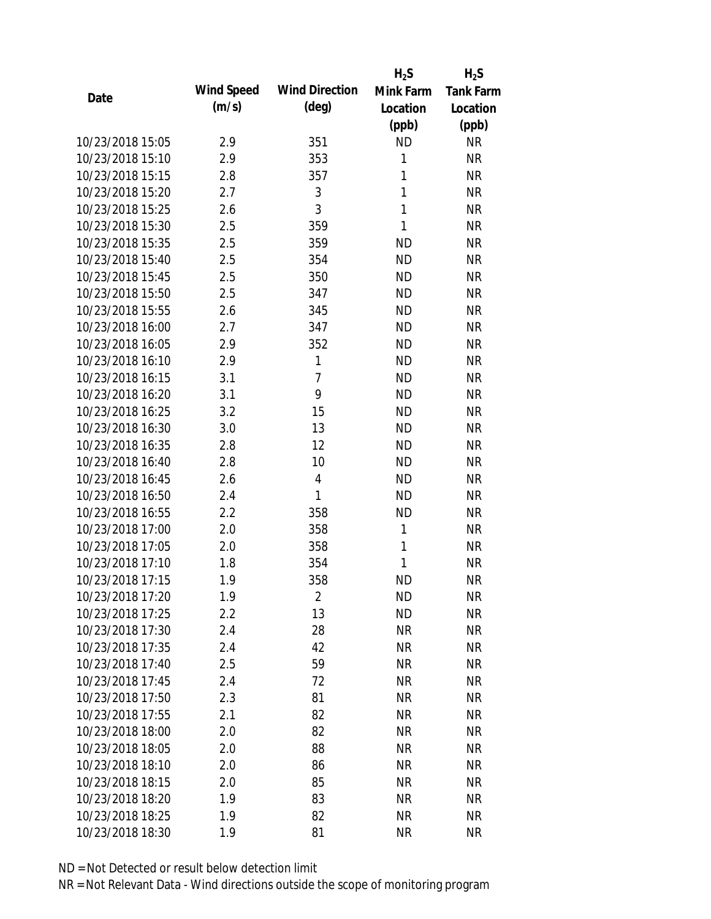|                  |            |                       | $H_2S$       | $H_2S$           |
|------------------|------------|-----------------------|--------------|------------------|
| Date             | Wind Speed | <b>Wind Direction</b> | Mink Farm    | <b>Tank Farm</b> |
|                  | (m/s)      | (deg)                 | Location     | Location         |
|                  |            |                       | (ppb)        | (ppb)            |
| 10/23/2018 15:05 | 2.9        | 351                   | <b>ND</b>    | <b>NR</b>        |
| 10/23/2018 15:10 | 2.9        | 353                   | 1            | <b>NR</b>        |
| 10/23/2018 15:15 | 2.8        | 357                   | $\mathbf{1}$ | <b>NR</b>        |
| 10/23/2018 15:20 | 2.7        | 3                     | $\mathbf{1}$ | <b>NR</b>        |
| 10/23/2018 15:25 | 2.6        | 3                     | $\mathbf{1}$ | <b>NR</b>        |
| 10/23/2018 15:30 | 2.5        | 359                   | 1            | <b>NR</b>        |
| 10/23/2018 15:35 | 2.5        | 359                   | <b>ND</b>    | <b>NR</b>        |
| 10/23/2018 15:40 | 2.5        | 354                   | <b>ND</b>    | <b>NR</b>        |
| 10/23/2018 15:45 | 2.5        | 350                   | <b>ND</b>    | <b>NR</b>        |
| 10/23/2018 15:50 | 2.5        | 347                   | <b>ND</b>    | <b>NR</b>        |
| 10/23/2018 15:55 | 2.6        | 345                   | <b>ND</b>    | <b>NR</b>        |
| 10/23/2018 16:00 | 2.7        | 347                   | <b>ND</b>    | <b>NR</b>        |
| 10/23/2018 16:05 | 2.9        | 352                   | <b>ND</b>    | <b>NR</b>        |
| 10/23/2018 16:10 | 2.9        | 1                     | ND           | <b>NR</b>        |
| 10/23/2018 16:15 | 3.1        | $\overline{7}$        | <b>ND</b>    | <b>NR</b>        |
| 10/23/2018 16:20 | 3.1        | 9                     | <b>ND</b>    | <b>NR</b>        |
| 10/23/2018 16:25 | 3.2        | 15                    | <b>ND</b>    | <b>NR</b>        |
| 10/23/2018 16:30 | 3.0        | 13                    | <b>ND</b>    | <b>NR</b>        |
| 10/23/2018 16:35 | 2.8        | 12                    | <b>ND</b>    | <b>NR</b>        |
| 10/23/2018 16:40 | 2.8        | 10                    | <b>ND</b>    | <b>NR</b>        |
| 10/23/2018 16:45 | 2.6        | 4                     | <b>ND</b>    | <b>NR</b>        |
| 10/23/2018 16:50 | 2.4        | 1                     | <b>ND</b>    | <b>NR</b>        |
| 10/23/2018 16:55 | 2.2        | 358                   | <b>ND</b>    | <b>NR</b>        |
| 10/23/2018 17:00 | 2.0        | 358                   | $\mathbf{1}$ | <b>NR</b>        |
| 10/23/2018 17:05 | 2.0        | 358                   | 1            | <b>NR</b>        |
| 10/23/2018 17:10 | 1.8        | 354                   | 1            | <b>NR</b>        |
| 10/23/2018 17:15 | 1.9        | 358                   | <b>ND</b>    | <b>NR</b>        |
| 10/23/2018 17:20 | 1.9        | 2                     | <b>ND</b>    | <b>NR</b>        |
| 10/23/2018 17:25 | 2.2        | 13                    | <b>ND</b>    | <b>NR</b>        |
| 10/23/2018 17:30 | 2.4        | 28                    | <b>NR</b>    | <b>NR</b>        |
| 10/23/2018 17:35 | 2.4        | 42                    | <b>NR</b>    | <b>NR</b>        |
| 10/23/2018 17:40 | 2.5        | 59                    | <b>NR</b>    | <b>NR</b>        |
| 10/23/2018 17:45 | 2.4        | 72                    | <b>NR</b>    | <b>NR</b>        |
| 10/23/2018 17:50 | 2.3        | 81                    | <b>NR</b>    | <b>NR</b>        |
| 10/23/2018 17:55 | 2.1        | 82                    | <b>NR</b>    | NR               |
| 10/23/2018 18:00 | 2.0        | 82                    | <b>NR</b>    | <b>NR</b>        |
| 10/23/2018 18:05 | 2.0        | 88                    | <b>NR</b>    | <b>NR</b>        |
| 10/23/2018 18:10 | 2.0        | 86                    | <b>NR</b>    | <b>NR</b>        |
| 10/23/2018 18:15 | 2.0        | 85                    | <b>NR</b>    | NR               |
| 10/23/2018 18:20 | 1.9        | 83                    | <b>NR</b>    | <b>NR</b>        |
| 10/23/2018 18:25 | 1.9        | 82                    | <b>NR</b>    | <b>NR</b>        |
| 10/23/2018 18:30 | 1.9        | 81                    | <b>NR</b>    | <b>NR</b>        |
|                  |            |                       |              |                  |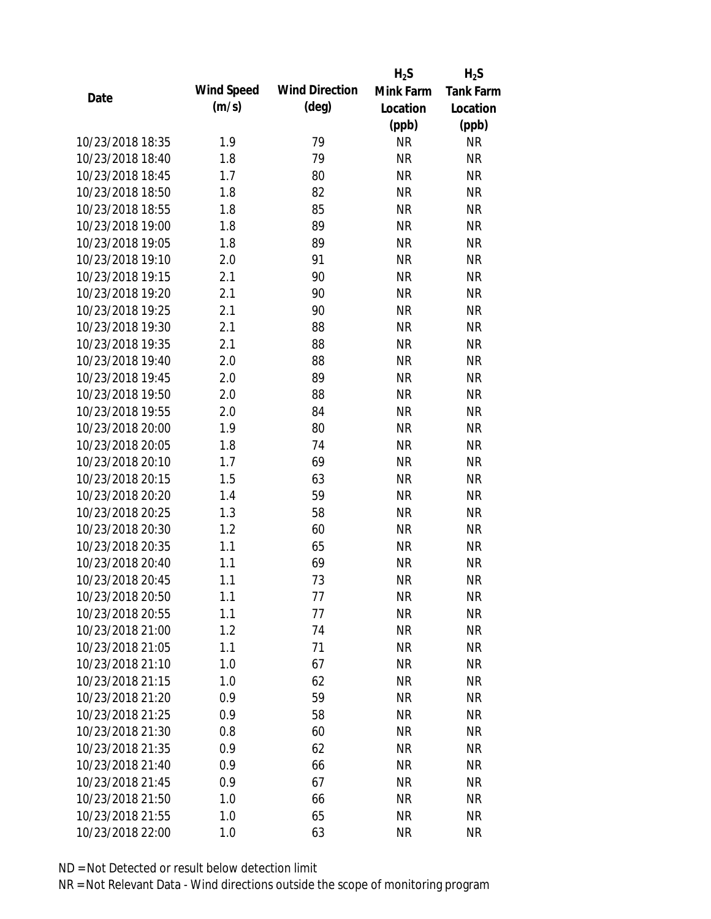|                  |            |                       | $H_2S$    | $H_2S$           |
|------------------|------------|-----------------------|-----------|------------------|
| Date             | Wind Speed | <b>Wind Direction</b> | Mink Farm | <b>Tank Farm</b> |
|                  | (m/s)      | $(\text{deg})$        | Location  | Location         |
|                  |            |                       | (ppb)     | (ppb)            |
| 10/23/2018 18:35 | 1.9        | 79                    | <b>NR</b> | <b>NR</b>        |
| 10/23/2018 18:40 | 1.8        | 79                    | <b>NR</b> | <b>NR</b>        |
| 10/23/2018 18:45 | 1.7        | 80                    | <b>NR</b> | <b>NR</b>        |
| 10/23/2018 18:50 | 1.8        | 82                    | <b>NR</b> | <b>NR</b>        |
| 10/23/2018 18:55 | 1.8        | 85                    | <b>NR</b> | <b>NR</b>        |
| 10/23/2018 19:00 | 1.8        | 89                    | <b>NR</b> | <b>NR</b>        |
| 10/23/2018 19:05 | 1.8        | 89                    | <b>NR</b> | <b>NR</b>        |
| 10/23/2018 19:10 | 2.0        | 91                    | <b>NR</b> | <b>NR</b>        |
| 10/23/2018 19:15 | 2.1        | 90                    | <b>NR</b> | <b>NR</b>        |
| 10/23/2018 19:20 | 2.1        | 90                    | <b>NR</b> | <b>NR</b>        |
| 10/23/2018 19:25 | 2.1        | 90                    | <b>NR</b> | <b>NR</b>        |
| 10/23/2018 19:30 | 2.1        | 88                    | <b>NR</b> | <b>NR</b>        |
| 10/23/2018 19:35 | 2.1        | 88                    | <b>NR</b> | <b>NR</b>        |
| 10/23/2018 19:40 | 2.0        | 88                    | <b>NR</b> | <b>NR</b>        |
| 10/23/2018 19:45 | 2.0        | 89                    | <b>NR</b> | <b>NR</b>        |
| 10/23/2018 19:50 | 2.0        | 88                    | <b>NR</b> | <b>NR</b>        |
| 10/23/2018 19:55 | 2.0        | 84                    | <b>NR</b> | <b>NR</b>        |
| 10/23/2018 20:00 | 1.9        | 80                    | <b>NR</b> | <b>NR</b>        |
| 10/23/2018 20:05 | 1.8        | 74                    | <b>NR</b> | <b>NR</b>        |
| 10/23/2018 20:10 | 1.7        | 69                    | <b>NR</b> | <b>NR</b>        |
| 10/23/2018 20:15 | 1.5        | 63                    | <b>NR</b> | <b>NR</b>        |
| 10/23/2018 20:20 | 1.4        | 59                    | <b>NR</b> | <b>NR</b>        |
| 10/23/2018 20:25 | 1.3        | 58                    | <b>NR</b> | <b>NR</b>        |
| 10/23/2018 20:30 | 1.2        | 60                    | <b>NR</b> | <b>NR</b>        |
| 10/23/2018 20:35 | 1.1        | 65                    | <b>NR</b> | <b>NR</b>        |
| 10/23/2018 20:40 | 1.1        | 69                    | <b>NR</b> | <b>NR</b>        |
| 10/23/2018 20:45 | 1.1        | 73                    | <b>NR</b> | <b>NR</b>        |
| 10/23/2018 20:50 | 1.1        | 77                    | <b>NR</b> | <b>NR</b>        |
| 10/23/2018 20:55 | 1.1        | 77                    | <b>NR</b> | <b>NR</b>        |
| 10/23/2018 21:00 | 1.2        | 74                    | <b>NR</b> | <b>NR</b>        |
| 10/23/2018 21:05 | 1.1        | 71                    | <b>NR</b> | <b>NR</b>        |
| 10/23/2018 21:10 | 1.0        | 67                    | <b>NR</b> | <b>NR</b>        |
| 10/23/2018 21:15 | 1.0        | 62                    | <b>NR</b> | <b>NR</b>        |
| 10/23/2018 21:20 | 0.9        | 59                    | <b>NR</b> | <b>NR</b>        |
| 10/23/2018 21:25 | 0.9        | 58                    | <b>NR</b> | NR               |
| 10/23/2018 21:30 | 0.8        | 60                    | <b>NR</b> | <b>NR</b>        |
| 10/23/2018 21:35 | 0.9        | 62                    | <b>NR</b> | <b>NR</b>        |
| 10/23/2018 21:40 | 0.9        | 66                    | <b>NR</b> | <b>NR</b>        |
| 10/23/2018 21:45 | 0.9        | 67                    | <b>NR</b> | NR               |
| 10/23/2018 21:50 | 1.0        | 66                    | <b>NR</b> | <b>NR</b>        |
| 10/23/2018 21:55 | 1.0        | 65                    | <b>NR</b> | <b>NR</b>        |
| 10/23/2018 22:00 | 1.0        | 63                    | <b>NR</b> | <b>NR</b>        |
|                  |            |                       |           |                  |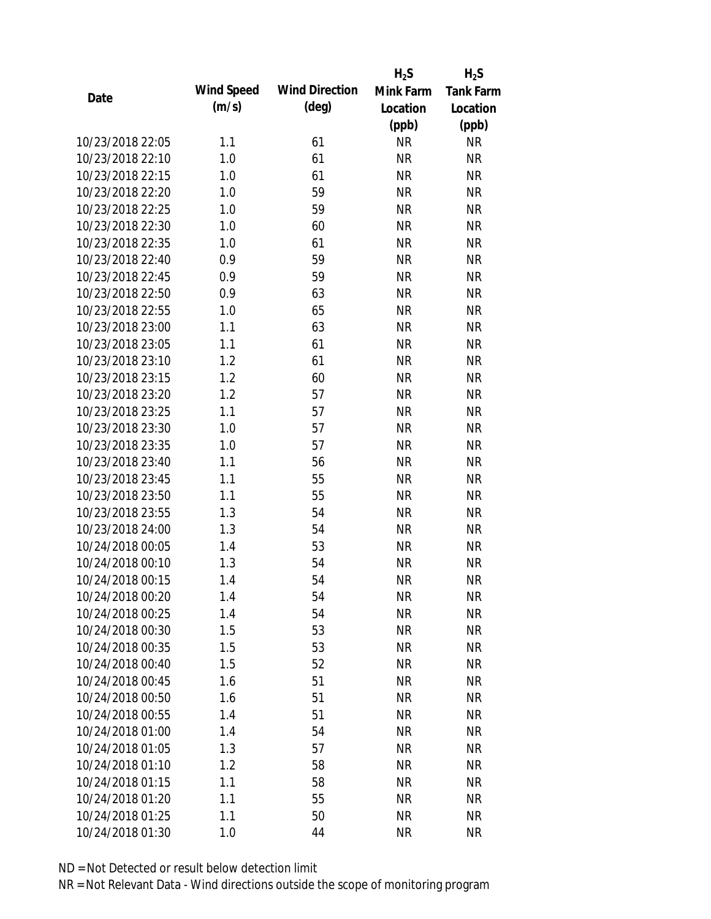|                  |            |                       | $H_2S$    | $H_2S$           |
|------------------|------------|-----------------------|-----------|------------------|
| Date             | Wind Speed | <b>Wind Direction</b> | Mink Farm | <b>Tank Farm</b> |
|                  | (m/s)      | $(\text{deg})$        | Location  | Location         |
|                  |            |                       | (ppb)     | (ppb)            |
| 10/23/2018 22:05 | 1.1        | 61                    | <b>NR</b> | <b>NR</b>        |
| 10/23/2018 22:10 | 1.0        | 61                    | <b>NR</b> | <b>NR</b>        |
| 10/23/2018 22:15 | 1.0        | 61                    | <b>NR</b> | <b>NR</b>        |
| 10/23/2018 22:20 | 1.0        | 59                    | <b>NR</b> | <b>NR</b>        |
| 10/23/2018 22:25 | 1.0        | 59                    | <b>NR</b> | <b>NR</b>        |
| 10/23/2018 22:30 | 1.0        | 60                    | <b>NR</b> | <b>NR</b>        |
| 10/23/2018 22:35 | 1.0        | 61                    | <b>NR</b> | <b>NR</b>        |
| 10/23/2018 22:40 | 0.9        | 59                    | <b>NR</b> | <b>NR</b>        |
| 10/23/2018 22:45 | 0.9        | 59                    | <b>NR</b> | <b>NR</b>        |
| 10/23/2018 22:50 | 0.9        | 63                    | <b>NR</b> | <b>NR</b>        |
| 10/23/2018 22:55 | 1.0        | 65                    | <b>NR</b> | <b>NR</b>        |
| 10/23/2018 23:00 | 1.1        | 63                    | <b>NR</b> | <b>NR</b>        |
| 10/23/2018 23:05 | 1.1        | 61                    | <b>NR</b> | <b>NR</b>        |
| 10/23/2018 23:10 | 1.2        | 61                    | <b>NR</b> | <b>NR</b>        |
| 10/23/2018 23:15 | 1.2        | 60                    | <b>NR</b> | <b>NR</b>        |
| 10/23/2018 23:20 | 1.2        | 57                    | <b>NR</b> | <b>NR</b>        |
| 10/23/2018 23:25 | 1.1        | 57                    | <b>NR</b> | <b>NR</b>        |
| 10/23/2018 23:30 | 1.0        | 57                    | <b>NR</b> | <b>NR</b>        |
| 10/23/2018 23:35 | 1.0        | 57                    | <b>NR</b> | <b>NR</b>        |
| 10/23/2018 23:40 | 1.1        | 56                    | <b>NR</b> | <b>NR</b>        |
| 10/23/2018 23:45 | 1.1        | 55                    | <b>NR</b> | <b>NR</b>        |
| 10/23/2018 23:50 | 1.1        | 55                    | <b>NR</b> | <b>NR</b>        |
| 10/23/2018 23:55 | 1.3        | 54                    | <b>NR</b> | <b>NR</b>        |
| 10/23/2018 24:00 | 1.3        | 54                    | <b>NR</b> | <b>NR</b>        |
| 10/24/2018 00:05 | 1.4        | 53                    | <b>NR</b> | <b>NR</b>        |
| 10/24/2018 00:10 | 1.3        | 54                    | <b>NR</b> | <b>NR</b>        |
| 10/24/2018 00:15 | 1.4        | 54                    | <b>NR</b> | <b>NR</b>        |
| 10/24/2018 00:20 | 1.4        | 54                    | <b>NR</b> | <b>NR</b>        |
| 10/24/2018 00:25 | 1.4        | 54                    | <b>NR</b> | <b>NR</b>        |
| 10/24/2018 00:30 | 1.5        | 53                    | <b>NR</b> | <b>NR</b>        |
| 10/24/2018 00:35 | 1.5        | 53                    | <b>NR</b> | <b>NR</b>        |
| 10/24/2018 00:40 | 1.5        | 52                    | <b>NR</b> | <b>NR</b>        |
| 10/24/2018 00:45 | 1.6        | 51                    | <b>NR</b> | <b>NR</b>        |
| 10/24/2018 00:50 | 1.6        | 51                    | <b>NR</b> | <b>NR</b>        |
| 10/24/2018 00:55 | 1.4        | 51                    | <b>NR</b> | <b>NR</b>        |
| 10/24/2018 01:00 | 1.4        | 54                    | <b>NR</b> | <b>NR</b>        |
| 10/24/2018 01:05 | 1.3        | 57                    | <b>NR</b> | <b>NR</b>        |
| 10/24/2018 01:10 | 1.2        | 58                    | <b>NR</b> | <b>NR</b>        |
| 10/24/2018 01:15 | 1.1        | 58                    | <b>NR</b> | NR               |
| 10/24/2018 01:20 | 1.1        | 55                    | <b>NR</b> | <b>NR</b>        |
| 10/24/2018 01:25 | 1.1        | 50                    | <b>NR</b> | <b>NR</b>        |
| 10/24/2018 01:30 | 1.0        | 44                    | <b>NR</b> | <b>NR</b>        |
|                  |            |                       |           |                  |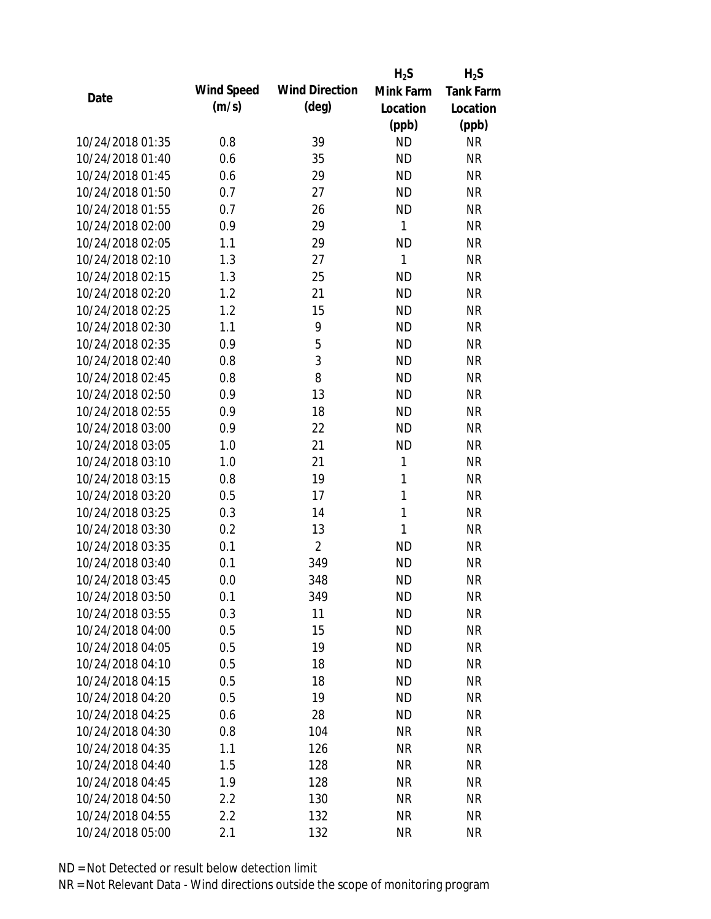|                  |            |                       | $H_2S$       | $H_2S$           |
|------------------|------------|-----------------------|--------------|------------------|
| Date             | Wind Speed | <b>Wind Direction</b> | Mink Farm    | <b>Tank Farm</b> |
|                  | (m/s)      | $(\text{deg})$        | Location     | Location         |
|                  |            |                       | (ppb)        | (ppb)            |
| 10/24/2018 01:35 | 0.8        | 39                    | <b>ND</b>    | <b>NR</b>        |
| 10/24/2018 01:40 | 0.6        | 35                    | <b>ND</b>    | <b>NR</b>        |
| 10/24/2018 01:45 | 0.6        | 29                    | <b>ND</b>    | <b>NR</b>        |
| 10/24/2018 01:50 | 0.7        | 27                    | <b>ND</b>    | <b>NR</b>        |
| 10/24/2018 01:55 | 0.7        | 26                    | <b>ND</b>    | <b>NR</b>        |
| 10/24/2018 02:00 | 0.9        | 29                    | 1            | <b>NR</b>        |
| 10/24/2018 02:05 | 1.1        | 29                    | <b>ND</b>    | <b>NR</b>        |
| 10/24/2018 02:10 | 1.3        | 27                    | $\mathbf{1}$ | <b>NR</b>        |
| 10/24/2018 02:15 | 1.3        | 25                    | <b>ND</b>    | <b>NR</b>        |
| 10/24/2018 02:20 | 1.2        | 21                    | <b>ND</b>    | <b>NR</b>        |
| 10/24/2018 02:25 | 1.2        | 15                    | <b>ND</b>    | <b>NR</b>        |
| 10/24/2018 02:30 | 1.1        | 9                     | <b>ND</b>    | <b>NR</b>        |
| 10/24/2018 02:35 | 0.9        | 5                     | <b>ND</b>    | <b>NR</b>        |
| 10/24/2018 02:40 | 0.8        | 3                     | <b>ND</b>    | <b>NR</b>        |
| 10/24/2018 02:45 | 0.8        | 8                     | <b>ND</b>    | <b>NR</b>        |
| 10/24/2018 02:50 | 0.9        | 13                    | <b>ND</b>    | <b>NR</b>        |
| 10/24/2018 02:55 | 0.9        | 18                    | <b>ND</b>    | <b>NR</b>        |
| 10/24/2018 03:00 | 0.9        | 22                    | <b>ND</b>    | <b>NR</b>        |
| 10/24/2018 03:05 | 1.0        | 21                    | <b>ND</b>    | <b>NR</b>        |
| 10/24/2018 03:10 | 1.0        | 21                    | 1            | <b>NR</b>        |
| 10/24/2018 03:15 | 0.8        | 19                    | 1            | <b>NR</b>        |
| 10/24/2018 03:20 | 0.5        | 17                    | $\mathbf{1}$ | <b>NR</b>        |
| 10/24/2018 03:25 | 0.3        | 14                    | $\mathbf{1}$ | <b>NR</b>        |
| 10/24/2018 03:30 | 0.2        | 13                    | 1            | <b>NR</b>        |
| 10/24/2018 03:35 | 0.1        | $\overline{2}$        | <b>ND</b>    | <b>NR</b>        |
| 10/24/2018 03:40 | 0.1        | 349                   | <b>ND</b>    | <b>NR</b>        |
| 10/24/2018 03:45 | 0.0        | 348                   | <b>ND</b>    | <b>NR</b>        |
| 10/24/2018 03:50 | 0.1        | 349                   | ND           | <b>NR</b>        |
| 10/24/2018 03:55 | 0.3        | 11                    | <b>ND</b>    | <b>NR</b>        |
| 10/24/2018 04:00 | 0.5        | 15                    | <b>ND</b>    | <b>NR</b>        |
| 10/24/2018 04:05 | 0.5        | 19                    | <b>ND</b>    | <b>NR</b>        |
| 10/24/2018 04:10 | 0.5        | 18                    | <b>ND</b>    | <b>NR</b>        |
| 10/24/2018 04:15 | 0.5        | 18                    | <b>ND</b>    | <b>NR</b>        |
| 10/24/2018 04:20 | 0.5        | 19                    | <b>ND</b>    | <b>NR</b>        |
| 10/24/2018 04:25 | 0.6        | 28                    | <b>ND</b>    | <b>NR</b>        |
| 10/24/2018 04:30 | 0.8        | 104                   | <b>NR</b>    | <b>NR</b>        |
| 10/24/2018 04:35 | 1.1        | 126                   | <b>NR</b>    | <b>NR</b>        |
| 10/24/2018 04:40 | 1.5        | 128                   | <b>NR</b>    | <b>NR</b>        |
| 10/24/2018 04:45 | 1.9        | 128                   | <b>NR</b>    | NR               |
| 10/24/2018 04:50 | 2.2        | 130                   | <b>NR</b>    | <b>NR</b>        |
| 10/24/2018 04:55 | 2.2        | 132                   | <b>NR</b>    | NR               |
| 10/24/2018 05:00 | 2.1        | 132                   | <b>NR</b>    | <b>NR</b>        |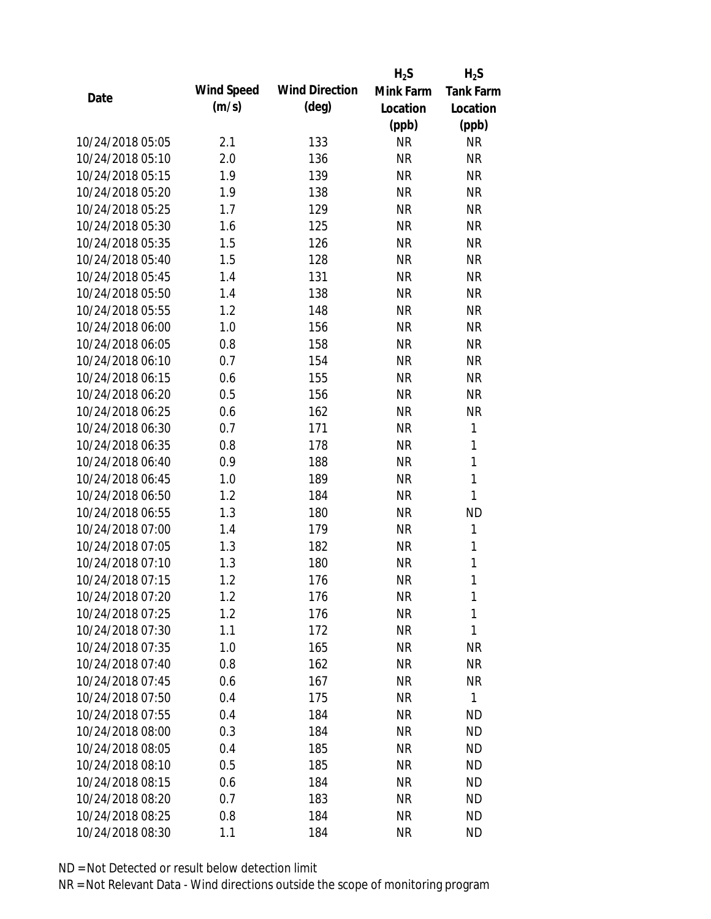|                  |            |                       | $H_2S$    | $H_2S$           |
|------------------|------------|-----------------------|-----------|------------------|
| Date             | Wind Speed | <b>Wind Direction</b> | Mink Farm | <b>Tank Farm</b> |
|                  | (m/s)      | (deg)                 | Location  | Location         |
|                  |            |                       | (ppb)     | (ppb)            |
| 10/24/2018 05:05 | 2.1        | 133                   | <b>NR</b> | <b>NR</b>        |
| 10/24/2018 05:10 | 2.0        | 136                   | <b>NR</b> | <b>NR</b>        |
| 10/24/2018 05:15 | 1.9        | 139                   | <b>NR</b> | <b>NR</b>        |
| 10/24/2018 05:20 | 1.9        | 138                   | <b>NR</b> | <b>NR</b>        |
| 10/24/2018 05:25 | 1.7        | 129                   | <b>NR</b> | <b>NR</b>        |
| 10/24/2018 05:30 | 1.6        | 125                   | <b>NR</b> | <b>NR</b>        |
| 10/24/2018 05:35 | 1.5        | 126                   | <b>NR</b> | <b>NR</b>        |
| 10/24/2018 05:40 | 1.5        | 128                   | <b>NR</b> | <b>NR</b>        |
| 10/24/2018 05:45 | 1.4        | 131                   | <b>NR</b> | <b>NR</b>        |
| 10/24/2018 05:50 | 1.4        | 138                   | <b>NR</b> | <b>NR</b>        |
| 10/24/2018 05:55 | 1.2        | 148                   | <b>NR</b> | <b>NR</b>        |
| 10/24/2018 06:00 | 1.0        | 156                   | <b>NR</b> | <b>NR</b>        |
| 10/24/2018 06:05 | 0.8        | 158                   | <b>NR</b> | <b>NR</b>        |
| 10/24/2018 06:10 | 0.7        | 154                   | <b>NR</b> | <b>NR</b>        |
| 10/24/2018 06:15 | 0.6        | 155                   | <b>NR</b> | <b>NR</b>        |
| 10/24/2018 06:20 | 0.5        | 156                   | <b>NR</b> | <b>NR</b>        |
| 10/24/2018 06:25 | 0.6        | 162                   | <b>NR</b> | <b>NR</b>        |
| 10/24/2018 06:30 | 0.7        | 171                   | <b>NR</b> | $\mathbf{1}$     |
| 10/24/2018 06:35 | 0.8        | 178                   | <b>NR</b> | $\mathbf{1}$     |
| 10/24/2018 06:40 | 0.9        | 188                   | <b>NR</b> | $\mathbf{1}$     |
| 10/24/2018 06:45 | 1.0        | 189                   | <b>NR</b> | $\mathbf{1}$     |
| 10/24/2018 06:50 | 1.2        | 184                   | <b>NR</b> | $\mathbf{1}$     |
| 10/24/2018 06:55 | 1.3        | 180                   | <b>NR</b> | <b>ND</b>        |
| 10/24/2018 07:00 | 1.4        | 179                   | <b>NR</b> | 1                |
| 10/24/2018 07:05 | 1.3        | 182                   | <b>NR</b> | $\mathbf{1}$     |
| 10/24/2018 07:10 | 1.3        | 180                   | <b>NR</b> | $\mathbf{1}$     |
| 10/24/2018 07:15 | 1.2        | 176                   | <b>NR</b> | 1                |
| 10/24/2018 07:20 | 1.2        | 176                   | <b>NR</b> | 1                |
| 10/24/2018 07:25 | 1.2        | 176                   | <b>NR</b> | 1                |
| 10/24/2018 07:30 | 1.1        | 172                   | <b>NR</b> | 1                |
| 10/24/2018 07:35 | 1.0        | 165                   | <b>NR</b> | <b>NR</b>        |
| 10/24/2018 07:40 | 0.8        | 162                   | <b>NR</b> | NR               |
| 10/24/2018 07:45 | 0.6        | 167                   | <b>NR</b> | <b>NR</b>        |
| 10/24/2018 07:50 | 0.4        | 175                   | <b>NR</b> | $\mathbf{1}$     |
| 10/24/2018 07:55 | 0.4        | 184                   | <b>NR</b> | ND               |
| 10/24/2018 08:00 | 0.3        | 184                   | <b>NR</b> | <b>ND</b>        |
| 10/24/2018 08:05 | 0.4        | 185                   | <b>NR</b> | ND               |
| 10/24/2018 08:10 | 0.5        | 185                   | <b>NR</b> | <b>ND</b>        |
| 10/24/2018 08:15 | 0.6        | 184                   | <b>NR</b> | <b>ND</b>        |
| 10/24/2018 08:20 | 0.7        | 183                   | <b>NR</b> | <b>ND</b>        |
| 10/24/2018 08:25 | 0.8        | 184                   | <b>NR</b> | <b>ND</b>        |
| 10/24/2018 08:30 | 1.1        | 184                   | <b>NR</b> | ND               |
|                  |            |                       |           |                  |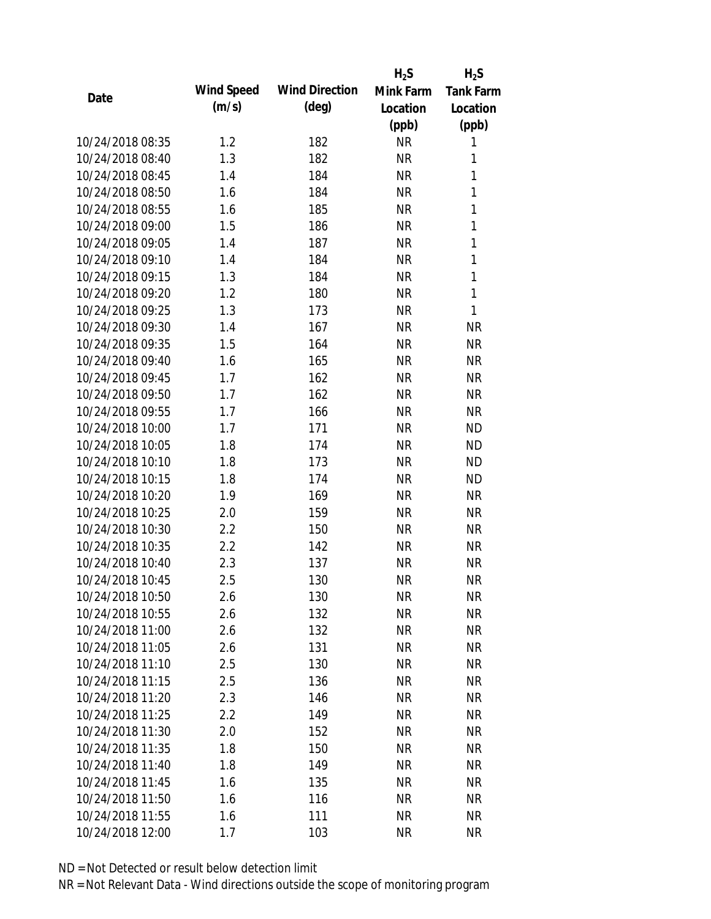|                  |            |                       | $H_2S$    | $H_2S$           |
|------------------|------------|-----------------------|-----------|------------------|
| Date             | Wind Speed | <b>Wind Direction</b> | Mink Farm | <b>Tank Farm</b> |
|                  | (m/s)      | $(\text{deg})$        | Location  | Location         |
|                  |            |                       | (ppb)     | (ppb)            |
| 10/24/2018 08:35 | 1.2        | 182                   | <b>NR</b> | 1                |
| 10/24/2018 08:40 | 1.3        | 182                   | <b>NR</b> | 1                |
| 10/24/2018 08:45 | 1.4        | 184                   | <b>NR</b> | $\mathbf{1}$     |
| 10/24/2018 08:50 | 1.6        | 184                   | <b>NR</b> | 1                |
| 10/24/2018 08:55 | 1.6        | 185                   | <b>NR</b> | 1                |
| 10/24/2018 09:00 | 1.5        | 186                   | <b>NR</b> | 1                |
| 10/24/2018 09:05 | 1.4        | 187                   | <b>NR</b> | $\mathbf{1}$     |
| 10/24/2018 09:10 | 1.4        | 184                   | <b>NR</b> | 1                |
| 10/24/2018 09:15 | 1.3        | 184                   | <b>NR</b> | $\mathbf{1}$     |
| 10/24/2018 09:20 | 1.2        | 180                   | <b>NR</b> | $\mathbf{1}$     |
| 10/24/2018 09:25 | 1.3        | 173                   | <b>NR</b> | 1                |
| 10/24/2018 09:30 | 1.4        | 167                   | <b>NR</b> | <b>NR</b>        |
| 10/24/2018 09:35 | 1.5        | 164                   | <b>NR</b> | <b>NR</b>        |
| 10/24/2018 09:40 | 1.6        | 165                   | <b>NR</b> | <b>NR</b>        |
| 10/24/2018 09:45 | 1.7        | 162                   | <b>NR</b> | <b>NR</b>        |
| 10/24/2018 09:50 | 1.7        | 162                   | <b>NR</b> | <b>NR</b>        |
| 10/24/2018 09:55 | 1.7        | 166                   | <b>NR</b> | <b>NR</b>        |
| 10/24/2018 10:00 | 1.7        | 171                   | <b>NR</b> | <b>ND</b>        |
| 10/24/2018 10:05 | 1.8        | 174                   | <b>NR</b> | <b>ND</b>        |
| 10/24/2018 10:10 | 1.8        | 173                   | <b>NR</b> | <b>ND</b>        |
| 10/24/2018 10:15 | 1.8        | 174                   | <b>NR</b> | <b>ND</b>        |
| 10/24/2018 10:20 | 1.9        | 169                   | <b>NR</b> | <b>NR</b>        |
| 10/24/2018 10:25 | 2.0        | 159                   | <b>NR</b> | <b>NR</b>        |
| 10/24/2018 10:30 | 2.2        | 150                   | <b>NR</b> | <b>NR</b>        |
| 10/24/2018 10:35 | 2.2        | 142                   | <b>NR</b> | <b>NR</b>        |
| 10/24/2018 10:40 | 2.3        | 137                   | <b>NR</b> | <b>NR</b>        |
| 10/24/2018 10:45 | 2.5        | 130                   | <b>NR</b> | <b>NR</b>        |
| 10/24/2018 10:50 | 2.6        | 130                   | <b>NR</b> | <b>NR</b>        |
| 10/24/2018 10:55 | 2.6        | 132                   | <b>NR</b> | <b>NR</b>        |
| 10/24/2018 11:00 | 2.6        | 132                   | <b>NR</b> | <b>NR</b>        |
| 10/24/2018 11:05 | 2.6        | 131                   | <b>NR</b> | <b>NR</b>        |
| 10/24/2018 11:10 | 2.5        | 130                   | <b>NR</b> | <b>NR</b>        |
| 10/24/2018 11:15 | 2.5        | 136                   | <b>NR</b> | <b>NR</b>        |
| 10/24/2018 11:20 | 2.3        | 146                   | <b>NR</b> | <b>NR</b>        |
| 10/24/2018 11:25 | 2.2        | 149                   | <b>NR</b> | NR               |
| 10/24/2018 11:30 | 2.0        | 152                   | <b>NR</b> | <b>NR</b>        |
| 10/24/2018 11:35 | 1.8        | 150                   | <b>NR</b> | <b>NR</b>        |
| 10/24/2018 11:40 | 1.8        | 149                   | <b>NR</b> | <b>NR</b>        |
| 10/24/2018 11:45 | 1.6        | 135                   | <b>NR</b> | NR               |
| 10/24/2018 11:50 | 1.6        | 116                   | <b>NR</b> | <b>NR</b>        |
| 10/24/2018 11:55 | 1.6        | 111                   | <b>NR</b> | <b>NR</b>        |
| 10/24/2018 12:00 | 1.7        | 103                   | <b>NR</b> | <b>NR</b>        |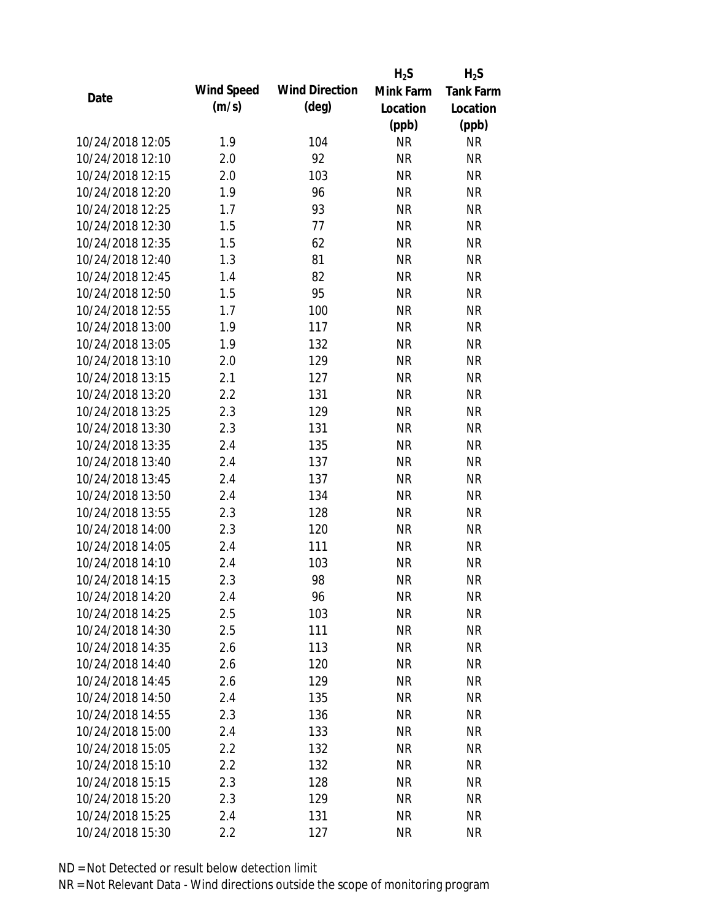|                  |            |                       | $H_2S$    | $H_2S$           |
|------------------|------------|-----------------------|-----------|------------------|
| Date             | Wind Speed | <b>Wind Direction</b> | Mink Farm | <b>Tank Farm</b> |
|                  | (m/s)      | (deg)                 | Location  | Location         |
|                  |            |                       | (ppb)     | (ppb)            |
| 10/24/2018 12:05 | 1.9        | 104                   | <b>NR</b> | <b>NR</b>        |
| 10/24/2018 12:10 | 2.0        | 92                    | <b>NR</b> | <b>NR</b>        |
| 10/24/2018 12:15 | 2.0        | 103                   | <b>NR</b> | <b>NR</b>        |
| 10/24/2018 12:20 | 1.9        | 96                    | <b>NR</b> | <b>NR</b>        |
| 10/24/2018 12:25 | 1.7        | 93                    | <b>NR</b> | <b>NR</b>        |
| 10/24/2018 12:30 | 1.5        | 77                    | <b>NR</b> | <b>NR</b>        |
| 10/24/2018 12:35 | 1.5        | 62                    | <b>NR</b> | <b>NR</b>        |
| 10/24/2018 12:40 | 1.3        | 81                    | <b>NR</b> | <b>NR</b>        |
| 10/24/2018 12:45 | 1.4        | 82                    | <b>NR</b> | <b>NR</b>        |
| 10/24/2018 12:50 | 1.5        | 95                    | <b>NR</b> | <b>NR</b>        |
| 10/24/2018 12:55 | 1.7        | 100                   | <b>NR</b> | <b>NR</b>        |
| 10/24/2018 13:00 | 1.9        | 117                   | <b>NR</b> | <b>NR</b>        |
| 10/24/2018 13:05 | 1.9        | 132                   | <b>NR</b> | <b>NR</b>        |
| 10/24/2018 13:10 | 2.0        | 129                   | <b>NR</b> | <b>NR</b>        |
| 10/24/2018 13:15 | 2.1        | 127                   | <b>NR</b> | <b>NR</b>        |
| 10/24/2018 13:20 | 2.2        | 131                   | <b>NR</b> | <b>NR</b>        |
| 10/24/2018 13:25 | 2.3        | 129                   | <b>NR</b> | <b>NR</b>        |
| 10/24/2018 13:30 | 2.3        | 131                   | <b>NR</b> | <b>NR</b>        |
| 10/24/2018 13:35 | 2.4        | 135                   | <b>NR</b> | <b>NR</b>        |
| 10/24/2018 13:40 | 2.4        | 137                   | <b>NR</b> | <b>NR</b>        |
| 10/24/2018 13:45 | 2.4        | 137                   | <b>NR</b> | <b>NR</b>        |
| 10/24/2018 13:50 | 2.4        | 134                   | <b>NR</b> | <b>NR</b>        |
| 10/24/2018 13:55 | 2.3        | 128                   | <b>NR</b> | <b>NR</b>        |
| 10/24/2018 14:00 | 2.3        | 120                   | <b>NR</b> | <b>NR</b>        |
| 10/24/2018 14:05 | 2.4        | 111                   | <b>NR</b> | <b>NR</b>        |
| 10/24/2018 14:10 | 2.4        | 103                   | <b>NR</b> | <b>NR</b>        |
| 10/24/2018 14:15 | 2.3        | 98                    | <b>NR</b> | <b>NR</b>        |
| 10/24/2018 14:20 | 2.4        | 96                    | <b>NR</b> | <b>NR</b>        |
| 10/24/2018 14:25 | 2.5        | 103                   | <b>NR</b> | <b>NR</b>        |
| 10/24/2018 14:30 | 2.5        | 111                   | <b>NR</b> | <b>NR</b>        |
| 10/24/2018 14:35 | 2.6        | 113                   | <b>NR</b> | <b>NR</b>        |
| 10/24/2018 14:40 | 2.6        | 120                   | <b>NR</b> | <b>NR</b>        |
| 10/24/2018 14:45 | 2.6        | 129                   | <b>NR</b> | <b>NR</b>        |
| 10/24/2018 14:50 | 2.4        | 135                   | <b>NR</b> | <b>NR</b>        |
| 10/24/2018 14:55 | 2.3        | 136                   | <b>NR</b> | <b>NR</b>        |
| 10/24/2018 15:00 | 2.4        | 133                   | <b>NR</b> | <b>NR</b>        |
| 10/24/2018 15:05 | $2.2\,$    | 132                   | <b>NR</b> | <b>NR</b>        |
| 10/24/2018 15:10 | $2.2\,$    | 132                   | <b>NR</b> | <b>NR</b>        |
| 10/24/2018 15:15 | 2.3        | 128                   | <b>NR</b> | NR               |
| 10/24/2018 15:20 | 2.3        | 129                   | <b>NR</b> | <b>NR</b>        |
| 10/24/2018 15:25 | 2.4        | 131                   | <b>NR</b> | <b>NR</b>        |
| 10/24/2018 15:30 | 2.2        | 127                   | <b>NR</b> | <b>NR</b>        |
|                  |            |                       |           |                  |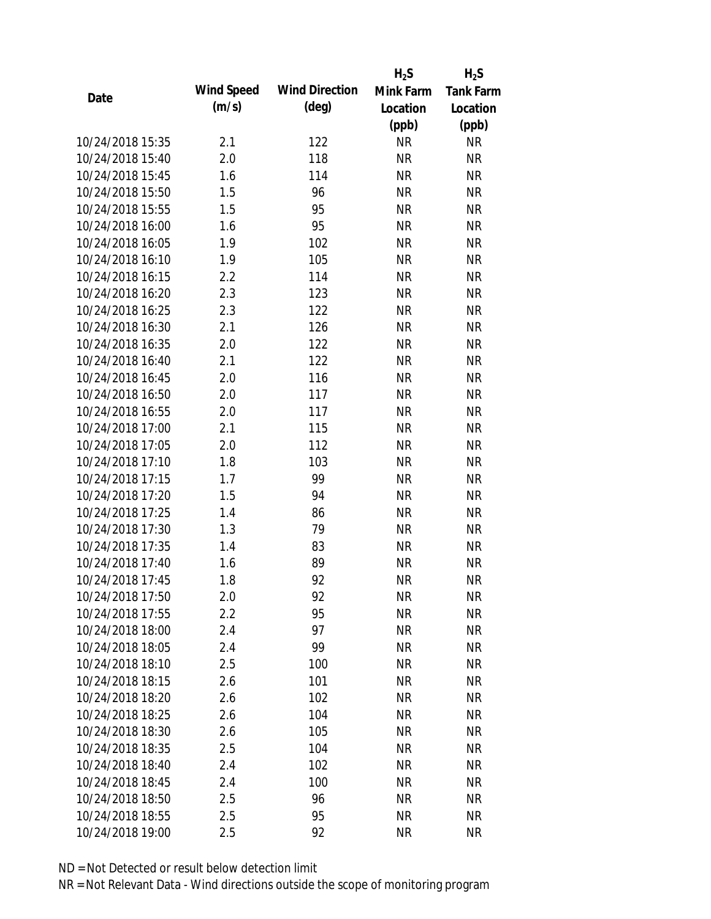|                  |            |                       | $H_2S$    | $H_2S$           |
|------------------|------------|-----------------------|-----------|------------------|
| Date             | Wind Speed | <b>Wind Direction</b> | Mink Farm | <b>Tank Farm</b> |
|                  | (m/s)      | $(\text{deg})$        | Location  | Location         |
|                  |            |                       | (ppb)     | (ppb)            |
| 10/24/2018 15:35 | 2.1        | 122                   | <b>NR</b> | <b>NR</b>        |
| 10/24/2018 15:40 | 2.0        | 118                   | <b>NR</b> | <b>NR</b>        |
| 10/24/2018 15:45 | 1.6        | 114                   | <b>NR</b> | <b>NR</b>        |
| 10/24/2018 15:50 | 1.5        | 96                    | <b>NR</b> | <b>NR</b>        |
| 10/24/2018 15:55 | 1.5        | 95                    | <b>NR</b> | <b>NR</b>        |
| 10/24/2018 16:00 | 1.6        | 95                    | <b>NR</b> | <b>NR</b>        |
| 10/24/2018 16:05 | 1.9        | 102                   | <b>NR</b> | <b>NR</b>        |
| 10/24/2018 16:10 | 1.9        | 105                   | <b>NR</b> | <b>NR</b>        |
| 10/24/2018 16:15 | 2.2        | 114                   | <b>NR</b> | <b>NR</b>        |
| 10/24/2018 16:20 | 2.3        | 123                   | <b>NR</b> | <b>NR</b>        |
| 10/24/2018 16:25 | 2.3        | 122                   | <b>NR</b> | <b>NR</b>        |
| 10/24/2018 16:30 | 2.1        | 126                   | <b>NR</b> | <b>NR</b>        |
| 10/24/2018 16:35 | 2.0        | 122                   | <b>NR</b> | <b>NR</b>        |
| 10/24/2018 16:40 | 2.1        | 122                   | <b>NR</b> | <b>NR</b>        |
| 10/24/2018 16:45 | 2.0        | 116                   | <b>NR</b> | <b>NR</b>        |
| 10/24/2018 16:50 | 2.0        | 117                   | <b>NR</b> | <b>NR</b>        |
| 10/24/2018 16:55 | 2.0        | 117                   | <b>NR</b> | <b>NR</b>        |
| 10/24/2018 17:00 | 2.1        | 115                   | <b>NR</b> | <b>NR</b>        |
| 10/24/2018 17:05 | 2.0        | 112                   | <b>NR</b> | <b>NR</b>        |
| 10/24/2018 17:10 | 1.8        | 103                   | <b>NR</b> | <b>NR</b>        |
| 10/24/2018 17:15 | 1.7        | 99                    | <b>NR</b> | <b>NR</b>        |
| 10/24/2018 17:20 | 1.5        | 94                    | <b>NR</b> | <b>NR</b>        |
| 10/24/2018 17:25 | 1.4        | 86                    | <b>NR</b> | <b>NR</b>        |
| 10/24/2018 17:30 | 1.3        | 79                    | <b>NR</b> | <b>NR</b>        |
| 10/24/2018 17:35 | 1.4        | 83                    | <b>NR</b> | <b>NR</b>        |
| 10/24/2018 17:40 | 1.6        | 89                    | <b>NR</b> | <b>NR</b>        |
| 10/24/2018 17:45 | 1.8        | 92                    | <b>NR</b> | <b>NR</b>        |
| 10/24/2018 17:50 | 2.0        | 92                    | <b>NR</b> | <b>NR</b>        |
| 10/24/2018 17:55 | 2.2        | 95                    | <b>NR</b> | <b>NR</b>        |
| 10/24/2018 18:00 | 2.4        | 97                    | <b>NR</b> | <b>NR</b>        |
| 10/24/2018 18:05 | 2.4        | 99                    | <b>NR</b> | <b>NR</b>        |
| 10/24/2018 18:10 | 2.5        | 100                   | <b>NR</b> | <b>NR</b>        |
| 10/24/2018 18:15 | 2.6        | 101                   | <b>NR</b> | <b>NR</b>        |
| 10/24/2018 18:20 | 2.6        | 102                   | <b>NR</b> | <b>NR</b>        |
| 10/24/2018 18:25 | 2.6        | 104                   | <b>NR</b> | NR               |
| 10/24/2018 18:30 | 2.6        | 105                   | <b>NR</b> | <b>NR</b>        |
| 10/24/2018 18:35 | 2.5        | 104                   | <b>NR</b> | <b>NR</b>        |
| 10/24/2018 18:40 | 2.4        | 102                   | <b>NR</b> | <b>NR</b>        |
| 10/24/2018 18:45 | 2.4        | 100                   | <b>NR</b> | NR               |
| 10/24/2018 18:50 | 2.5        | 96                    | <b>NR</b> | <b>NR</b>        |
| 10/24/2018 18:55 | 2.5        | 95                    | <b>NR</b> | <b>NR</b>        |
| 10/24/2018 19:00 | 2.5        | 92                    | <b>NR</b> | <b>NR</b>        |
|                  |            |                       |           |                  |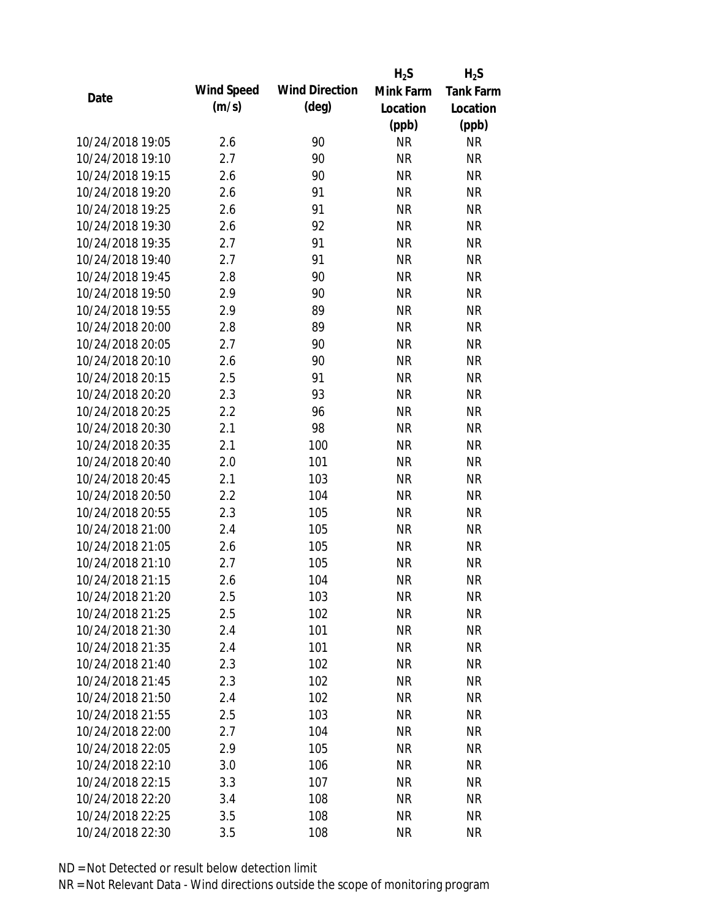|                  |            |                       | $H_2S$    | $H_2S$           |
|------------------|------------|-----------------------|-----------|------------------|
| Date             | Wind Speed | <b>Wind Direction</b> | Mink Farm | <b>Tank Farm</b> |
|                  | (m/s)      | $(\text{deg})$        | Location  | Location         |
|                  |            |                       | (ppb)     | (ppb)            |
| 10/24/2018 19:05 | 2.6        | 90                    | <b>NR</b> | <b>NR</b>        |
| 10/24/2018 19:10 | 2.7        | 90                    | <b>NR</b> | <b>NR</b>        |
| 10/24/2018 19:15 | 2.6        | 90                    | <b>NR</b> | <b>NR</b>        |
| 10/24/2018 19:20 | 2.6        | 91                    | <b>NR</b> | <b>NR</b>        |
| 10/24/2018 19:25 | 2.6        | 91                    | <b>NR</b> | <b>NR</b>        |
| 10/24/2018 19:30 | 2.6        | 92                    | <b>NR</b> | <b>NR</b>        |
| 10/24/2018 19:35 | 2.7        | 91                    | <b>NR</b> | <b>NR</b>        |
| 10/24/2018 19:40 | 2.7        | 91                    | <b>NR</b> | <b>NR</b>        |
| 10/24/2018 19:45 | 2.8        | 90                    | <b>NR</b> | <b>NR</b>        |
| 10/24/2018 19:50 | 2.9        | 90                    | <b>NR</b> | <b>NR</b>        |
| 10/24/2018 19:55 | 2.9        | 89                    | <b>NR</b> | <b>NR</b>        |
| 10/24/2018 20:00 | 2.8        | 89                    | <b>NR</b> | <b>NR</b>        |
| 10/24/2018 20:05 | 2.7        | 90                    | <b>NR</b> | <b>NR</b>        |
| 10/24/2018 20:10 | 2.6        | 90                    | <b>NR</b> | <b>NR</b>        |
| 10/24/2018 20:15 | 2.5        | 91                    | <b>NR</b> | <b>NR</b>        |
| 10/24/2018 20:20 | 2.3        | 93                    | <b>NR</b> | <b>NR</b>        |
| 10/24/2018 20:25 | 2.2        | 96                    | <b>NR</b> | <b>NR</b>        |
| 10/24/2018 20:30 | 2.1        | 98                    | <b>NR</b> | <b>NR</b>        |
| 10/24/2018 20:35 | 2.1        | 100                   | <b>NR</b> | <b>NR</b>        |
| 10/24/2018 20:40 | 2.0        | 101                   | <b>NR</b> | <b>NR</b>        |
| 10/24/2018 20:45 | 2.1        | 103                   | <b>NR</b> | <b>NR</b>        |
| 10/24/2018 20:50 | 2.2        | 104                   | <b>NR</b> | <b>NR</b>        |
| 10/24/2018 20:55 | 2.3        | 105                   | <b>NR</b> | <b>NR</b>        |
| 10/24/2018 21:00 | 2.4        | 105                   | <b>NR</b> | <b>NR</b>        |
| 10/24/2018 21:05 | 2.6        | 105                   | <b>NR</b> | <b>NR</b>        |
| 10/24/2018 21:10 | 2.7        | 105                   | <b>NR</b> | <b>NR</b>        |
| 10/24/2018 21:15 | 2.6        | 104                   | <b>NR</b> | <b>NR</b>        |
| 10/24/2018 21:20 | 2.5        | 103                   | <b>NR</b> | <b>NR</b>        |
| 10/24/2018 21:25 | 2.5        | 102                   | <b>NR</b> | <b>NR</b>        |
| 10/24/2018 21:30 | 2.4        | 101                   | <b>NR</b> | <b>NR</b>        |
| 10/24/2018 21:35 | 2.4        | 101                   | <b>NR</b> | NR               |
| 10/24/2018 21:40 | 2.3        | 102                   | <b>NR</b> | NR               |
| 10/24/2018 21:45 | 2.3        | 102                   | <b>NR</b> | NR               |
| 10/24/2018 21:50 | 2.4        | 102                   | <b>NR</b> | <b>NR</b>        |
| 10/24/2018 21:55 | 2.5        | 103                   | <b>NR</b> | <b>NR</b>        |
| 10/24/2018 22:00 | 2.7        | 104                   | <b>NR</b> | <b>NR</b>        |
| 10/24/2018 22:05 | 2.9        | 105                   | <b>NR</b> | <b>NR</b>        |
| 10/24/2018 22:10 | 3.0        | 106                   | <b>NR</b> | <b>NR</b>        |
| 10/24/2018 22:15 | 3.3        | 107                   | <b>NR</b> | <b>NR</b>        |
| 10/24/2018 22:20 | 3.4        | 108                   | <b>NR</b> | <b>NR</b>        |
| 10/24/2018 22:25 | 3.5        | 108                   | <b>NR</b> | NR               |
| 10/24/2018 22:30 | 3.5        | 108                   | <b>NR</b> | <b>NR</b>        |
|                  |            |                       |           |                  |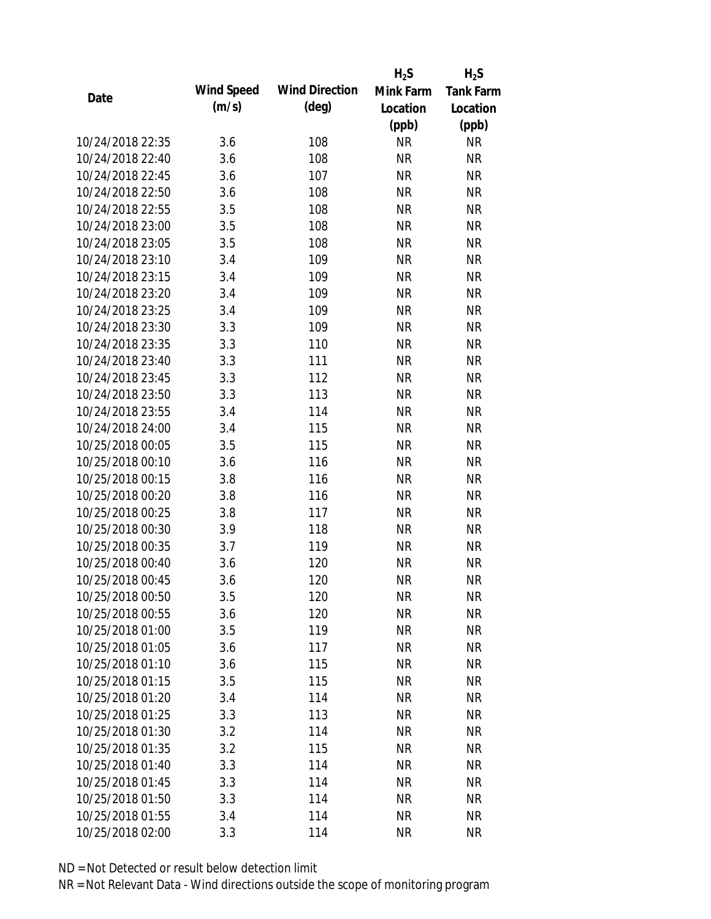|                  |            |                       | $H_2S$    | $H_2S$           |
|------------------|------------|-----------------------|-----------|------------------|
| Date             | Wind Speed | <b>Wind Direction</b> | Mink Farm | <b>Tank Farm</b> |
|                  | (m/s)      | $(\text{deg})$        | Location  | Location         |
|                  |            |                       | (ppb)     | (ppb)            |
| 10/24/2018 22:35 | 3.6        | 108                   | <b>NR</b> | <b>NR</b>        |
| 10/24/2018 22:40 | 3.6        | 108                   | <b>NR</b> | <b>NR</b>        |
| 10/24/2018 22:45 | 3.6        | 107                   | <b>NR</b> | <b>NR</b>        |
| 10/24/2018 22:50 | 3.6        | 108                   | <b>NR</b> | <b>NR</b>        |
| 10/24/2018 22:55 | 3.5        | 108                   | <b>NR</b> | <b>NR</b>        |
| 10/24/2018 23:00 | 3.5        | 108                   | <b>NR</b> | <b>NR</b>        |
| 10/24/2018 23:05 | 3.5        | 108                   | <b>NR</b> | <b>NR</b>        |
| 10/24/2018 23:10 | 3.4        | 109                   | <b>NR</b> | <b>NR</b>        |
| 10/24/2018 23:15 | 3.4        | 109                   | <b>NR</b> | <b>NR</b>        |
| 10/24/2018 23:20 | 3.4        | 109                   | <b>NR</b> | <b>NR</b>        |
| 10/24/2018 23:25 | 3.4        | 109                   | <b>NR</b> | <b>NR</b>        |
| 10/24/2018 23:30 | 3.3        | 109                   | <b>NR</b> | <b>NR</b>        |
| 10/24/2018 23:35 | 3.3        | 110                   | <b>NR</b> | <b>NR</b>        |
| 10/24/2018 23:40 | 3.3        | 111                   | <b>NR</b> | <b>NR</b>        |
| 10/24/2018 23:45 | 3.3        | 112                   | <b>NR</b> | <b>NR</b>        |
| 10/24/2018 23:50 | 3.3        | 113                   | <b>NR</b> | <b>NR</b>        |
| 10/24/2018 23:55 | 3.4        | 114                   | <b>NR</b> | <b>NR</b>        |
| 10/24/2018 24:00 | 3.4        | 115                   | <b>NR</b> | <b>NR</b>        |
| 10/25/2018 00:05 | 3.5        | 115                   | <b>NR</b> | <b>NR</b>        |
| 10/25/2018 00:10 | 3.6        | 116                   | <b>NR</b> | <b>NR</b>        |
| 10/25/2018 00:15 | 3.8        | 116                   | <b>NR</b> | <b>NR</b>        |
| 10/25/2018 00:20 | 3.8        | 116                   | <b>NR</b> | <b>NR</b>        |
| 10/25/2018 00:25 | 3.8        | 117                   | <b>NR</b> | <b>NR</b>        |
| 10/25/2018 00:30 | 3.9        | 118                   | <b>NR</b> | <b>NR</b>        |
| 10/25/2018 00:35 | 3.7        | 119                   | <b>NR</b> | <b>NR</b>        |
| 10/25/2018 00:40 | 3.6        | 120                   | <b>NR</b> | <b>NR</b>        |
| 10/25/2018 00:45 | 3.6        | 120                   | <b>NR</b> | <b>NR</b>        |
| 10/25/2018 00:50 | 3.5        | 120                   | <b>NR</b> | <b>NR</b>        |
| 10/25/2018 00:55 | 3.6        | 120                   | <b>NR</b> | <b>NR</b>        |
| 10/25/2018 01:00 | 3.5        | 119                   | <b>NR</b> | NR               |
| 10/25/2018 01:05 | 3.6        | 117                   | <b>NR</b> | NR               |
| 10/25/2018 01:10 | 3.6        | 115                   | <b>NR</b> | <b>NR</b>        |
| 10/25/2018 01:15 | 3.5        | 115                   | <b>NR</b> | <b>NR</b>        |
| 10/25/2018 01:20 | 3.4        | 114                   | <b>NR</b> | <b>NR</b>        |
| 10/25/2018 01:25 | 3.3        | 113                   | <b>NR</b> | <b>NR</b>        |
| 10/25/2018 01:30 | 3.2        | 114                   | <b>NR</b> | <b>NR</b>        |
| 10/25/2018 01:35 | 3.2        | 115                   | <b>NR</b> | NR               |
| 10/25/2018 01:40 | 3.3        | 114                   | <b>NR</b> | NR               |
| 10/25/2018 01:45 | 3.3        | 114                   | <b>NR</b> | <b>NR</b>        |
| 10/25/2018 01:50 | 3.3        | 114                   | <b>NR</b> | <b>NR</b>        |
| 10/25/2018 01:55 | 3.4        | 114                   | <b>NR</b> | <b>NR</b>        |
| 10/25/2018 02:00 | 3.3        | 114                   | <b>NR</b> | <b>NR</b>        |
|                  |            |                       |           |                  |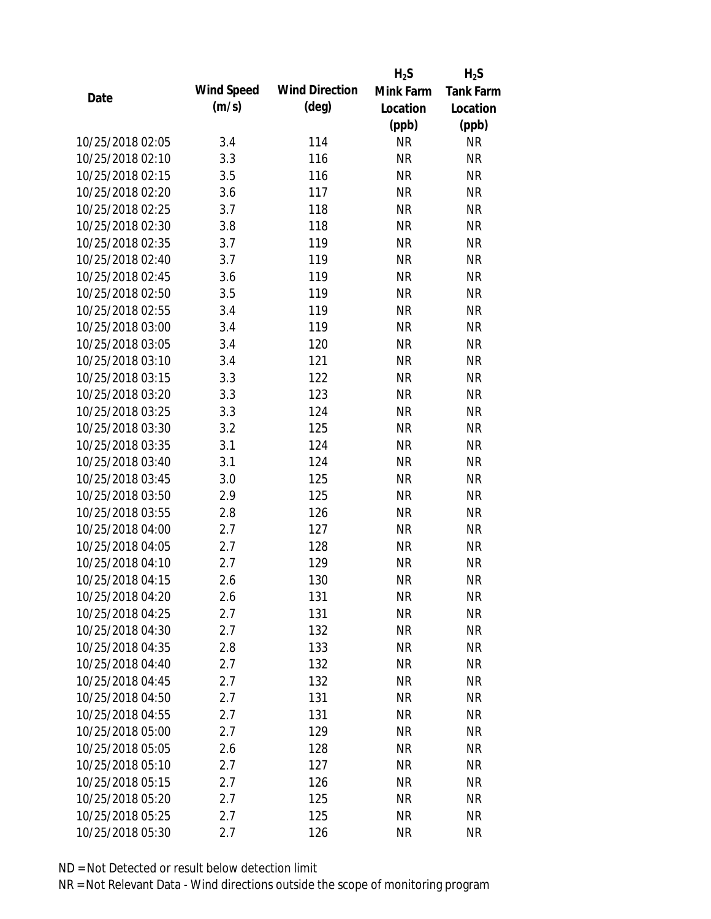|                  |            |                       | $H_2S$    | $H_2S$           |
|------------------|------------|-----------------------|-----------|------------------|
| Date             | Wind Speed | <b>Wind Direction</b> | Mink Farm | <b>Tank Farm</b> |
|                  | (m/s)      | $(\text{deg})$        | Location  | Location         |
|                  |            |                       | (ppb)     | (ppb)            |
| 10/25/2018 02:05 | 3.4        | 114                   | <b>NR</b> | <b>NR</b>        |
| 10/25/2018 02:10 | 3.3        | 116                   | <b>NR</b> | <b>NR</b>        |
| 10/25/2018 02:15 | 3.5        | 116                   | <b>NR</b> | <b>NR</b>        |
| 10/25/2018 02:20 | 3.6        | 117                   | <b>NR</b> | <b>NR</b>        |
| 10/25/2018 02:25 | 3.7        | 118                   | <b>NR</b> | <b>NR</b>        |
| 10/25/2018 02:30 | 3.8        | 118                   | <b>NR</b> | <b>NR</b>        |
| 10/25/2018 02:35 | 3.7        | 119                   | <b>NR</b> | <b>NR</b>        |
| 10/25/2018 02:40 | 3.7        | 119                   | <b>NR</b> | <b>NR</b>        |
| 10/25/2018 02:45 | 3.6        | 119                   | <b>NR</b> | <b>NR</b>        |
| 10/25/2018 02:50 | 3.5        | 119                   | <b>NR</b> | <b>NR</b>        |
| 10/25/2018 02:55 | 3.4        | 119                   | <b>NR</b> | <b>NR</b>        |
| 10/25/2018 03:00 | 3.4        | 119                   | <b>NR</b> | <b>NR</b>        |
| 10/25/2018 03:05 | 3.4        | 120                   | <b>NR</b> | <b>NR</b>        |
| 10/25/2018 03:10 | 3.4        | 121                   | <b>NR</b> | <b>NR</b>        |
| 10/25/2018 03:15 | 3.3        | 122                   | <b>NR</b> | <b>NR</b>        |
| 10/25/2018 03:20 | 3.3        | 123                   | <b>NR</b> | <b>NR</b>        |
| 10/25/2018 03:25 | 3.3        | 124                   | <b>NR</b> | <b>NR</b>        |
| 10/25/2018 03:30 | 3.2        | 125                   | <b>NR</b> | <b>NR</b>        |
| 10/25/2018 03:35 | 3.1        | 124                   | <b>NR</b> | <b>NR</b>        |
| 10/25/2018 03:40 | 3.1        | 124                   | <b>NR</b> | <b>NR</b>        |
| 10/25/2018 03:45 | 3.0        | 125                   | <b>NR</b> | <b>NR</b>        |
| 10/25/2018 03:50 | 2.9        | 125                   | <b>NR</b> | <b>NR</b>        |
| 10/25/2018 03:55 | 2.8        | 126                   | <b>NR</b> | <b>NR</b>        |
| 10/25/2018 04:00 | 2.7        | 127                   | <b>NR</b> | <b>NR</b>        |
| 10/25/2018 04:05 | 2.7        | 128                   | <b>NR</b> | <b>NR</b>        |
| 10/25/2018 04:10 | 2.7        | 129                   | <b>NR</b> | <b>NR</b>        |
| 10/25/2018 04:15 | 2.6        | 130                   | <b>NR</b> | <b>NR</b>        |
| 10/25/2018 04:20 | 2.6        | 131                   | <b>NR</b> | <b>NR</b>        |
| 10/25/2018 04:25 | 2.7        | 131                   | <b>NR</b> | <b>NR</b>        |
| 10/25/2018 04:30 | 2.7        | 132                   | <b>NR</b> | <b>NR</b>        |
| 10/25/2018 04:35 | 2.8        | 133                   | <b>NR</b> | <b>NR</b>        |
| 10/25/2018 04:40 | 2.7        | 132                   | <b>NR</b> | <b>NR</b>        |
| 10/25/2018 04:45 | 2.7        | 132                   | <b>NR</b> | <b>NR</b>        |
| 10/25/2018 04:50 | 2.7        | 131                   | <b>NR</b> | <b>NR</b>        |
| 10/25/2018 04:55 | 2.7        | 131                   | <b>NR</b> | <b>NR</b>        |
| 10/25/2018 05:00 | 2.7        | 129                   | <b>NR</b> | <b>NR</b>        |
| 10/25/2018 05:05 | 2.6        | 128                   | <b>NR</b> | <b>NR</b>        |
| 10/25/2018 05:10 | 2.7        | 127                   | NR        | <b>NR</b>        |
| 10/25/2018 05:15 | 2.7        | 126                   | <b>NR</b> | <b>NR</b>        |
| 10/25/2018 05:20 | 2.7        | 125                   | <b>NR</b> | <b>NR</b>        |
| 10/25/2018 05:25 | 2.7        | 125                   | <b>NR</b> | <b>NR</b>        |
| 10/25/2018 05:30 | 2.7        | 126                   | <b>NR</b> | <b>NR</b>        |
|                  |            |                       |           |                  |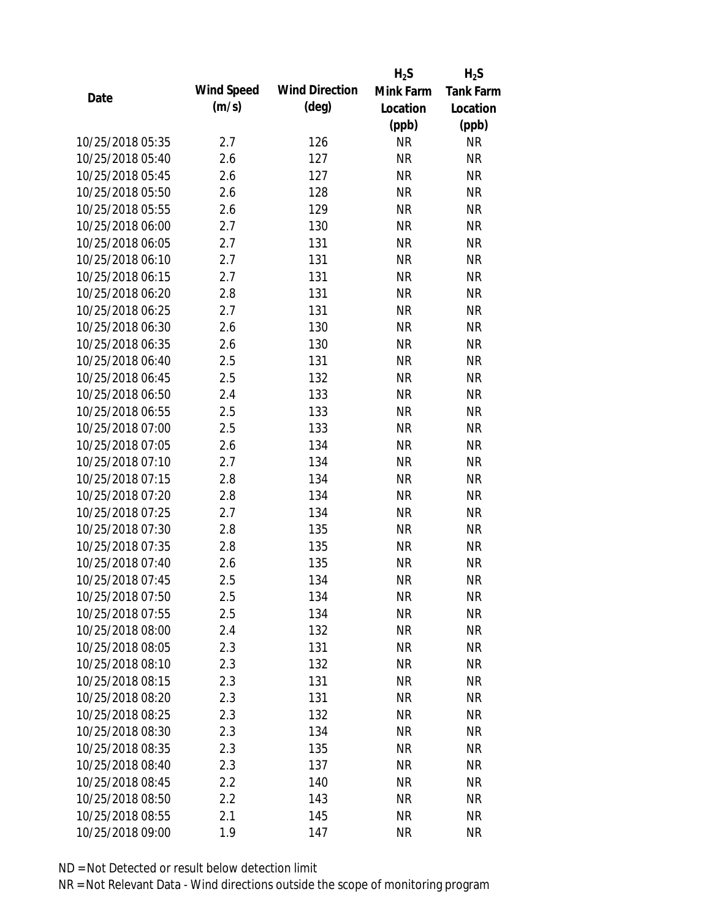|                  |            |                       | $H_2S$    | $H_2S$           |
|------------------|------------|-----------------------|-----------|------------------|
| Date             | Wind Speed | <b>Wind Direction</b> | Mink Farm | <b>Tank Farm</b> |
|                  | (m/s)      | $(\text{deg})$        | Location  | Location         |
|                  |            |                       | (ppb)     | (ppb)            |
| 10/25/2018 05:35 | 2.7        | 126                   | <b>NR</b> | <b>NR</b>        |
| 10/25/2018 05:40 | 2.6        | 127                   | <b>NR</b> | <b>NR</b>        |
| 10/25/2018 05:45 | 2.6        | 127                   | <b>NR</b> | <b>NR</b>        |
| 10/25/2018 05:50 | 2.6        | 128                   | <b>NR</b> | <b>NR</b>        |
| 10/25/2018 05:55 | 2.6        | 129                   | <b>NR</b> | <b>NR</b>        |
| 10/25/2018 06:00 | 2.7        | 130                   | <b>NR</b> | <b>NR</b>        |
| 10/25/2018 06:05 | 2.7        | 131                   | <b>NR</b> | <b>NR</b>        |
| 10/25/2018 06:10 | 2.7        | 131                   | <b>NR</b> | <b>NR</b>        |
| 10/25/2018 06:15 | 2.7        | 131                   | <b>NR</b> | <b>NR</b>        |
| 10/25/2018 06:20 | 2.8        | 131                   | <b>NR</b> | <b>NR</b>        |
| 10/25/2018 06:25 | 2.7        | 131                   | <b>NR</b> | <b>NR</b>        |
| 10/25/2018 06:30 | 2.6        | 130                   | <b>NR</b> | <b>NR</b>        |
| 10/25/2018 06:35 | 2.6        | 130                   | <b>NR</b> | <b>NR</b>        |
| 10/25/2018 06:40 | 2.5        | 131                   | <b>NR</b> | <b>NR</b>        |
| 10/25/2018 06:45 | 2.5        | 132                   | <b>NR</b> | <b>NR</b>        |
| 10/25/2018 06:50 | 2.4        | 133                   | <b>NR</b> | <b>NR</b>        |
| 10/25/2018 06:55 | 2.5        | 133                   | <b>NR</b> | <b>NR</b>        |
| 10/25/2018 07:00 | 2.5        | 133                   | <b>NR</b> | <b>NR</b>        |
| 10/25/2018 07:05 | 2.6        | 134                   | <b>NR</b> | <b>NR</b>        |
| 10/25/2018 07:10 | 2.7        | 134                   | <b>NR</b> | <b>NR</b>        |
| 10/25/2018 07:15 | 2.8        | 134                   | <b>NR</b> | <b>NR</b>        |
| 10/25/2018 07:20 | 2.8        | 134                   | <b>NR</b> | <b>NR</b>        |
| 10/25/2018 07:25 | 2.7        | 134                   | <b>NR</b> | <b>NR</b>        |
| 10/25/2018 07:30 | 2.8        | 135                   | <b>NR</b> | <b>NR</b>        |
| 10/25/2018 07:35 | 2.8        | 135                   | <b>NR</b> | <b>NR</b>        |
| 10/25/2018 07:40 | 2.6        | 135                   | <b>NR</b> | <b>NR</b>        |
| 10/25/2018 07:45 | 2.5        | 134                   | <b>NR</b> | <b>NR</b>        |
| 10/25/2018 07:50 | 2.5        | 134                   | <b>NR</b> | <b>NR</b>        |
| 10/25/2018 07:55 | 2.5        | 134                   | <b>NR</b> | <b>NR</b>        |
| 10/25/2018 08:00 | 2.4        | 132                   | <b>NR</b> | <b>NR</b>        |
| 10/25/2018 08:05 | 2.3        | 131                   | <b>NR</b> | <b>NR</b>        |
| 10/25/2018 08:10 | 2.3        | 132                   | <b>NR</b> | <b>NR</b>        |
| 10/25/2018 08:15 | 2.3        | 131                   | <b>NR</b> | <b>NR</b>        |
| 10/25/2018 08:20 | 2.3        | 131                   | <b>NR</b> | <b>NR</b>        |
| 10/25/2018 08:25 | 2.3        | 132                   | <b>NR</b> | <b>NR</b>        |
| 10/25/2018 08:30 | 2.3        | 134                   | <b>NR</b> | <b>NR</b>        |
| 10/25/2018 08:35 | 2.3        | 135                   | <b>NR</b> | <b>NR</b>        |
| 10/25/2018 08:40 | 2.3        | 137                   | <b>NR</b> | <b>NR</b>        |
| 10/25/2018 08:45 | 2.2        | 140                   | <b>NR</b> | NR               |
| 10/25/2018 08:50 | 2.2        | 143                   | <b>NR</b> | <b>NR</b>        |
| 10/25/2018 08:55 | 2.1        | 145                   | <b>NR</b> | <b>NR</b>        |
| 10/25/2018 09:00 | 1.9        | 147                   | <b>NR</b> | <b>NR</b>        |
|                  |            |                       |           |                  |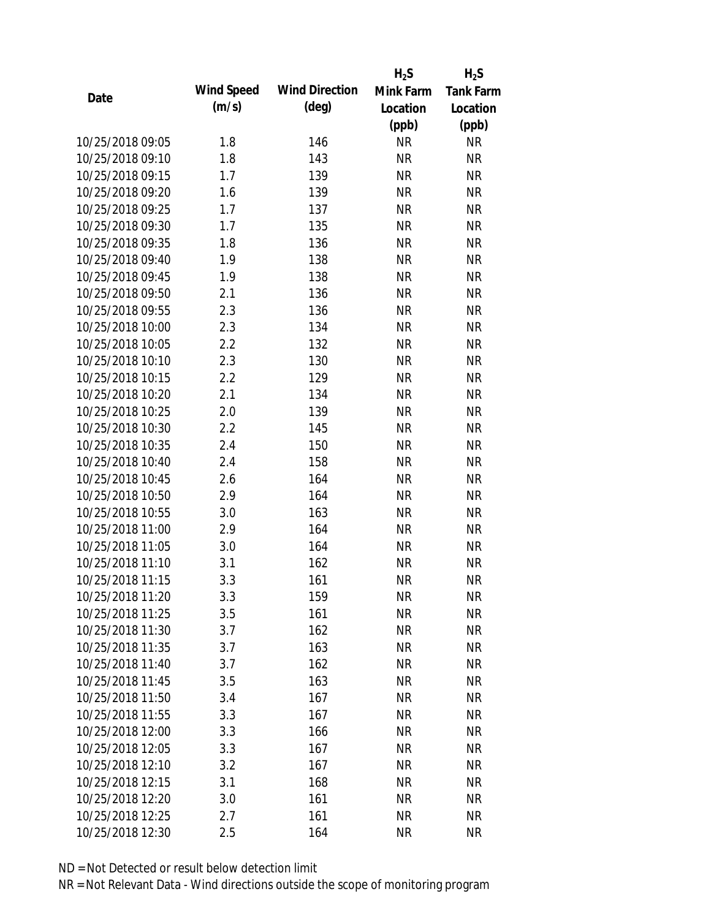|                  |            |                       | $H_2S$    | $H_2S$           |
|------------------|------------|-----------------------|-----------|------------------|
| Date             | Wind Speed | <b>Wind Direction</b> | Mink Farm | <b>Tank Farm</b> |
|                  | (m/s)      | $(\text{deg})$        | Location  | Location         |
|                  |            |                       | (ppb)     | (ppb)            |
| 10/25/2018 09:05 | 1.8        | 146                   | <b>NR</b> | NR               |
| 10/25/2018 09:10 | 1.8        | 143                   | <b>NR</b> | <b>NR</b>        |
| 10/25/2018 09:15 | 1.7        | 139                   | <b>NR</b> | <b>NR</b>        |
| 10/25/2018 09:20 | 1.6        | 139                   | <b>NR</b> | <b>NR</b>        |
| 10/25/2018 09:25 | 1.7        | 137                   | <b>NR</b> | <b>NR</b>        |
| 10/25/2018 09:30 | 1.7        | 135                   | <b>NR</b> | <b>NR</b>        |
| 10/25/2018 09:35 | 1.8        | 136                   | <b>NR</b> | <b>NR</b>        |
| 10/25/2018 09:40 | 1.9        | 138                   | <b>NR</b> | <b>NR</b>        |
| 10/25/2018 09:45 | 1.9        | 138                   | <b>NR</b> | <b>NR</b>        |
| 10/25/2018 09:50 | 2.1        | 136                   | <b>NR</b> | <b>NR</b>        |
| 10/25/2018 09:55 | 2.3        | 136                   | <b>NR</b> | <b>NR</b>        |
| 10/25/2018 10:00 | 2.3        | 134                   | <b>NR</b> | <b>NR</b>        |
| 10/25/2018 10:05 | 2.2        | 132                   | <b>NR</b> | <b>NR</b>        |
| 10/25/2018 10:10 | 2.3        | 130                   | <b>NR</b> | <b>NR</b>        |
| 10/25/2018 10:15 | 2.2        | 129                   | <b>NR</b> | <b>NR</b>        |
| 10/25/2018 10:20 | 2.1        | 134                   | <b>NR</b> | <b>NR</b>        |
| 10/25/2018 10:25 | 2.0        | 139                   | <b>NR</b> | <b>NR</b>        |
| 10/25/2018 10:30 | 2.2        | 145                   | <b>NR</b> | <b>NR</b>        |
| 10/25/2018 10:35 | 2.4        | 150                   | <b>NR</b> | <b>NR</b>        |
| 10/25/2018 10:40 | 2.4        | 158                   | <b>NR</b> | <b>NR</b>        |
| 10/25/2018 10:45 | 2.6        | 164                   | <b>NR</b> | <b>NR</b>        |
| 10/25/2018 10:50 | 2.9        | 164                   | <b>NR</b> | <b>NR</b>        |
| 10/25/2018 10:55 | 3.0        | 163                   | <b>NR</b> | <b>NR</b>        |
| 10/25/2018 11:00 | 2.9        | 164                   | <b>NR</b> | <b>NR</b>        |
| 10/25/2018 11:05 | 3.0        | 164                   | <b>NR</b> | <b>NR</b>        |
| 10/25/2018 11:10 | 3.1        | 162                   | <b>NR</b> | <b>NR</b>        |
| 10/25/2018 11:15 | 3.3        | 161                   | <b>NR</b> | <b>NR</b>        |
| 10/25/2018 11:20 | 3.3        | 159                   | <b>NR</b> | <b>NR</b>        |
| 10/25/2018 11:25 | 3.5        | 161                   | <b>NR</b> | <b>NR</b>        |
| 10/25/2018 11:30 | 3.7        | 162                   | <b>NR</b> | <b>NR</b>        |
| 10/25/2018 11:35 | 3.7        | 163                   | <b>NR</b> | <b>NR</b>        |
| 10/25/2018 11:40 | 3.7        | 162                   | <b>NR</b> | NR               |
| 10/25/2018 11:45 | 3.5        | 163                   | <b>NR</b> | <b>NR</b>        |
| 10/25/2018 11:50 | 3.4        | 167                   | <b>NR</b> | <b>NR</b>        |
| 10/25/2018 11:55 | 3.3        | 167                   | <b>NR</b> | <b>NR</b>        |
| 10/25/2018 12:00 | 3.3        | 166                   | <b>NR</b> | <b>NR</b>        |
| 10/25/2018 12:05 | 3.3        | 167                   | <b>NR</b> | <b>NR</b>        |
| 10/25/2018 12:10 | 3.2        | 167                   | NR        | <b>NR</b>        |
| 10/25/2018 12:15 | 3.1        | 168                   | <b>NR</b> | <b>NR</b>        |
| 10/25/2018 12:20 | 3.0        | 161                   | <b>NR</b> | NR               |
|                  |            |                       |           |                  |
| 10/25/2018 12:25 | 2.7        | 161                   | <b>NR</b> | <b>NR</b>        |
| 10/25/2018 12:30 | 2.5        | 164                   | <b>NR</b> | <b>NR</b>        |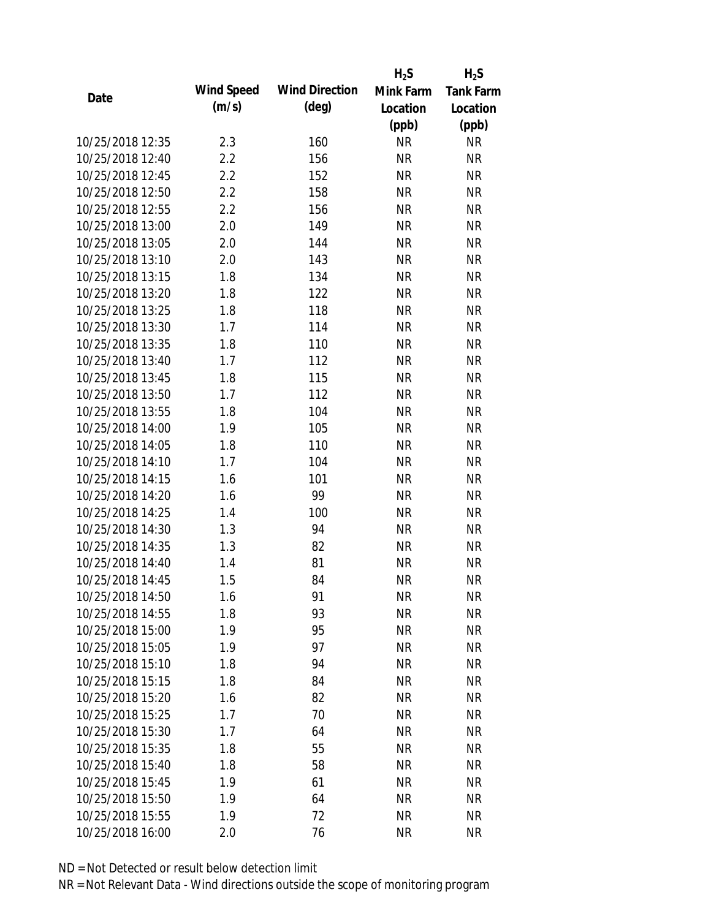|                  |            |                       | $H_2S$    | $H_2S$           |
|------------------|------------|-----------------------|-----------|------------------|
| Date             | Wind Speed | <b>Wind Direction</b> | Mink Farm | <b>Tank Farm</b> |
|                  | (m/s)      | (deg)                 | Location  | Location         |
|                  |            |                       | (ppb)     | (ppb)            |
| 10/25/2018 12:35 | 2.3        | 160                   | <b>NR</b> | <b>NR</b>        |
| 10/25/2018 12:40 | 2.2        | 156                   | <b>NR</b> | <b>NR</b>        |
| 10/25/2018 12:45 | 2.2        | 152                   | <b>NR</b> | <b>NR</b>        |
| 10/25/2018 12:50 | 2.2        | 158                   | <b>NR</b> | <b>NR</b>        |
| 10/25/2018 12:55 | 2.2        | 156                   | <b>NR</b> | <b>NR</b>        |
| 10/25/2018 13:00 | 2.0        | 149                   | <b>NR</b> | <b>NR</b>        |
| 10/25/2018 13:05 | 2.0        | 144                   | <b>NR</b> | <b>NR</b>        |
| 10/25/2018 13:10 | 2.0        | 143                   | <b>NR</b> | <b>NR</b>        |
| 10/25/2018 13:15 | 1.8        | 134                   | <b>NR</b> | <b>NR</b>        |
| 10/25/2018 13:20 | 1.8        | 122                   | <b>NR</b> | <b>NR</b>        |
| 10/25/2018 13:25 | 1.8        | 118                   | <b>NR</b> | <b>NR</b>        |
| 10/25/2018 13:30 | 1.7        | 114                   | <b>NR</b> | <b>NR</b>        |
| 10/25/2018 13:35 | 1.8        | 110                   | <b>NR</b> | <b>NR</b>        |
| 10/25/2018 13:40 | 1.7        | 112                   | <b>NR</b> | <b>NR</b>        |
| 10/25/2018 13:45 | 1.8        | 115                   | <b>NR</b> | <b>NR</b>        |
| 10/25/2018 13:50 | 1.7        | 112                   | <b>NR</b> | <b>NR</b>        |
| 10/25/2018 13:55 | 1.8        | 104                   | <b>NR</b> | <b>NR</b>        |
| 10/25/2018 14:00 | 1.9        | 105                   | <b>NR</b> | <b>NR</b>        |
| 10/25/2018 14:05 | 1.8        | 110                   | <b>NR</b> | <b>NR</b>        |
| 10/25/2018 14:10 | 1.7        | 104                   | <b>NR</b> | <b>NR</b>        |
| 10/25/2018 14:15 | 1.6        | 101                   | <b>NR</b> | <b>NR</b>        |
| 10/25/2018 14:20 | 1.6        | 99                    | <b>NR</b> | <b>NR</b>        |
| 10/25/2018 14:25 | 1.4        | 100                   | <b>NR</b> | <b>NR</b>        |
| 10/25/2018 14:30 | 1.3        | 94                    | <b>NR</b> | <b>NR</b>        |
| 10/25/2018 14:35 | 1.3        | 82                    | <b>NR</b> | <b>NR</b>        |
| 10/25/2018 14:40 | 1.4        | 81                    | <b>NR</b> | <b>NR</b>        |
| 10/25/2018 14:45 | 1.5        | 84                    | <b>NR</b> | <b>NR</b>        |
| 10/25/2018 14:50 | 1.6        | 91                    | <b>NR</b> | <b>NR</b>        |
| 10/25/2018 14:55 | 1.8        | 93                    | <b>NR</b> | <b>NR</b>        |
| 10/25/2018 15:00 | 1.9        | 95                    | <b>NR</b> | <b>NR</b>        |
| 10/25/2018 15:05 | 1.9        | 97                    | <b>NR</b> | <b>NR</b>        |
| 10/25/2018 15:10 | 1.8        | 94                    | <b>NR</b> | <b>NR</b>        |
| 10/25/2018 15:15 | 1.8        | 84                    | <b>NR</b> | <b>NR</b>        |
| 10/25/2018 15:20 | 1.6        | 82                    | <b>NR</b> | <b>NR</b>        |
| 10/25/2018 15:25 | 1.7        | 70                    | <b>NR</b> | <b>NR</b>        |
| 10/25/2018 15:30 | 1.7        | 64                    | <b>NR</b> | <b>NR</b>        |
| 10/25/2018 15:35 | 1.8        | 55                    | <b>NR</b> | <b>NR</b>        |
| 10/25/2018 15:40 | 1.8        | 58                    | <b>NR</b> | <b>NR</b>        |
| 10/25/2018 15:45 | 1.9        | 61                    | <b>NR</b> | <b>NR</b>        |
| 10/25/2018 15:50 | 1.9        | 64                    | <b>NR</b> | <b>NR</b>        |
| 10/25/2018 15:55 | 1.9        | 72                    | <b>NR</b> | <b>NR</b>        |
| 10/25/2018 16:00 | 2.0        | 76                    | <b>NR</b> | <b>NR</b>        |
|                  |            |                       |           |                  |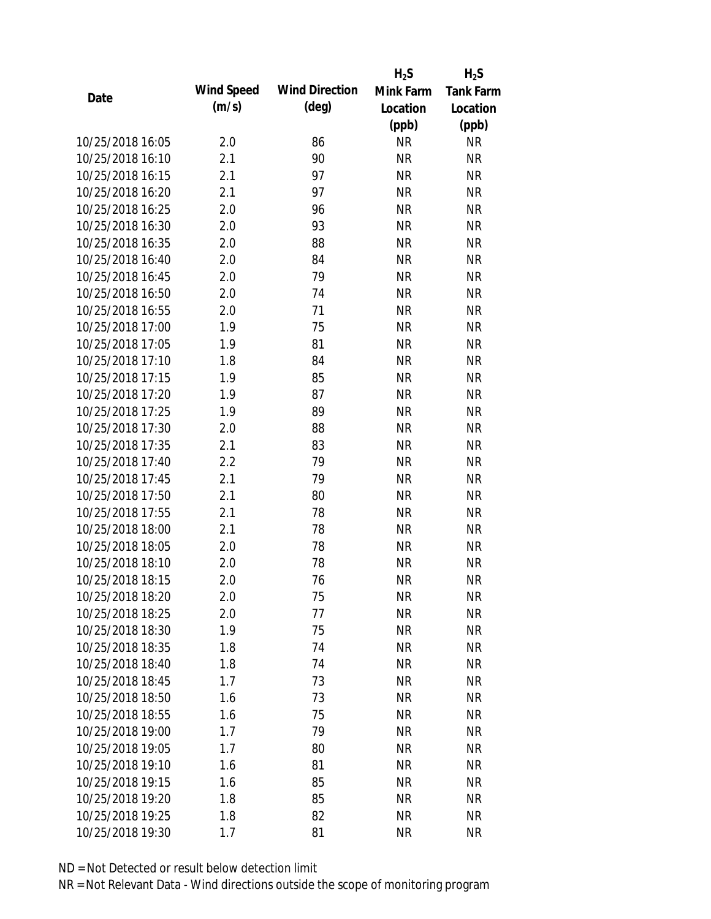|                  |            |                       | $H_2S$    | $H_2S$           |
|------------------|------------|-----------------------|-----------|------------------|
| Date             | Wind Speed | <b>Wind Direction</b> | Mink Farm | <b>Tank Farm</b> |
|                  | (m/s)      | $(\text{deg})$        | Location  | Location         |
|                  |            |                       | (ppb)     | (ppb)            |
| 10/25/2018 16:05 | 2.0        | 86                    | <b>NR</b> | <b>NR</b>        |
| 10/25/2018 16:10 | 2.1        | 90                    | <b>NR</b> | <b>NR</b>        |
| 10/25/2018 16:15 | 2.1        | 97                    | <b>NR</b> | <b>NR</b>        |
| 10/25/2018 16:20 | 2.1        | 97                    | <b>NR</b> | <b>NR</b>        |
| 10/25/2018 16:25 | 2.0        | 96                    | <b>NR</b> | <b>NR</b>        |
| 10/25/2018 16:30 | 2.0        | 93                    | <b>NR</b> | <b>NR</b>        |
| 10/25/2018 16:35 | 2.0        | 88                    | <b>NR</b> | <b>NR</b>        |
| 10/25/2018 16:40 | 2.0        | 84                    | <b>NR</b> | <b>NR</b>        |
| 10/25/2018 16:45 | 2.0        | 79                    | <b>NR</b> | <b>NR</b>        |
| 10/25/2018 16:50 | 2.0        | 74                    | <b>NR</b> | <b>NR</b>        |
| 10/25/2018 16:55 | 2.0        | 71                    | <b>NR</b> | <b>NR</b>        |
| 10/25/2018 17:00 | 1.9        | 75                    | <b>NR</b> | <b>NR</b>        |
| 10/25/2018 17:05 | 1.9        | 81                    | <b>NR</b> | <b>NR</b>        |
| 10/25/2018 17:10 | 1.8        | 84                    | <b>NR</b> | <b>NR</b>        |
| 10/25/2018 17:15 | 1.9        | 85                    | <b>NR</b> | <b>NR</b>        |
| 10/25/2018 17:20 | 1.9        | 87                    | <b>NR</b> | <b>NR</b>        |
| 10/25/2018 17:25 | 1.9        | 89                    | <b>NR</b> | <b>NR</b>        |
| 10/25/2018 17:30 | 2.0        | 88                    | <b>NR</b> | <b>NR</b>        |
| 10/25/2018 17:35 | 2.1        | 83                    | <b>NR</b> | <b>NR</b>        |
| 10/25/2018 17:40 | 2.2        | 79                    | <b>NR</b> | <b>NR</b>        |
| 10/25/2018 17:45 | 2.1        | 79                    | <b>NR</b> | <b>NR</b>        |
| 10/25/2018 17:50 | 2.1        | 80                    | <b>NR</b> | <b>NR</b>        |
| 10/25/2018 17:55 | 2.1        | 78                    | <b>NR</b> | <b>NR</b>        |
| 10/25/2018 18:00 | 2.1        | 78                    | <b>NR</b> | <b>NR</b>        |
| 10/25/2018 18:05 | 2.0        | 78                    | <b>NR</b> | <b>NR</b>        |
| 10/25/2018 18:10 | 2.0        | 78                    | <b>NR</b> | <b>NR</b>        |
| 10/25/2018 18:15 | 2.0        | 76                    | <b>NR</b> | <b>NR</b>        |
| 10/25/2018 18:20 | 2.0        | 75                    | <b>NR</b> | <b>NR</b>        |
| 10/25/2018 18:25 | 2.0        | 77                    | <b>NR</b> | <b>NR</b>        |
| 10/25/2018 18:30 | 1.9        | 75                    | <b>NR</b> | <b>NR</b>        |
| 10/25/2018 18:35 | 1.8        | 74                    | <b>NR</b> | <b>NR</b>        |
| 10/25/2018 18:40 | 1.8        | 74                    | <b>NR</b> | <b>NR</b>        |
| 10/25/2018 18:45 | 1.7        | 73                    | <b>NR</b> | <b>NR</b>        |
| 10/25/2018 18:50 | 1.6        | 73                    | <b>NR</b> | <b>NR</b>        |
| 10/25/2018 18:55 | 1.6        | 75                    | <b>NR</b> | NR               |
| 10/25/2018 19:00 | 1.7        | 79                    | <b>NR</b> | <b>NR</b>        |
| 10/25/2018 19:05 | 1.7        | 80                    | <b>NR</b> | <b>NR</b>        |
| 10/25/2018 19:10 | 1.6        | 81                    | <b>NR</b> | <b>NR</b>        |
| 10/25/2018 19:15 | 1.6        | 85                    | <b>NR</b> | NR               |
| 10/25/2018 19:20 | 1.8        | 85                    | <b>NR</b> | <b>NR</b>        |
| 10/25/2018 19:25 | 1.8        | 82                    | <b>NR</b> | <b>NR</b>        |
| 10/25/2018 19:30 | 1.7        | 81                    | <b>NR</b> | <b>NR</b>        |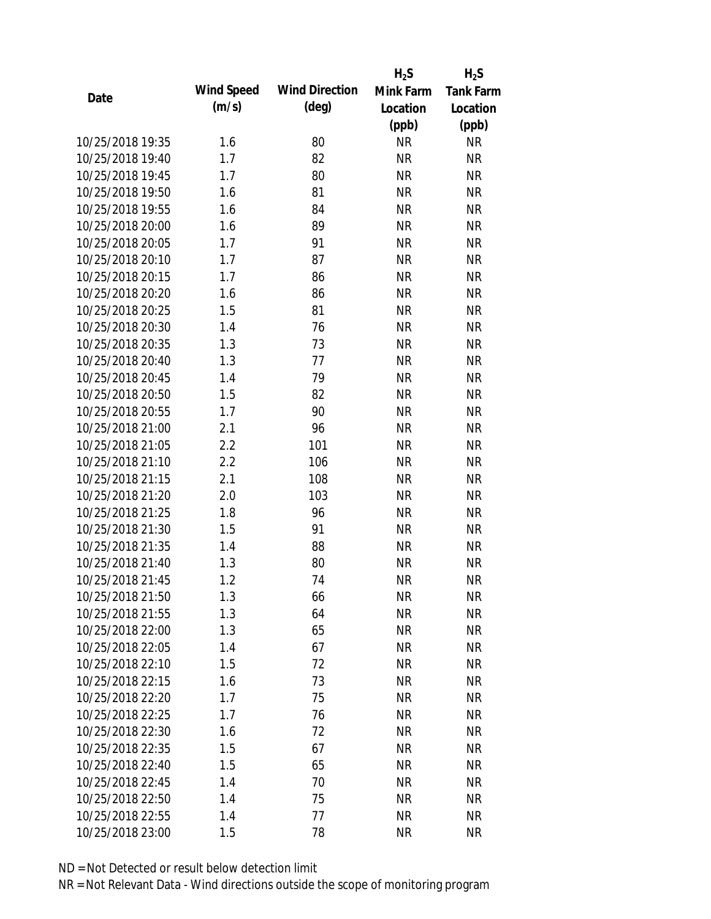|                  |            |                       | $H_2S$    | $H_2S$           |
|------------------|------------|-----------------------|-----------|------------------|
| Date             | Wind Speed | <b>Wind Direction</b> | Mink Farm | <b>Tank Farm</b> |
|                  | (m/s)      | $(\text{deg})$        | Location  | Location         |
|                  |            |                       | (ppb)     | (ppb)            |
| 10/25/2018 19:35 | 1.6        | 80                    | <b>NR</b> | <b>NR</b>        |
| 10/25/2018 19:40 | 1.7        | 82                    | <b>NR</b> | <b>NR</b>        |
| 10/25/2018 19:45 | 1.7        | 80                    | <b>NR</b> | <b>NR</b>        |
| 10/25/2018 19:50 | 1.6        | 81                    | <b>NR</b> | <b>NR</b>        |
| 10/25/2018 19:55 | 1.6        | 84                    | <b>NR</b> | <b>NR</b>        |
| 10/25/2018 20:00 | 1.6        | 89                    | <b>NR</b> | <b>NR</b>        |
| 10/25/2018 20:05 | 1.7        | 91                    | <b>NR</b> | <b>NR</b>        |
| 10/25/2018 20:10 | 1.7        | 87                    | <b>NR</b> | <b>NR</b>        |
| 10/25/2018 20:15 | 1.7        | 86                    | <b>NR</b> | <b>NR</b>        |
| 10/25/2018 20:20 | 1.6        | 86                    | <b>NR</b> | <b>NR</b>        |
| 10/25/2018 20:25 | 1.5        | 81                    | <b>NR</b> | <b>NR</b>        |
| 10/25/2018 20:30 | 1.4        | 76                    | <b>NR</b> | <b>NR</b>        |
| 10/25/2018 20:35 | 1.3        | 73                    | <b>NR</b> | <b>NR</b>        |
| 10/25/2018 20:40 | 1.3        | 77                    | <b>NR</b> | <b>NR</b>        |
| 10/25/2018 20:45 | 1.4        | 79                    | <b>NR</b> | <b>NR</b>        |
| 10/25/2018 20:50 | 1.5        | 82                    | <b>NR</b> | <b>NR</b>        |
| 10/25/2018 20:55 | 1.7        | 90                    | <b>NR</b> | <b>NR</b>        |
| 10/25/2018 21:00 | 2.1        | 96                    | <b>NR</b> | <b>NR</b>        |
| 10/25/2018 21:05 | 2.2        | 101                   | <b>NR</b> | <b>NR</b>        |
| 10/25/2018 21:10 | 2.2        | 106                   | <b>NR</b> | <b>NR</b>        |
| 10/25/2018 21:15 | 2.1        | 108                   | <b>NR</b> | <b>NR</b>        |
| 10/25/2018 21:20 | 2.0        | 103                   | <b>NR</b> | <b>NR</b>        |
| 10/25/2018 21:25 | 1.8        | 96                    | <b>NR</b> | <b>NR</b>        |
| 10/25/2018 21:30 | 1.5        | 91                    | <b>NR</b> | <b>NR</b>        |
| 10/25/2018 21:35 | 1.4        | 88                    | <b>NR</b> | <b>NR</b>        |
| 10/25/2018 21:40 | 1.3        | 80                    | <b>NR</b> | <b>NR</b>        |
| 10/25/2018 21:45 | 1.2        | 74                    | <b>NR</b> | <b>NR</b>        |
| 10/25/2018 21:50 | 1.3        | 66                    | <b>NR</b> | <b>NR</b>        |
| 10/25/2018 21:55 | 1.3        | 64                    | <b>NR</b> | <b>NR</b>        |
| 10/25/2018 22:00 | 1.3        | 65                    | <b>NR</b> | <b>NR</b>        |
| 10/25/2018 22:05 | 1.4        | 67                    | <b>NR</b> | <b>NR</b>        |
| 10/25/2018 22:10 | 1.5        | 72                    | <b>NR</b> | <b>NR</b>        |
| 10/25/2018 22:15 | 1.6        | 73                    | <b>NR</b> | <b>NR</b>        |
| 10/25/2018 22:20 | 1.7        | 75                    | <b>NR</b> | <b>NR</b>        |
| 10/25/2018 22:25 | 1.7        | 76                    | <b>NR</b> | NR               |
| 10/25/2018 22:30 | 1.6        | 72                    | <b>NR</b> | <b>NR</b>        |
| 10/25/2018 22:35 | 1.5        | 67                    | <b>NR</b> | <b>NR</b>        |
| 10/25/2018 22:40 | 1.5        | 65                    | <b>NR</b> | <b>NR</b>        |
| 10/25/2018 22:45 | 1.4        | 70                    | <b>NR</b> | NR               |
| 10/25/2018 22:50 | 1.4        | 75                    | <b>NR</b> | <b>NR</b>        |
| 10/25/2018 22:55 | 1.4        | 77                    | <b>NR</b> | <b>NR</b>        |
| 10/25/2018 23:00 | 1.5        | 78                    | <b>NR</b> | <b>NR</b>        |
|                  |            |                       |           |                  |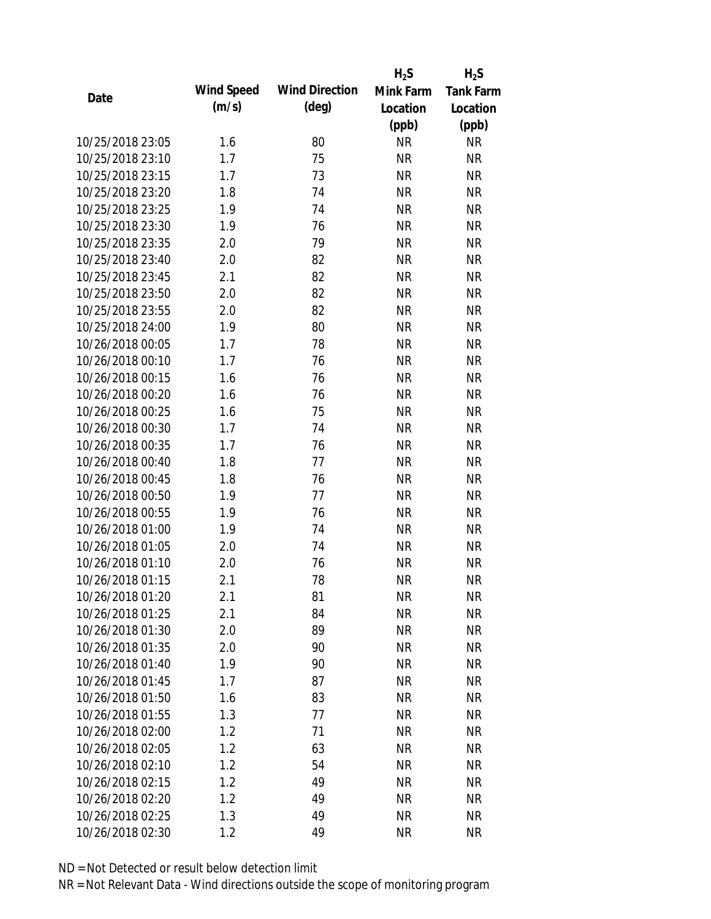|                  |            |                       | $H_2S$    | $H_2S$           |
|------------------|------------|-----------------------|-----------|------------------|
| Date             | Wind Speed | <b>Wind Direction</b> | Mink Farm | <b>Tank Farm</b> |
|                  | (m/s)      | $(\text{deg})$        | Location  | Location         |
|                  |            |                       | (ppb)     | (ppb)            |
| 10/25/2018 23:05 | 1.6        | 80                    | <b>NR</b> | <b>NR</b>        |
| 10/25/2018 23:10 | 1.7        | 75                    | <b>NR</b> | <b>NR</b>        |
| 10/25/2018 23:15 | 1.7        | 73                    | <b>NR</b> | <b>NR</b>        |
| 10/25/2018 23:20 | 1.8        | 74                    | <b>NR</b> | <b>NR</b>        |
| 10/25/2018 23:25 | 1.9        | 74                    | <b>NR</b> | <b>NR</b>        |
| 10/25/2018 23:30 | 1.9        | 76                    | <b>NR</b> | <b>NR</b>        |
| 10/25/2018 23:35 | 2.0        | 79                    | <b>NR</b> | <b>NR</b>        |
| 10/25/2018 23:40 | 2.0        | 82                    | <b>NR</b> | <b>NR</b>        |
| 10/25/2018 23:45 | 2.1        | 82                    | <b>NR</b> | <b>NR</b>        |
| 10/25/2018 23:50 | 2.0        | 82                    | <b>NR</b> | <b>NR</b>        |
| 10/25/2018 23:55 | 2.0        | 82                    | <b>NR</b> | <b>NR</b>        |
| 10/25/2018 24:00 | 1.9        | 80                    | <b>NR</b> | <b>NR</b>        |
| 10/26/2018 00:05 | 1.7        | 78                    | <b>NR</b> | <b>NR</b>        |
| 10/26/2018 00:10 | 1.7        | 76                    | <b>NR</b> | <b>NR</b>        |
| 10/26/2018 00:15 | 1.6        | 76                    | <b>NR</b> | <b>NR</b>        |
| 10/26/2018 00:20 | 1.6        | 76                    | <b>NR</b> | <b>NR</b>        |
| 10/26/2018 00:25 | 1.6        | 75                    | <b>NR</b> | <b>NR</b>        |
| 10/26/2018 00:30 | 1.7        | 74                    | <b>NR</b> | <b>NR</b>        |
| 10/26/2018 00:35 | 1.7        | 76                    | <b>NR</b> | <b>NR</b>        |
| 10/26/2018 00:40 | 1.8        | 77                    | <b>NR</b> | <b>NR</b>        |
| 10/26/2018 00:45 | 1.8        | 76                    | <b>NR</b> | <b>NR</b>        |
| 10/26/2018 00:50 | 1.9        | 77                    | <b>NR</b> | <b>NR</b>        |
| 10/26/2018 00:55 | 1.9        | 76                    | <b>NR</b> | <b>NR</b>        |
| 10/26/2018 01:00 | 1.9        | 74                    | <b>NR</b> | <b>NR</b>        |
| 10/26/2018 01:05 | 2.0        | 74                    | <b>NR</b> | <b>NR</b>        |
| 10/26/2018 01:10 | 2.0        | 76                    | <b>NR</b> | <b>NR</b>        |
| 10/26/2018 01:15 | 2.1        | 78                    | <b>NR</b> | <b>NR</b>        |
| 10/26/2018 01:20 | 2.1        | 81                    | <b>NR</b> | <b>NR</b>        |
| 10/26/2018 01:25 | 2.1        | 84                    | <b>NR</b> | <b>NR</b>        |
| 10/26/2018 01:30 | 2.0        | 89                    | <b>NR</b> | <b>NR</b>        |
| 10/26/2018 01:35 | 2.0        | 90                    | <b>NR</b> | <b>NR</b>        |
| 10/26/2018 01:40 | 1.9        | 90                    | <b>NR</b> | <b>NR</b>        |
| 10/26/2018 01:45 | 1.7        | 87                    | <b>NR</b> | <b>NR</b>        |
| 10/26/2018 01:50 | 1.6        | 83                    | <b>NR</b> | <b>NR</b>        |
| 10/26/2018 01:55 | 1.3        | 77                    | <b>NR</b> | <b>NR</b>        |
| 10/26/2018 02:00 | 1.2        | 71                    | <b>NR</b> | <b>NR</b>        |
| 10/26/2018 02:05 | 1.2        | 63                    | <b>NR</b> | <b>NR</b>        |
| 10/26/2018 02:10 | 1.2        | 54                    | <b>NR</b> | <b>NR</b>        |
| 10/26/2018 02:15 | 1.2        | 49                    | <b>NR</b> | <b>NR</b>        |
| 10/26/2018 02:20 | 1.2        | 49                    | <b>NR</b> | <b>NR</b>        |
| 10/26/2018 02:25 | 1.3        | 49                    | <b>NR</b> | <b>NR</b>        |
| 10/26/2018 02:30 | 1.2        | 49                    | <b>NR</b> | <b>NR</b>        |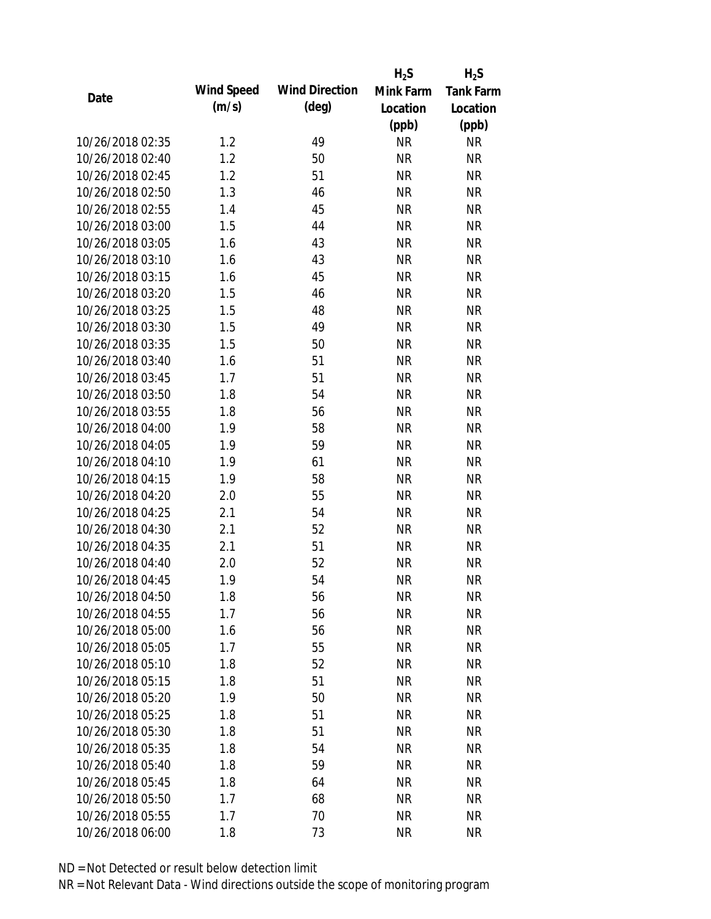|                  |            |                       | $H_2S$    | $H_2S$           |
|------------------|------------|-----------------------|-----------|------------------|
| Date             | Wind Speed | <b>Wind Direction</b> | Mink Farm | <b>Tank Farm</b> |
|                  | (m/s)      | $(\text{deg})$        | Location  | Location         |
|                  |            |                       | (ppb)     | (ppb)            |
| 10/26/2018 02:35 | 1.2        | 49                    | <b>NR</b> | <b>NR</b>        |
| 10/26/2018 02:40 | 1.2        | 50                    | <b>NR</b> | <b>NR</b>        |
| 10/26/2018 02:45 | 1.2        | 51                    | <b>NR</b> | <b>NR</b>        |
| 10/26/2018 02:50 | 1.3        | 46                    | <b>NR</b> | <b>NR</b>        |
| 10/26/2018 02:55 | 1.4        | 45                    | <b>NR</b> | <b>NR</b>        |
| 10/26/2018 03:00 | 1.5        | 44                    | <b>NR</b> | <b>NR</b>        |
| 10/26/2018 03:05 | 1.6        | 43                    | <b>NR</b> | <b>NR</b>        |
| 10/26/2018 03:10 | 1.6        | 43                    | <b>NR</b> | <b>NR</b>        |
| 10/26/2018 03:15 | 1.6        | 45                    | <b>NR</b> | <b>NR</b>        |
| 10/26/2018 03:20 | 1.5        | 46                    | <b>NR</b> | <b>NR</b>        |
| 10/26/2018 03:25 | 1.5        | 48                    | <b>NR</b> | <b>NR</b>        |
| 10/26/2018 03:30 | 1.5        | 49                    | <b>NR</b> | <b>NR</b>        |
| 10/26/2018 03:35 | 1.5        | 50                    | <b>NR</b> | <b>NR</b>        |
| 10/26/2018 03:40 | 1.6        | 51                    | <b>NR</b> | <b>NR</b>        |
| 10/26/2018 03:45 | 1.7        | 51                    | <b>NR</b> | <b>NR</b>        |
| 10/26/2018 03:50 | 1.8        | 54                    | <b>NR</b> | <b>NR</b>        |
| 10/26/2018 03:55 | 1.8        | 56                    | <b>NR</b> | <b>NR</b>        |
| 10/26/2018 04:00 | 1.9        | 58                    | <b>NR</b> | <b>NR</b>        |
| 10/26/2018 04:05 | 1.9        | 59                    | <b>NR</b> | <b>NR</b>        |
| 10/26/2018 04:10 | 1.9        | 61                    | <b>NR</b> | <b>NR</b>        |
| 10/26/2018 04:15 | 1.9        | 58                    | <b>NR</b> | <b>NR</b>        |
| 10/26/2018 04:20 | 2.0        | 55                    | <b>NR</b> | <b>NR</b>        |
| 10/26/2018 04:25 | 2.1        | 54                    | <b>NR</b> | <b>NR</b>        |
| 10/26/2018 04:30 | 2.1        | 52                    | <b>NR</b> | <b>NR</b>        |
| 10/26/2018 04:35 | 2.1        | 51                    | <b>NR</b> | <b>NR</b>        |
| 10/26/2018 04:40 | 2.0        | 52                    | <b>NR</b> | <b>NR</b>        |
| 10/26/2018 04:45 | 1.9        | 54                    | <b>NR</b> | <b>NR</b>        |
| 10/26/2018 04:50 | 1.8        | 56                    | <b>NR</b> | <b>NR</b>        |
| 10/26/2018 04:55 | 1.7        | 56                    | <b>NR</b> | <b>NR</b>        |
| 10/26/2018 05:00 | 1.6        | 56                    | <b>NR</b> | <b>NR</b>        |
| 10/26/2018 05:05 | 1.7        | 55                    | <b>NR</b> | <b>NR</b>        |
| 10/26/2018 05:10 | 1.8        | 52                    | <b>NR</b> | <b>NR</b>        |
| 10/26/2018 05:15 | 1.8        | 51                    | <b>NR</b> | <b>NR</b>        |
| 10/26/2018 05:20 | 1.9        | 50                    | <b>NR</b> | <b>NR</b>        |
| 10/26/2018 05:25 | 1.8        | 51                    | <b>NR</b> | <b>NR</b>        |
| 10/26/2018 05:30 | 1.8        | 51                    | <b>NR</b> | <b>NR</b>        |
| 10/26/2018 05:35 | 1.8        | 54                    | <b>NR</b> | <b>NR</b>        |
| 10/26/2018 05:40 | 1.8        | 59                    | <b>NR</b> | <b>NR</b>        |
| 10/26/2018 05:45 | 1.8        | 64                    | <b>NR</b> | NR               |
| 10/26/2018 05:50 | 1.7        | 68                    | <b>NR</b> | <b>NR</b>        |
| 10/26/2018 05:55 | 1.7        | 70                    | <b>NR</b> | <b>NR</b>        |
| 10/26/2018 06:00 | 1.8        | 73                    | <b>NR</b> | <b>NR</b>        |
|                  |            |                       |           |                  |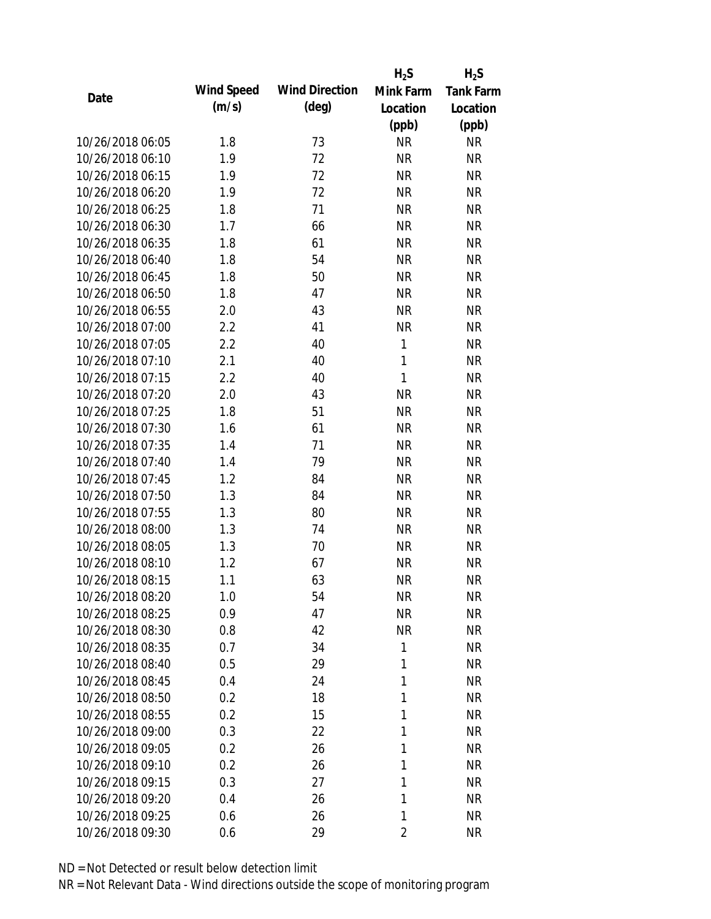|                  |            |                       | $H_2S$       | $H_2S$           |
|------------------|------------|-----------------------|--------------|------------------|
| Date             | Wind Speed | <b>Wind Direction</b> | Mink Farm    | <b>Tank Farm</b> |
|                  | (m/s)      | $(\text{deg})$        | Location     | Location         |
|                  |            |                       | (ppb)        | (ppb)            |
| 10/26/2018 06:05 | 1.8        | 73                    | <b>NR</b>    | <b>NR</b>        |
| 10/26/2018 06:10 | 1.9        | 72                    | <b>NR</b>    | <b>NR</b>        |
| 10/26/2018 06:15 | 1.9        | 72                    | <b>NR</b>    | <b>NR</b>        |
| 10/26/2018 06:20 | 1.9        | 72                    | <b>NR</b>    | <b>NR</b>        |
| 10/26/2018 06:25 | 1.8        | 71                    | <b>NR</b>    | <b>NR</b>        |
| 10/26/2018 06:30 | 1.7        | 66                    | <b>NR</b>    | <b>NR</b>        |
| 10/26/2018 06:35 | 1.8        | 61                    | <b>NR</b>    | <b>NR</b>        |
| 10/26/2018 06:40 | 1.8        | 54                    | <b>NR</b>    | <b>NR</b>        |
| 10/26/2018 06:45 | 1.8        | 50                    | <b>NR</b>    | <b>NR</b>        |
| 10/26/2018 06:50 | 1.8        | 47                    | <b>NR</b>    | <b>NR</b>        |
| 10/26/2018 06:55 | 2.0        | 43                    | <b>NR</b>    | <b>NR</b>        |
| 10/26/2018 07:00 | 2.2        | 41                    | <b>NR</b>    | <b>NR</b>        |
| 10/26/2018 07:05 | 2.2        | 40                    | $\mathbf{1}$ | <b>NR</b>        |
| 10/26/2018 07:10 | 2.1        | 40                    | $\mathbf{1}$ | <b>NR</b>        |
| 10/26/2018 07:15 | 2.2        | 40                    | $\mathbf{1}$ | <b>NR</b>        |
| 10/26/2018 07:20 | 2.0        | 43                    | <b>NR</b>    | <b>NR</b>        |
| 10/26/2018 07:25 | 1.8        | 51                    | <b>NR</b>    | <b>NR</b>        |
| 10/26/2018 07:30 | 1.6        | 61                    | <b>NR</b>    | <b>NR</b>        |
| 10/26/2018 07:35 | 1.4        | 71                    | <b>NR</b>    | <b>NR</b>        |
| 10/26/2018 07:40 | 1.4        | 79                    | <b>NR</b>    | <b>NR</b>        |
| 10/26/2018 07:45 | 1.2        | 84                    | <b>NR</b>    | <b>NR</b>        |
| 10/26/2018 07:50 | 1.3        | 84                    | <b>NR</b>    | <b>NR</b>        |
| 10/26/2018 07:55 | 1.3        | 80                    | <b>NR</b>    | <b>NR</b>        |
| 10/26/2018 08:00 | 1.3        | 74                    | <b>NR</b>    | <b>NR</b>        |
| 10/26/2018 08:05 | 1.3        | 70                    | <b>NR</b>    | <b>NR</b>        |
| 10/26/2018 08:10 | 1.2        | 67                    | <b>NR</b>    | <b>NR</b>        |
| 10/26/2018 08:15 | 1.1        | 63                    | <b>NR</b>    | <b>NR</b>        |
| 10/26/2018 08:20 | 1.0        | 54                    | <b>NR</b>    | <b>NR</b>        |
| 10/26/2018 08:25 | 0.9        | 47                    | <b>NR</b>    | <b>NR</b>        |
| 10/26/2018 08:30 | 0.8        | 42                    | <b>NR</b>    | NR               |
| 10/26/2018 08:35 | 0.7        | 34                    | 1            | <b>NR</b>        |
| 10/26/2018 08:40 | 0.5        | 29                    | 1            | <b>NR</b>        |
| 10/26/2018 08:45 | 0.4        | 24                    | 1            | <b>NR</b>        |
| 10/26/2018 08:50 | 0.2        | 18                    | 1            | <b>NR</b>        |
| 10/26/2018 08:55 | 0.2        | 15                    | 1            | <b>NR</b>        |
| 10/26/2018 09:00 | 0.3        | 22                    | 1            | <b>NR</b>        |
| 10/26/2018 09:05 | 0.2        | 26                    | 1            | <b>NR</b>        |
| 10/26/2018 09:10 | 0.2        | 26                    | 1            | <b>NR</b>        |
| 10/26/2018 09:15 | 0.3        | 27                    | 1            | NR               |
| 10/26/2018 09:20 | 0.4        | 26                    | 1            | <b>NR</b>        |
| 10/26/2018 09:25 | 0.6        | 26                    | 1            | <b>NR</b>        |
| 10/26/2018 09:30 | 0.6        | 29                    | 2            | <b>NR</b>        |
|                  |            |                       |              |                  |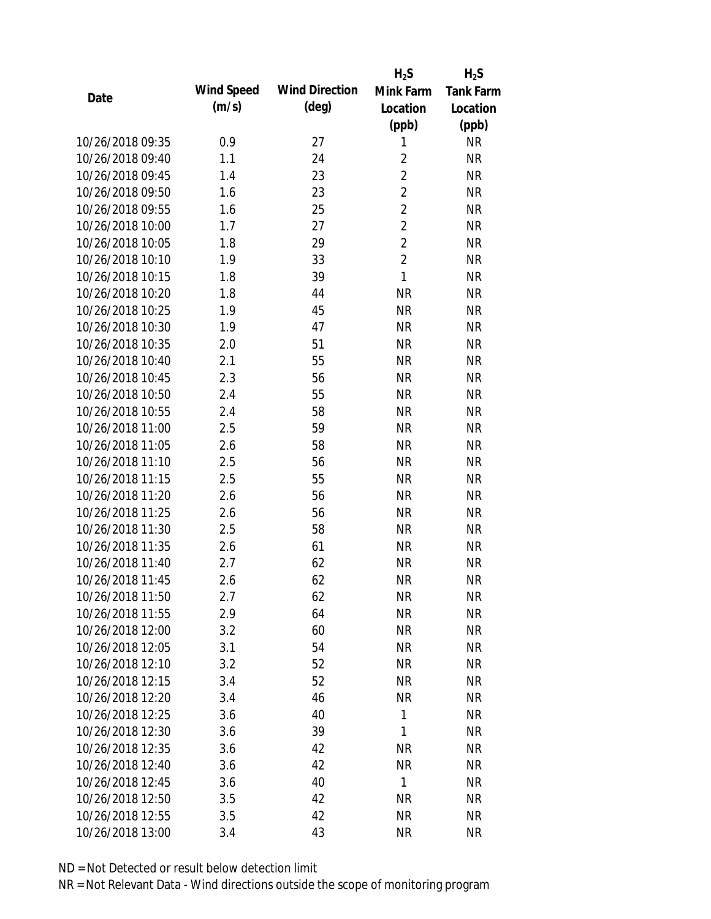|                  |            |                       | $H_2S$         | $H_2S$           |
|------------------|------------|-----------------------|----------------|------------------|
| Date             | Wind Speed | <b>Wind Direction</b> | Mink Farm      | <b>Tank Farm</b> |
|                  | (m/s)      | $(\text{deg})$        | Location       | Location         |
|                  |            |                       | (ppb)          | (ppb)            |
| 10/26/2018 09:35 | 0.9        | 27                    | 1              | <b>NR</b>        |
| 10/26/2018 09:40 | 1.1        | 24                    | $\overline{2}$ | <b>NR</b>        |
| 10/26/2018 09:45 | 1.4        | 23                    | $\overline{2}$ | <b>NR</b>        |
| 10/26/2018 09:50 | 1.6        | 23                    | $\overline{2}$ | <b>NR</b>        |
| 10/26/2018 09:55 | 1.6        | 25                    | $\overline{2}$ | <b>NR</b>        |
| 10/26/2018 10:00 | 1.7        | 27                    | $\overline{2}$ | <b>NR</b>        |
| 10/26/2018 10:05 | 1.8        | 29                    | $\overline{2}$ | <b>NR</b>        |
| 10/26/2018 10:10 | 1.9        | 33                    | $\overline{2}$ | <b>NR</b>        |
| 10/26/2018 10:15 | 1.8        | 39                    | $\mathbf{1}$   | <b>NR</b>        |
| 10/26/2018 10:20 | 1.8        | 44                    | <b>NR</b>      | <b>NR</b>        |
| 10/26/2018 10:25 | 1.9        | 45                    | <b>NR</b>      | <b>NR</b>        |
| 10/26/2018 10:30 | 1.9        | 47                    | <b>NR</b>      | <b>NR</b>        |
| 10/26/2018 10:35 | 2.0        | 51                    | <b>NR</b>      | <b>NR</b>        |
| 10/26/2018 10:40 | 2.1        | 55                    | <b>NR</b>      | <b>NR</b>        |
| 10/26/2018 10:45 | 2.3        | 56                    | <b>NR</b>      | <b>NR</b>        |
| 10/26/2018 10:50 | 2.4        | 55                    | <b>NR</b>      | <b>NR</b>        |
| 10/26/2018 10:55 | 2.4        | 58                    | <b>NR</b>      | <b>NR</b>        |
| 10/26/2018 11:00 | 2.5        | 59                    | <b>NR</b>      | <b>NR</b>        |
| 10/26/2018 11:05 | 2.6        | 58                    | <b>NR</b>      | <b>NR</b>        |
| 10/26/2018 11:10 | 2.5        | 56                    | <b>NR</b>      | <b>NR</b>        |
| 10/26/2018 11:15 | 2.5        | 55                    | <b>NR</b>      | <b>NR</b>        |
| 10/26/2018 11:20 | 2.6        | 56                    | <b>NR</b>      | <b>NR</b>        |
| 10/26/2018 11:25 | 2.6        | 56                    | <b>NR</b>      | <b>NR</b>        |
| 10/26/2018 11:30 | 2.5        | 58                    | <b>NR</b>      | <b>NR</b>        |
| 10/26/2018 11:35 | 2.6        | 61                    | <b>NR</b>      | <b>NR</b>        |
| 10/26/2018 11:40 | 2.7        | 62                    | <b>NR</b>      | <b>NR</b>        |
| 10/26/2018 11:45 | 2.6        | 62                    | <b>NR</b>      | <b>NR</b>        |
| 10/26/2018 11:50 | 2.7        | 62                    | <b>NR</b>      | <b>NR</b>        |
| 10/26/2018 11:55 | 2.9        | 64                    | <b>NR</b>      | <b>NR</b>        |
| 10/26/2018 12:00 | 3.2        | 60                    | <b>NR</b>      | NR               |
| 10/26/2018 12:05 | 3.1        | 54                    | <b>NR</b>      | <b>NR</b>        |
| 10/26/2018 12:10 | 3.2        | 52                    | <b>NR</b>      | <b>NR</b>        |
| 10/26/2018 12:15 | 3.4        | 52                    | <b>NR</b>      | <b>NR</b>        |
| 10/26/2018 12:20 | 3.4        | 46                    | <b>NR</b>      | <b>NR</b>        |
| 10/26/2018 12:25 | 3.6        | 40                    | $\mathbf{1}$   | NR               |
| 10/26/2018 12:30 | 3.6        | 39                    | 1              | <b>NR</b>        |
| 10/26/2018 12:35 | 3.6        | 42                    | <b>NR</b>      | <b>NR</b>        |
| 10/26/2018 12:40 | 3.6        | 42                    | <b>NR</b>      | NR               |
| 10/26/2018 12:45 | 3.6        | 40                    | $\mathbf{1}$   | NR               |
| 10/26/2018 12:50 | 3.5        | 42                    | <b>NR</b>      | <b>NR</b>        |
| 10/26/2018 12:55 | 3.5        | 42                    | <b>NR</b>      | <b>NR</b>        |
| 10/26/2018 13:00 |            | 43                    | <b>NR</b>      | <b>NR</b>        |
|                  | 3.4        |                       |                |                  |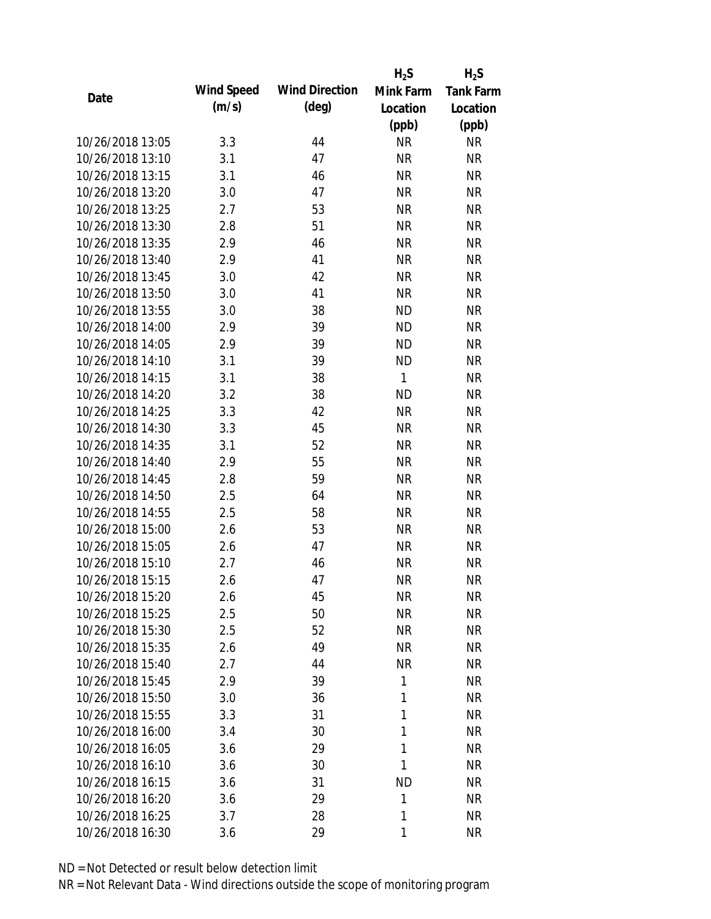|                  |            |                       | $H_2S$    | $H_2S$           |
|------------------|------------|-----------------------|-----------|------------------|
| Date             | Wind Speed | <b>Wind Direction</b> | Mink Farm | <b>Tank Farm</b> |
|                  | (m/s)      | $(\text{deg})$        | Location  | Location         |
|                  |            |                       | (ppb)     | (ppb)            |
| 10/26/2018 13:05 | 3.3        | 44                    | <b>NR</b> | <b>NR</b>        |
| 10/26/2018 13:10 | 3.1        | 47                    | <b>NR</b> | <b>NR</b>        |
| 10/26/2018 13:15 | 3.1        | 46                    | <b>NR</b> | <b>NR</b>        |
| 10/26/2018 13:20 | 3.0        | 47                    | <b>NR</b> | <b>NR</b>        |
| 10/26/2018 13:25 | 2.7        | 53                    | <b>NR</b> | <b>NR</b>        |
| 10/26/2018 13:30 | 2.8        | 51                    | <b>NR</b> | <b>NR</b>        |
| 10/26/2018 13:35 | 2.9        | 46                    | <b>NR</b> | <b>NR</b>        |
| 10/26/2018 13:40 | 2.9        | 41                    | <b>NR</b> | <b>NR</b>        |
| 10/26/2018 13:45 | 3.0        | 42                    | <b>NR</b> | <b>NR</b>        |
| 10/26/2018 13:50 | 3.0        | 41                    | <b>NR</b> | <b>NR</b>        |
| 10/26/2018 13:55 | 3.0        | 38                    | <b>ND</b> | <b>NR</b>        |
| 10/26/2018 14:00 | 2.9        | 39                    | <b>ND</b> | <b>NR</b>        |
| 10/26/2018 14:05 | 2.9        | 39                    | <b>ND</b> | <b>NR</b>        |
| 10/26/2018 14:10 | 3.1        | 39                    | <b>ND</b> | <b>NR</b>        |
| 10/26/2018 14:15 | 3.1        | 38                    | 1         | <b>NR</b>        |
| 10/26/2018 14:20 | 3.2        | 38                    | <b>ND</b> | <b>NR</b>        |
| 10/26/2018 14:25 | 3.3        | 42                    | <b>NR</b> | <b>NR</b>        |
| 10/26/2018 14:30 | 3.3        | 45                    | <b>NR</b> | <b>NR</b>        |
| 10/26/2018 14:35 | 3.1        | 52                    | <b>NR</b> | <b>NR</b>        |
| 10/26/2018 14:40 | 2.9        | 55                    | <b>NR</b> | <b>NR</b>        |
| 10/26/2018 14:45 | 2.8        | 59                    | <b>NR</b> | <b>NR</b>        |
| 10/26/2018 14:50 | 2.5        | 64                    | <b>NR</b> | <b>NR</b>        |
| 10/26/2018 14:55 | 2.5        | 58                    | <b>NR</b> | <b>NR</b>        |
| 10/26/2018 15:00 | 2.6        | 53                    | <b>NR</b> | <b>NR</b>        |
| 10/26/2018 15:05 | 2.6        | 47                    | <b>NR</b> | <b>NR</b>        |
| 10/26/2018 15:10 | 2.7        | 46                    | <b>NR</b> | <b>NR</b>        |
| 10/26/2018 15:15 | 2.6        | 47                    | <b>NR</b> | <b>NR</b>        |
| 10/26/2018 15:20 | 2.6        | 45                    | <b>NR</b> | <b>NR</b>        |
| 10/26/2018 15:25 | 2.5        | 50                    | <b>NR</b> | <b>NR</b>        |
| 10/26/2018 15:30 | 2.5        | 52                    | <b>NR</b> | NR               |
| 10/26/2018 15:35 | 2.6        | 49                    | <b>NR</b> | <b>NR</b>        |
| 10/26/2018 15:40 | 2.7        | 44                    | <b>NR</b> | NR               |
| 10/26/2018 15:45 | 2.9        | 39                    | 1         | <b>NR</b>        |
| 10/26/2018 15:50 | 3.0        | 36                    | 1         | <b>NR</b>        |
| 10/26/2018 15:55 | 3.3        | 31                    | 1         | NR               |
| 10/26/2018 16:00 | 3.4        | 30                    | 1         | <b>NR</b>        |
| 10/26/2018 16:05 | 3.6        | 29                    | 1         | NR               |
| 10/26/2018 16:10 | 3.6        | 30                    | 1         | NR               |
| 10/26/2018 16:15 | 3.6        | 31                    | <b>ND</b> | NR               |
| 10/26/2018 16:20 | 3.6        | 29                    | 1         | NR               |
| 10/26/2018 16:25 | 3.7        | 28                    | 1         | <b>NR</b>        |
| 10/26/2018 16:30 | 3.6        | 29                    | 1         | <b>NR</b>        |
|                  |            |                       |           |                  |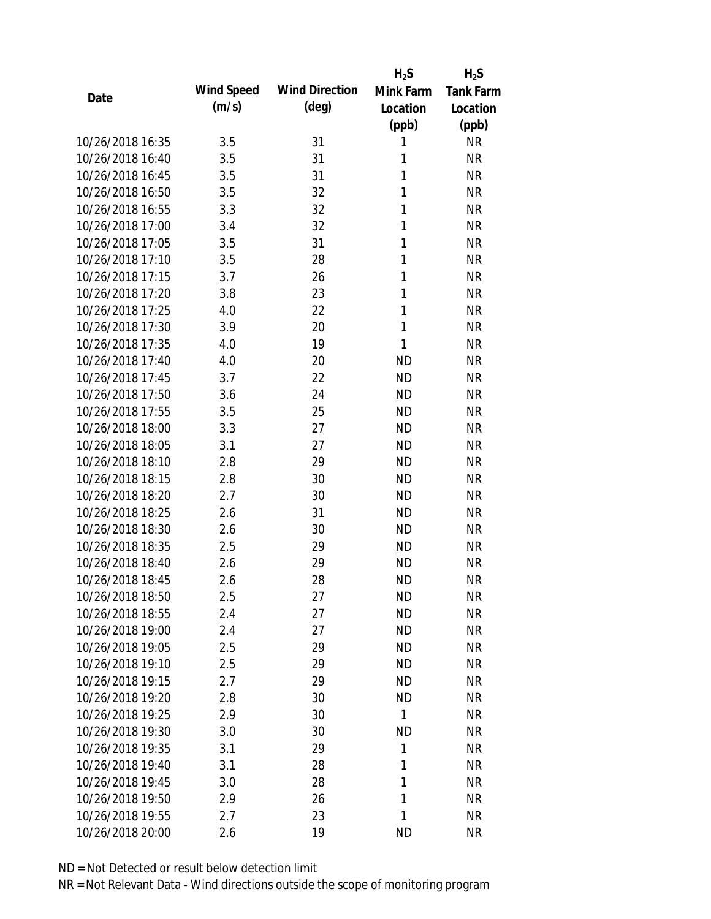|                  |            |                       | $H_2S$       | $H_2S$           |
|------------------|------------|-----------------------|--------------|------------------|
| Date             | Wind Speed | <b>Wind Direction</b> | Mink Farm    | <b>Tank Farm</b> |
|                  | (m/s)      | $(\text{deg})$        | Location     | Location         |
|                  |            |                       | (ppb)        | (ppb)            |
| 10/26/2018 16:35 | 3.5        | 31                    | 1            | <b>NR</b>        |
| 10/26/2018 16:40 | 3.5        | 31                    | 1            | <b>NR</b>        |
| 10/26/2018 16:45 | 3.5        | 31                    | 1            | <b>NR</b>        |
| 10/26/2018 16:50 | 3.5        | 32                    | 1            | <b>NR</b>        |
| 10/26/2018 16:55 | 3.3        | 32                    | 1            | <b>NR</b>        |
| 10/26/2018 17:00 | 3.4        | 32                    | 1            | <b>NR</b>        |
| 10/26/2018 17:05 | 3.5        | 31                    | 1            | <b>NR</b>        |
| 10/26/2018 17:10 | 3.5        | 28                    | 1            | <b>NR</b>        |
| 10/26/2018 17:15 | 3.7        | 26                    | 1            | <b>NR</b>        |
| 10/26/2018 17:20 | 3.8        | 23                    | 1            | <b>NR</b>        |
| 10/26/2018 17:25 | 4.0        | 22                    | 1            | <b>NR</b>        |
| 10/26/2018 17:30 | 3.9        | 20                    | 1            | <b>NR</b>        |
| 10/26/2018 17:35 | 4.0        | 19                    | $\mathbf{1}$ | <b>NR</b>        |
| 10/26/2018 17:40 | 4.0        | 20                    | <b>ND</b>    | <b>NR</b>        |
| 10/26/2018 17:45 | 3.7        | 22                    | <b>ND</b>    | <b>NR</b>        |
| 10/26/2018 17:50 | 3.6        | 24                    | <b>ND</b>    | <b>NR</b>        |
| 10/26/2018 17:55 | 3.5        | 25                    | <b>ND</b>    | <b>NR</b>        |
| 10/26/2018 18:00 | 3.3        | 27                    | <b>ND</b>    | <b>NR</b>        |
| 10/26/2018 18:05 | 3.1        | 27                    | <b>ND</b>    | <b>NR</b>        |
| 10/26/2018 18:10 | 2.8        | 29                    | <b>ND</b>    | <b>NR</b>        |
| 10/26/2018 18:15 | 2.8        | 30                    | <b>ND</b>    | <b>NR</b>        |
| 10/26/2018 18:20 | 2.7        | 30                    | <b>ND</b>    | <b>NR</b>        |
| 10/26/2018 18:25 | 2.6        | 31                    | <b>ND</b>    | <b>NR</b>        |
| 10/26/2018 18:30 | 2.6        | 30                    | <b>ND</b>    | <b>NR</b>        |
| 10/26/2018 18:35 | 2.5        | 29                    | <b>ND</b>    | <b>NR</b>        |
| 10/26/2018 18:40 | 2.6        | 29                    | <b>ND</b>    | <b>NR</b>        |
| 10/26/2018 18:45 | 2.6        | 28                    | <b>ND</b>    | <b>NR</b>        |
| 10/26/2018 18:50 | 2.5        | 27                    | <b>ND</b>    | <b>NR</b>        |
| 10/26/2018 18:55 | 2.4        | 27                    | <b>ND</b>    | <b>NR</b>        |
| 10/26/2018 19:00 | 2.4        | 27                    | ND           | NR               |
| 10/26/2018 19:05 | 2.5        | 29                    | <b>ND</b>    | <b>NR</b>        |
| 10/26/2018 19:10 | 2.5        | 29                    | <b>ND</b>    | NR               |
| 10/26/2018 19:15 | 2.7        | 29                    | <b>ND</b>    | <b>NR</b>        |
| 10/26/2018 19:20 | 2.8        | 30                    | <b>ND</b>    | <b>NR</b>        |
| 10/26/2018 19:25 | 2.9        | 30                    | 1            | <b>NR</b>        |
| 10/26/2018 19:30 | 3.0        | 30                    | <b>ND</b>    | <b>NR</b>        |
| 10/26/2018 19:35 | 3.1        | 29                    | 1            | <b>NR</b>        |
| 10/26/2018 19:40 | 3.1        | 28                    | 1            | <b>NR</b>        |
| 10/26/2018 19:45 | 3.0        | 28                    | 1            | NR               |
| 10/26/2018 19:50 | 2.9        | 26                    | 1            | <b>NR</b>        |
| 10/26/2018 19:55 | 2.7        | 23                    | 1            | <b>NR</b>        |
| 10/26/2018 20:00 | 2.6        | 19                    | <b>ND</b>    | <b>NR</b>        |
|                  |            |                       |              |                  |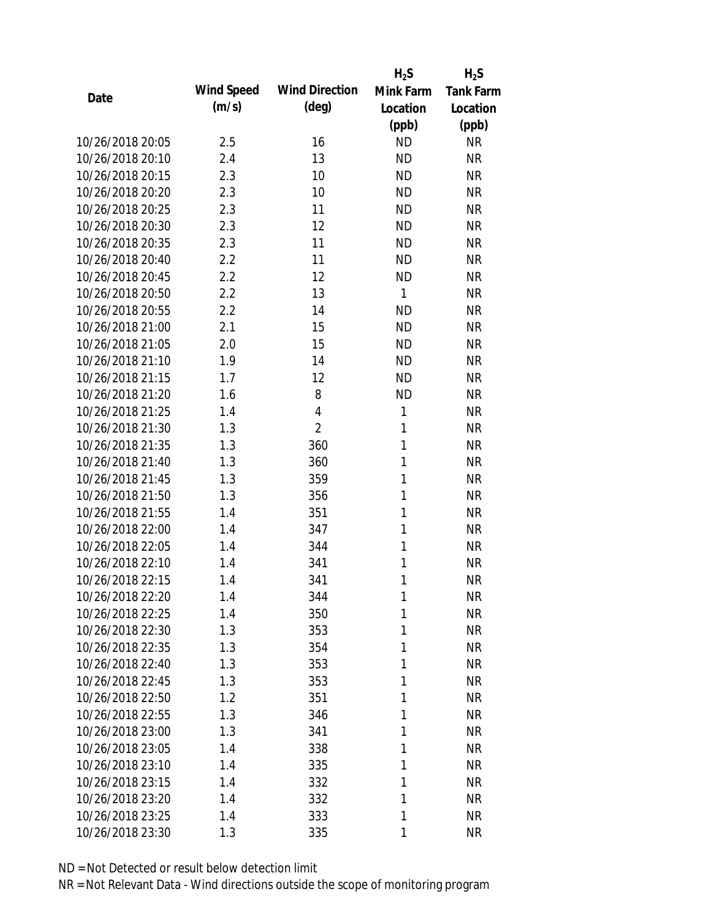|                  |            |                       | $H_2S$       | $H_2S$           |
|------------------|------------|-----------------------|--------------|------------------|
| Date             | Wind Speed | <b>Wind Direction</b> | Mink Farm    | <b>Tank Farm</b> |
|                  | (m/s)      | $(\text{deg})$        | Location     | Location         |
|                  |            |                       | (ppb)        | (ppb)            |
| 10/26/2018 20:05 | 2.5        | 16                    | <b>ND</b>    | <b>NR</b>        |
| 10/26/2018 20:10 | 2.4        | 13                    | <b>ND</b>    | <b>NR</b>        |
| 10/26/2018 20:15 | 2.3        | 10                    | <b>ND</b>    | <b>NR</b>        |
| 10/26/2018 20:20 | 2.3        | 10                    | <b>ND</b>    | <b>NR</b>        |
| 10/26/2018 20:25 | 2.3        | 11                    | <b>ND</b>    | <b>NR</b>        |
| 10/26/2018 20:30 | 2.3        | 12                    | <b>ND</b>    | <b>NR</b>        |
| 10/26/2018 20:35 | 2.3        | 11                    | <b>ND</b>    | <b>NR</b>        |
| 10/26/2018 20:40 | 2.2        | 11                    | <b>ND</b>    | <b>NR</b>        |
| 10/26/2018 20:45 | 2.2        | 12                    | <b>ND</b>    | <b>NR</b>        |
| 10/26/2018 20:50 | 2.2        | 13                    | 1            | <b>NR</b>        |
| 10/26/2018 20:55 | 2.2        | 14                    | <b>ND</b>    | <b>NR</b>        |
| 10/26/2018 21:00 | 2.1        | 15                    | <b>ND</b>    | <b>NR</b>        |
| 10/26/2018 21:05 | 2.0        | 15                    | <b>ND</b>    | <b>NR</b>        |
| 10/26/2018 21:10 | 1.9        | 14                    | <b>ND</b>    | <b>NR</b>        |
| 10/26/2018 21:15 | 1.7        | 12                    | <b>ND</b>    | <b>NR</b>        |
| 10/26/2018 21:20 | 1.6        | 8                     | <b>ND</b>    | <b>NR</b>        |
| 10/26/2018 21:25 | 1.4        | 4                     | 1            | <b>NR</b>        |
| 10/26/2018 21:30 | 1.3        | $\overline{2}$        | $\mathbf{1}$ | <b>NR</b>        |
| 10/26/2018 21:35 | 1.3        | 360                   | $\mathbf{1}$ | <b>NR</b>        |
| 10/26/2018 21:40 | 1.3        | 360                   | 1            | <b>NR</b>        |
| 10/26/2018 21:45 | 1.3        | 359                   | 1            | <b>NR</b>        |
| 10/26/2018 21:50 | 1.3        | 356                   | 1            | <b>NR</b>        |
| 10/26/2018 21:55 | 1.4        | 351                   | 1            | <b>NR</b>        |
| 10/26/2018 22:00 | 1.4        | 347                   | 1            | <b>NR</b>        |
| 10/26/2018 22:05 | 1.4        | 344                   | 1            | <b>NR</b>        |
| 10/26/2018 22:10 | 1.4        | 341                   | 1            | <b>NR</b>        |
| 10/26/2018 22:15 | 1.4        | 341                   | 1            | <b>NR</b>        |
| 10/26/2018 22:20 | 1.4        | 344                   | 1            | <b>NR</b>        |
| 10/26/2018 22:25 | 1.4        | 350                   | 1            | <b>NR</b>        |
| 10/26/2018 22:30 | 1.3        | 353                   | 1            | <b>NR</b>        |
| 10/26/2018 22:35 | 1.3        | 354                   | 1            | <b>NR</b>        |
| 10/26/2018 22:40 | 1.3        | 353                   | 1            | <b>NR</b>        |
| 10/26/2018 22:45 | 1.3        | 353                   | 1            | <b>NR</b>        |
| 10/26/2018 22:50 | 1.2        | 351                   | 1            | <b>NR</b>        |
| 10/26/2018 22:55 | 1.3        | 346                   | 1            | <b>NR</b>        |
| 10/26/2018 23:00 | 1.3        | 341                   | 1            | <b>NR</b>        |
| 10/26/2018 23:05 | 1.4        | 338                   | 1            | <b>NR</b>        |
| 10/26/2018 23:10 | 1.4        | 335                   | 1            | <b>NR</b>        |
| 10/26/2018 23:15 | 1.4        | 332                   | 1            | NR               |
| 10/26/2018 23:20 | 1.4        | 332                   | 1            | <b>NR</b>        |
| 10/26/2018 23:25 | 1.4        | 333                   | 1            | <b>NR</b>        |
| 10/26/2018 23:30 | 1.3        | 335                   | 1            | <b>NR</b>        |
|                  |            |                       |              |                  |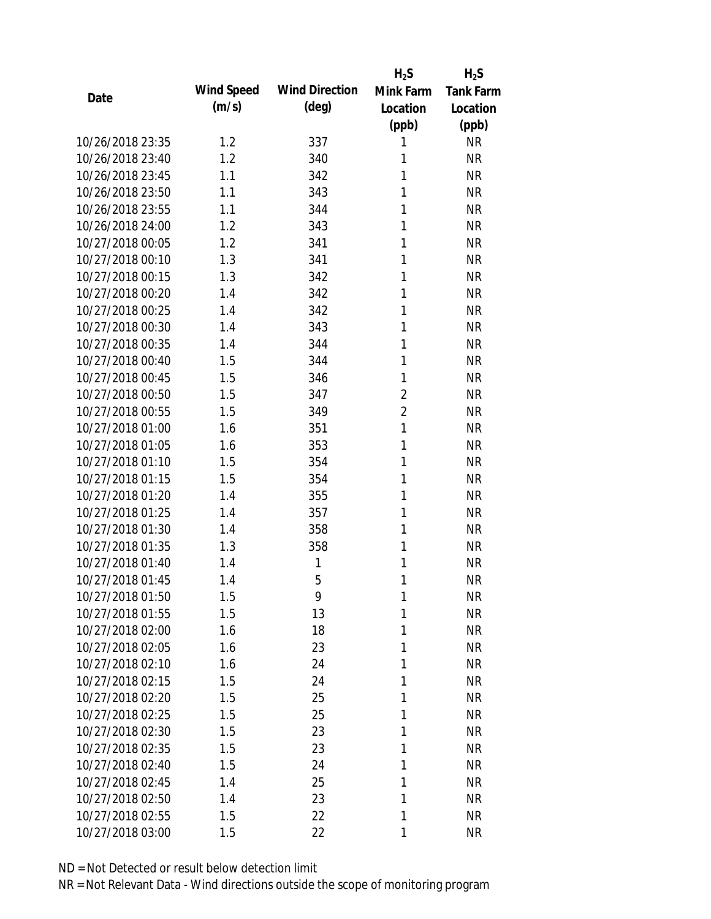|                  |            |                       | $H_2S$         | $H_2S$           |
|------------------|------------|-----------------------|----------------|------------------|
| Date             | Wind Speed | <b>Wind Direction</b> | Mink Farm      | <b>Tank Farm</b> |
|                  | (m/s)      | $(\text{deg})$        | Location       | Location         |
|                  |            |                       | (ppb)          | (ppb)            |
| 10/26/2018 23:35 | 1.2        | 337                   | 1              | <b>NR</b>        |
| 10/26/2018 23:40 | 1.2        | 340                   | 1              | <b>NR</b>        |
| 10/26/2018 23:45 | 1.1        | 342                   | 1              | <b>NR</b>        |
| 10/26/2018 23:50 | 1.1        | 343                   | 1              | <b>NR</b>        |
| 10/26/2018 23:55 | 1.1        | 344                   | 1              | <b>NR</b>        |
| 10/26/2018 24:00 | 1.2        | 343                   | 1              | <b>NR</b>        |
| 10/27/2018 00:05 | 1.2        | 341                   | 1              | <b>NR</b>        |
| 10/27/2018 00:10 | 1.3        | 341                   | 1              | <b>NR</b>        |
| 10/27/2018 00:15 | 1.3        | 342                   | 1              | <b>NR</b>        |
| 10/27/2018 00:20 | 1.4        | 342                   | 1              | <b>NR</b>        |
| 10/27/2018 00:25 | 1.4        | 342                   | 1              | <b>NR</b>        |
| 10/27/2018 00:30 | 1.4        | 343                   | 1              | <b>NR</b>        |
| 10/27/2018 00:35 | 1.4        | 344                   | 1              | <b>NR</b>        |
| 10/27/2018 00:40 | 1.5        | 344                   | 1              | <b>NR</b>        |
| 10/27/2018 00:45 | 1.5        | 346                   | 1              | <b>NR</b>        |
| 10/27/2018 00:50 | 1.5        | 347                   | $\overline{2}$ | <b>NR</b>        |
| 10/27/2018 00:55 | 1.5        | 349                   | $\overline{2}$ | <b>NR</b>        |
| 10/27/2018 01:00 | 1.6        | 351                   | 1              | <b>NR</b>        |
| 10/27/2018 01:05 | 1.6        | 353                   | 1              | <b>NR</b>        |
| 10/27/2018 01:10 | 1.5        | 354                   | 1              | <b>NR</b>        |
| 10/27/2018 01:15 | 1.5        | 354                   | 1              | <b>NR</b>        |
| 10/27/2018 01:20 | 1.4        | 355                   | 1              | <b>NR</b>        |
| 10/27/2018 01:25 | 1.4        | 357                   | 1              | <b>NR</b>        |
| 10/27/2018 01:30 | 1.4        | 358                   | 1              | <b>NR</b>        |
| 10/27/2018 01:35 | 1.3        | 358                   | 1              | <b>NR</b>        |
| 10/27/2018 01:40 | 1.4        | 1                     | 1              | <b>NR</b>        |
| 10/27/2018 01:45 | 1.4        | 5                     | 1              | <b>NR</b>        |
| 10/27/2018 01:50 | 1.5        | 9                     | 1              | <b>NR</b>        |
| 10/27/2018 01:55 | 1.5        | 13                    | 1              | <b>NR</b>        |
| 10/27/2018 02:00 | 1.6        | 18                    | 1              | <b>NR</b>        |
| 10/27/2018 02:05 | 1.6        | 23                    | 1              | <b>NR</b>        |
| 10/27/2018 02:10 | 1.6        | 24                    | 1              | <b>NR</b>        |
| 10/27/2018 02:15 | 1.5        | 24                    | 1              | <b>NR</b>        |
| 10/27/2018 02:20 | 1.5        | 25                    | 1              | <b>NR</b>        |
| 10/27/2018 02:25 | 1.5        | 25                    | 1              | <b>NR</b>        |
| 10/27/2018 02:30 | 1.5        | 23                    | 1              | <b>NR</b>        |
| 10/27/2018 02:35 | 1.5        | 23                    | 1              | <b>NR</b>        |
| 10/27/2018 02:40 | 1.5        | 24                    | 1              | <b>NR</b>        |
| 10/27/2018 02:45 | 1.4        | 25                    | 1              | <b>NR</b>        |
| 10/27/2018 02:50 | 1.4        | 23                    | 1              | <b>NR</b>        |
| 10/27/2018 02:55 | 1.5        | 22                    | 1              | <b>NR</b>        |
| 10/27/2018 03:00 | 1.5        | 22                    | 1              | <b>NR</b>        |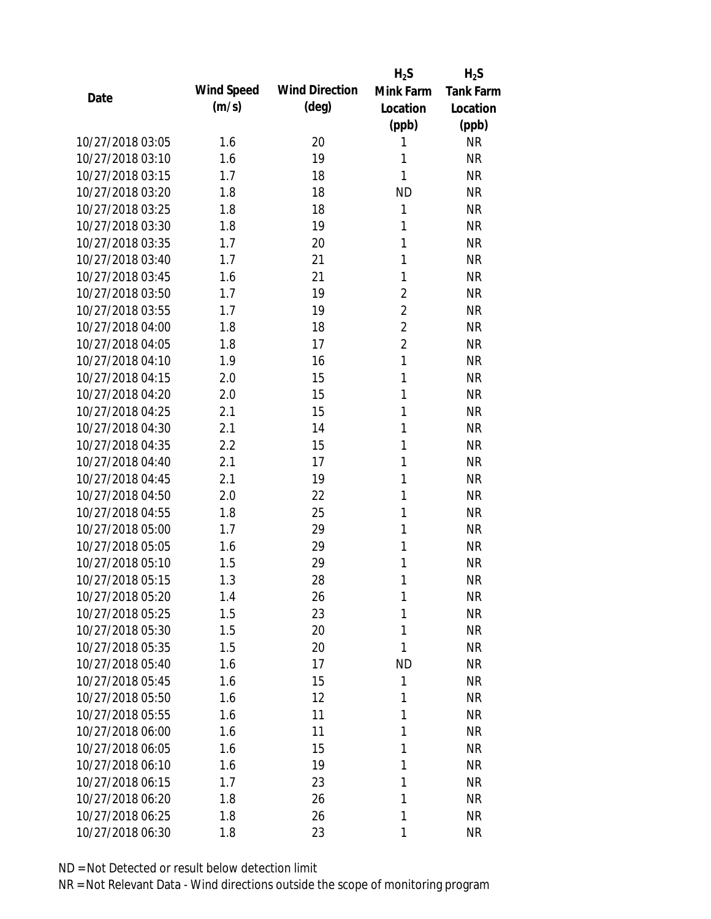|                  |            |                       | $H_2S$         | $H_2S$           |
|------------------|------------|-----------------------|----------------|------------------|
| Date             | Wind Speed | <b>Wind Direction</b> | Mink Farm      | <b>Tank Farm</b> |
|                  | (m/s)      | $(\text{deg})$        | Location       | Location         |
|                  |            |                       | (ppb)          | (ppb)            |
| 10/27/2018 03:05 | 1.6        | 20                    | 1              | <b>NR</b>        |
| 10/27/2018 03:10 | 1.6        | 19                    | 1              | <b>NR</b>        |
| 10/27/2018 03:15 | 1.7        | 18                    | 1              | <b>NR</b>        |
| 10/27/2018 03:20 | 1.8        | 18                    | <b>ND</b>      | <b>NR</b>        |
| 10/27/2018 03:25 | 1.8        | 18                    | 1              | <b>NR</b>        |
| 10/27/2018 03:30 | 1.8        | 19                    | 1              | <b>NR</b>        |
| 10/27/2018 03:35 | 1.7        | 20                    | $\mathbf{1}$   | <b>NR</b>        |
| 10/27/2018 03:40 | 1.7        | 21                    | 1              | <b>NR</b>        |
| 10/27/2018 03:45 | 1.6        | 21                    | 1              | <b>NR</b>        |
| 10/27/2018 03:50 | 1.7        | 19                    | $\overline{2}$ | <b>NR</b>        |
| 10/27/2018 03:55 | 1.7        | 19                    | $\overline{2}$ | <b>NR</b>        |
| 10/27/2018 04:00 | 1.8        | 18                    | $\overline{2}$ | <b>NR</b>        |
| 10/27/2018 04:05 | 1.8        | 17                    | $\overline{2}$ | <b>NR</b>        |
| 10/27/2018 04:10 | 1.9        | 16                    | $\mathbf{1}$   | <b>NR</b>        |
| 10/27/2018 04:15 | 2.0        | 15                    | 1              | <b>NR</b>        |
| 10/27/2018 04:20 | 2.0        | 15                    | 1              | <b>NR</b>        |
| 10/27/2018 04:25 | 2.1        | 15                    | 1              | <b>NR</b>        |
| 10/27/2018 04:30 | 2.1        | 14                    | 1              | <b>NR</b>        |
| 10/27/2018 04:35 | 2.2        | 15                    | 1              | <b>NR</b>        |
| 10/27/2018 04:40 | 2.1        | 17                    | 1              | <b>NR</b>        |
| 10/27/2018 04:45 | 2.1        | 19                    | 1              | <b>NR</b>        |
| 10/27/2018 04:50 | 2.0        | 22                    | 1              | <b>NR</b>        |
| 10/27/2018 04:55 | 1.8        | 25                    | 1              | <b>NR</b>        |
| 10/27/2018 05:00 | 1.7        | 29                    | 1              | <b>NR</b>        |
| 10/27/2018 05:05 | 1.6        | 29                    | 1              | <b>NR</b>        |
| 10/27/2018 05:10 | 1.5        | 29                    | 1              | <b>NR</b>        |
| 10/27/2018 05:15 | 1.3        | 28                    | 1              | <b>NR</b>        |
| 10/27/2018 05:20 | 1.4        | 26                    | 1              | <b>NR</b>        |
| 10/27/2018 05:25 | 1.5        | 23                    | 1              | <b>NR</b>        |
| 10/27/2018 05:30 | 1.5        | 20                    | 1              | <b>NR</b>        |
| 10/27/2018 05:35 | 1.5        | 20                    | 1              | <b>NR</b>        |
| 10/27/2018 05:40 | 1.6        | 17                    | <b>ND</b>      | <b>NR</b>        |
| 10/27/2018 05:45 | 1.6        | 15                    | 1              | <b>NR</b>        |
| 10/27/2018 05:50 | 1.6        | 12                    | 1              | <b>NR</b>        |
| 10/27/2018 05:55 | 1.6        | 11                    | 1              | <b>NR</b>        |
| 10/27/2018 06:00 | 1.6        | 11                    | 1              | <b>NR</b>        |
| 10/27/2018 06:05 | 1.6        | 15                    | 1              | NR               |
| 10/27/2018 06:10 | 1.6        | 19                    | 1              | <b>NR</b>        |
| 10/27/2018 06:15 | 1.7        | 23                    | 1              | NR               |
| 10/27/2018 06:20 | 1.8        | 26                    | 1              | <b>NR</b>        |
| 10/27/2018 06:25 | 1.8        | 26                    | 1              | <b>NR</b>        |
| 10/27/2018 06:30 | 1.8        | 23                    | 1              | <b>NR</b>        |
|                  |            |                       |                |                  |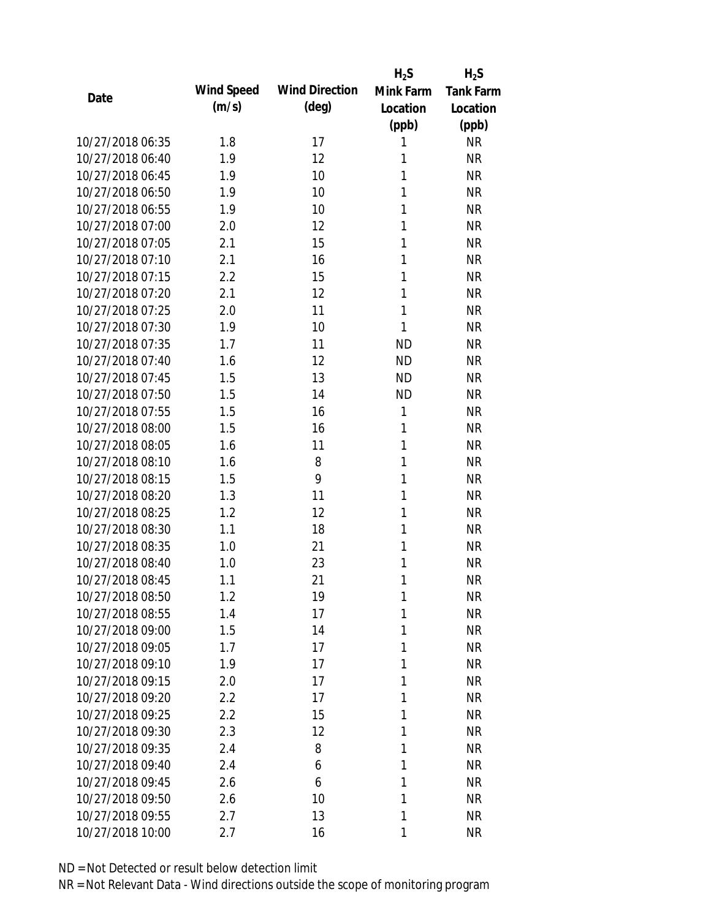|                  |            |                       | $H_2S$       | $H_2S$                 |
|------------------|------------|-----------------------|--------------|------------------------|
| Date             | Wind Speed | <b>Wind Direction</b> | Mink Farm    | Tank Farm              |
|                  | (m/s)      | $(\text{deg})$        | Location     | Location               |
|                  |            |                       | (ppb)        | (ppb)                  |
| 10/27/2018 06:35 | 1.8        | 17                    | 1            | <b>NR</b>              |
| 10/27/2018 06:40 | 1.9        | 12                    | 1            | <b>NR</b>              |
| 10/27/2018 06:45 | 1.9        | 10                    | 1            | <b>NR</b>              |
| 10/27/2018 06:50 | 1.9        | 10                    | 1            | <b>NR</b>              |
| 10/27/2018 06:55 | 1.9        | 10                    | 1            | <b>NR</b>              |
| 10/27/2018 07:00 | 2.0        | 12                    | 1            | <b>NR</b>              |
| 10/27/2018 07:05 | 2.1        | 15                    | 1            | <b>NR</b>              |
| 10/27/2018 07:10 | 2.1        | 16                    | 1            | <b>NR</b>              |
| 10/27/2018 07:15 | 2.2        | 15                    | 1            | <b>NR</b>              |
| 10/27/2018 07:20 | 2.1        | 12                    | 1            | <b>NR</b>              |
| 10/27/2018 07:25 | 2.0        | 11                    | $\mathbf{1}$ | <b>NR</b>              |
| 10/27/2018 07:30 | 1.9        | 10                    | 1            | <b>NR</b>              |
| 10/27/2018 07:35 | 1.7        | 11                    | <b>ND</b>    | <b>NR</b>              |
| 10/27/2018 07:40 | 1.6        | 12                    | <b>ND</b>    | <b>NR</b>              |
| 10/27/2018 07:45 | 1.5        | 13                    | <b>ND</b>    | <b>NR</b>              |
| 10/27/2018 07:50 | 1.5        | 14                    | <b>ND</b>    | <b>NR</b>              |
| 10/27/2018 07:55 | 1.5        | 16                    | $\mathbf{1}$ | <b>NR</b>              |
| 10/27/2018 08:00 | 1.5        | 16                    | $\mathbf{1}$ | <b>NR</b>              |
| 10/27/2018 08:05 | 1.6        | 11                    | $\mathbf{1}$ | <b>NR</b>              |
| 10/27/2018 08:10 | 1.6        | 8                     | 1            | <b>NR</b>              |
| 10/27/2018 08:15 | 1.5        | 9                     | 1            | <b>NR</b>              |
| 10/27/2018 08:20 | 1.3        | 11                    | 1            | <b>NR</b>              |
| 10/27/2018 08:25 | 1.2        | 12                    | 1            | <b>NR</b>              |
| 10/27/2018 08:30 | 1.1        | 18                    | 1            | <b>NR</b>              |
| 10/27/2018 08:35 | 1.0        | 21                    | 1            | <b>NR</b>              |
| 10/27/2018 08:40 | 1.0        | 23                    | 1            | <b>NR</b>              |
| 10/27/2018 08:45 | 1.1        | 21                    | 1            | <b>NR</b>              |
| 10/27/2018 08:50 | 1.2        | 19                    | 1            | <b>NR</b>              |
| 10/27/2018 08:55 | 1.4        | 17                    | 1            | <b>NR</b>              |
| 10/27/2018 09:00 | 1.5        | 14                    | 1            | <b>NR</b>              |
| 10/27/2018 09:05 | 1.7        | 17                    | 1            | <b>NR</b>              |
| 10/27/2018 09:10 | 1.9        | 17                    | 1            | <b>NR</b>              |
| 10/27/2018 09:15 | 2.0        | 17                    | 1            | <b>NR</b>              |
| 10/27/2018 09:20 | 2.2        | 17                    | 1            | <b>NR</b>              |
| 10/27/2018 09:25 | 2.2        | 15                    | 1            | <b>NR</b>              |
| 10/27/2018 09:30 |            |                       | 1            |                        |
| 10/27/2018 09:35 | 2.3        | 12<br>8               | 1            | <b>NR</b><br><b>NR</b> |
| 10/27/2018 09:40 | 2.4        |                       |              |                        |
|                  | 2.4        | 6                     | 1            | <b>NR</b>              |
| 10/27/2018 09:45 | 2.6        | 6                     | 1            | <b>NR</b>              |
| 10/27/2018 09:50 | 2.6        | 10                    | 1            | <b>NR</b>              |
| 10/27/2018 09:55 | 2.7        | 13                    | 1            | <b>NR</b>              |
| 10/27/2018 10:00 | 2.7        | 16                    | 1            | <b>NR</b>              |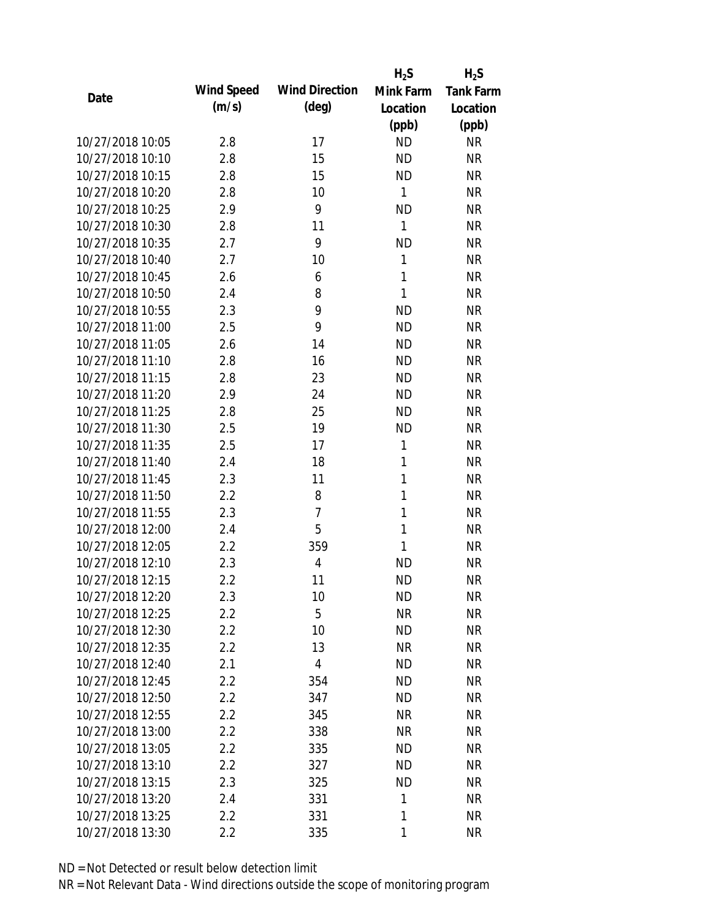|                  |            |                       | $H_2S$       | $H_2S$    |
|------------------|------------|-----------------------|--------------|-----------|
| Date             | Wind Speed | <b>Wind Direction</b> | Mink Farm    | Tank Farm |
|                  | (m/s)      | (deg)                 | Location     | Location  |
|                  |            |                       | (ppb)        | (ppb)     |
| 10/27/2018 10:05 | 2.8        | 17                    | <b>ND</b>    | <b>NR</b> |
| 10/27/2018 10:10 | 2.8        | 15                    | <b>ND</b>    | <b>NR</b> |
| 10/27/2018 10:15 | 2.8        | 15                    | <b>ND</b>    | <b>NR</b> |
| 10/27/2018 10:20 | 2.8        | 10                    | $\mathbf{1}$ | <b>NR</b> |
| 10/27/2018 10:25 | 2.9        | 9                     | <b>ND</b>    | <b>NR</b> |
| 10/27/2018 10:30 | 2.8        | 11                    | 1            | <b>NR</b> |
| 10/27/2018 10:35 | 2.7        | 9                     | <b>ND</b>    | <b>NR</b> |
| 10/27/2018 10:40 | 2.7        | 10                    | $\mathbf{1}$ | <b>NR</b> |
| 10/27/2018 10:45 | 2.6        | 6                     | 1            | <b>NR</b> |
| 10/27/2018 10:50 | 2.4        | 8                     | $\mathbf{1}$ | <b>NR</b> |
| 10/27/2018 10:55 | 2.3        | 9                     | <b>ND</b>    | <b>NR</b> |
| 10/27/2018 11:00 | 2.5        | 9                     | <b>ND</b>    | <b>NR</b> |
| 10/27/2018 11:05 | 2.6        | 14                    | <b>ND</b>    | <b>NR</b> |
| 10/27/2018 11:10 | 2.8        | 16                    | <b>ND</b>    | <b>NR</b> |
| 10/27/2018 11:15 | 2.8        | 23                    | <b>ND</b>    | <b>NR</b> |
| 10/27/2018 11:20 | 2.9        | 24                    | <b>ND</b>    | <b>NR</b> |
| 10/27/2018 11:25 | 2.8        | 25                    | <b>ND</b>    | <b>NR</b> |
| 10/27/2018 11:30 | 2.5        | 19                    | <b>ND</b>    | <b>NR</b> |
| 10/27/2018 11:35 | 2.5        | 17                    | 1            | <b>NR</b> |
| 10/27/2018 11:40 | 2.4        | 18                    | 1            | <b>NR</b> |
| 10/27/2018 11:45 | 2.3        | 11                    | 1            | <b>NR</b> |
| 10/27/2018 11:50 | 2.2        | 8                     | 1            | <b>NR</b> |
| 10/27/2018 11:55 | 2.3        | $\overline{7}$        | 1            | <b>NR</b> |
| 10/27/2018 12:00 | 2.4        | 5                     | 1            | <b>NR</b> |
| 10/27/2018 12:05 | 2.2        | 359                   | 1            | <b>NR</b> |
| 10/27/2018 12:10 | 2.3        | 4                     | <b>ND</b>    | <b>NR</b> |
| 10/27/2018 12:15 | 2.2        | 11                    | <b>ND</b>    | <b>NR</b> |
| 10/27/2018 12:20 | 2.3        | 10                    | ND           | <b>NR</b> |
| 10/27/2018 12:25 | 2.2        | 5                     | <b>NR</b>    | <b>NR</b> |
| 10/27/2018 12:30 | $2.2\,$    | 10                    | <b>ND</b>    | <b>NR</b> |
| 10/27/2018 12:35 | 2.2        | 13                    | <b>NR</b>    | <b>NR</b> |
| 10/27/2018 12:40 | 2.1        | $\overline{4}$        | <b>ND</b>    | <b>NR</b> |
| 10/27/2018 12:45 | 2.2        | 354                   | <b>ND</b>    | <b>NR</b> |
| 10/27/2018 12:50 | 2.2        | 347                   | <b>ND</b>    | <b>NR</b> |
| 10/27/2018 12:55 | 2.2        | 345                   | <b>NR</b>    | <b>NR</b> |
| 10/27/2018 13:00 | 2.2        | 338                   | <b>NR</b>    | <b>NR</b> |
| 10/27/2018 13:05 | 2.2        | 335                   | <b>ND</b>    | <b>NR</b> |
| 10/27/2018 13:10 | 2.2        | 327                   | <b>ND</b>    | <b>NR</b> |
| 10/27/2018 13:15 | 2.3        | 325                   | <b>ND</b>    | <b>NR</b> |
| 10/27/2018 13:20 | 2.4        | 331                   | 1            | <b>NR</b> |
| 10/27/2018 13:25 | 2.2        | 331                   | 1            | <b>NR</b> |
| 10/27/2018 13:30 | 2.2        | 335                   | 1            | <b>NR</b> |
|                  |            |                       |              |           |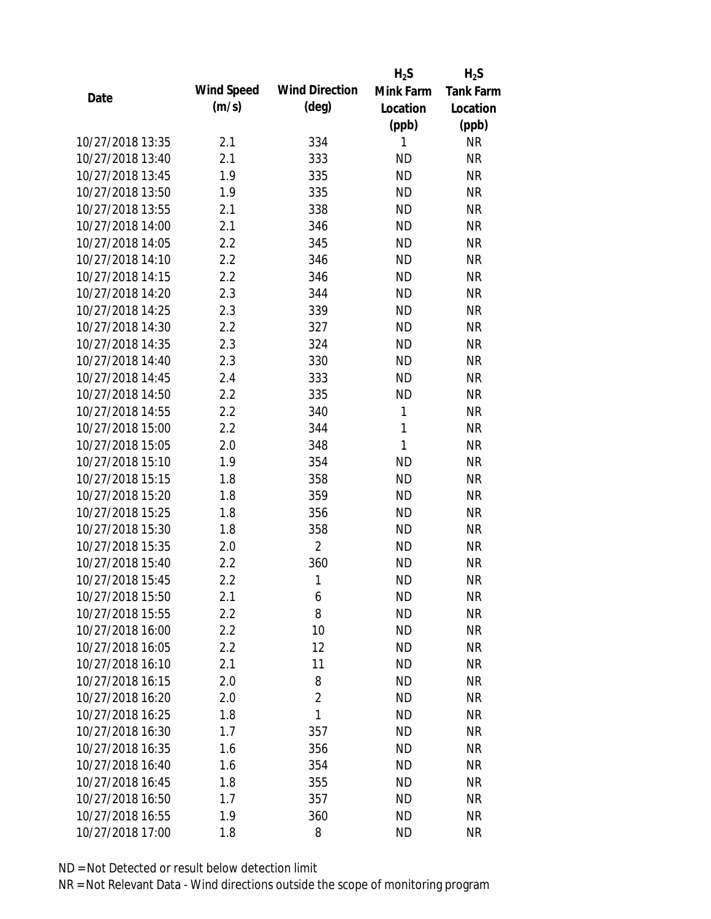|                  |            |                       | $H_2S$       | $H_2S$           |
|------------------|------------|-----------------------|--------------|------------------|
| Date             | Wind Speed | <b>Wind Direction</b> | Mink Farm    | <b>Tank Farm</b> |
|                  | (m/s)      | $(\text{deg})$        | Location     | Location         |
|                  |            |                       | (ppb)        | (ppb)            |
| 10/27/2018 13:35 | 2.1        | 334                   | 1            | NR               |
| 10/27/2018 13:40 | 2.1        | 333                   | <b>ND</b>    | <b>NR</b>        |
| 10/27/2018 13:45 | 1.9        | 335                   | <b>ND</b>    | <b>NR</b>        |
| 10/27/2018 13:50 | 1.9        | 335                   | <b>ND</b>    | <b>NR</b>        |
| 10/27/2018 13:55 | 2.1        | 338                   | <b>ND</b>    | <b>NR</b>        |
| 10/27/2018 14:00 | 2.1        | 346                   | <b>ND</b>    | <b>NR</b>        |
| 10/27/2018 14:05 | 2.2        | 345                   | <b>ND</b>    | <b>NR</b>        |
| 10/27/2018 14:10 | 2.2        | 346                   | <b>ND</b>    | <b>NR</b>        |
| 10/27/2018 14:15 | 2.2        | 346                   | <b>ND</b>    | <b>NR</b>        |
| 10/27/2018 14:20 | 2.3        | 344                   | <b>ND</b>    | <b>NR</b>        |
| 10/27/2018 14:25 | 2.3        | 339                   | <b>ND</b>    | <b>NR</b>        |
| 10/27/2018 14:30 | 2.2        | 327                   | <b>ND</b>    | <b>NR</b>        |
| 10/27/2018 14:35 | 2.3        | 324                   | <b>ND</b>    | <b>NR</b>        |
| 10/27/2018 14:40 | 2.3        | 330                   | <b>ND</b>    | <b>NR</b>        |
| 10/27/2018 14:45 | 2.4        | 333                   | <b>ND</b>    | <b>NR</b>        |
| 10/27/2018 14:50 | 2.2        | 335                   | <b>ND</b>    | <b>NR</b>        |
| 10/27/2018 14:55 | 2.2        | 340                   | $\mathbf{1}$ | <b>NR</b>        |
| 10/27/2018 15:00 | 2.2        | 344                   | $\mathbf{1}$ | <b>NR</b>        |
| 10/27/2018 15:05 | 2.0        | 348                   | $\mathbf{1}$ | <b>NR</b>        |
| 10/27/2018 15:10 | 1.9        | 354                   | <b>ND</b>    | <b>NR</b>        |
| 10/27/2018 15:15 | 1.8        | 358                   | <b>ND</b>    | <b>NR</b>        |
| 10/27/2018 15:20 | 1.8        | 359                   | <b>ND</b>    | <b>NR</b>        |
| 10/27/2018 15:25 | 1.8        | 356                   | <b>ND</b>    | <b>NR</b>        |
| 10/27/2018 15:30 | 1.8        | 358                   | <b>ND</b>    | <b>NR</b>        |
| 10/27/2018 15:35 | 2.0        | $\overline{2}$        | <b>ND</b>    | <b>NR</b>        |
| 10/27/2018 15:40 | 2.2        | 360                   | <b>ND</b>    | <b>NR</b>        |
| 10/27/2018 15:45 | 2.2        | 1                     | <b>ND</b>    | <b>NR</b>        |
| 10/27/2018 15:50 | 2.1        | 6                     | <b>ND</b>    | <b>NR</b>        |
| 10/27/2018 15:55 | 2.2        | 8                     | <b>ND</b>    | <b>NR</b>        |
| 10/27/2018 16:00 | 2.2        | 10                    | <b>ND</b>    | <b>NR</b>        |
| 10/27/2018 16:05 | 2.2        | 12                    | <b>ND</b>    | <b>NR</b>        |
| 10/27/2018 16:10 | 2.1        | 11                    | <b>ND</b>    | NR               |
| 10/27/2018 16:15 | 2.0        | 8                     | <b>ND</b>    | <b>NR</b>        |
| 10/27/2018 16:20 | 2.0        | $\overline{2}$        | <b>ND</b>    | <b>NR</b>        |
| 10/27/2018 16:25 | 1.8        | 1                     | ND           | <b>NR</b>        |
| 10/27/2018 16:30 | 1.7        | 357                   | <b>ND</b>    | <b>NR</b>        |
| 10/27/2018 16:35 | 1.6        | 356                   | ND.          | <b>NR</b>        |
| 10/27/2018 16:40 | 1.6        | 354                   | <b>ND</b>    | <b>NR</b>        |
| 10/27/2018 16:45 | 1.8        | 355                   | <b>ND</b>    | <b>NR</b>        |
| 10/27/2018 16:50 | 1.7        | 357                   | ND           | NR               |
| 10/27/2018 16:55 | 1.9        | 360                   | <b>ND</b>    | <b>NR</b>        |
| 10/27/2018 17:00 | 1.8        | 8                     | <b>ND</b>    | <b>NR</b>        |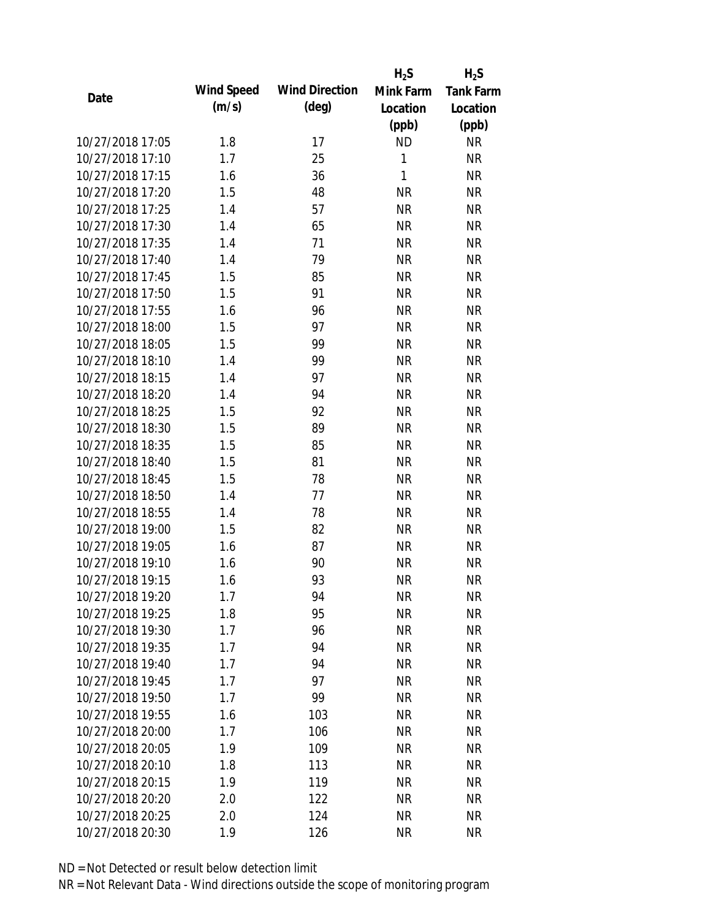|                  |            |                       | $H_2S$       | $H_2S$           |
|------------------|------------|-----------------------|--------------|------------------|
| Date             | Wind Speed | <b>Wind Direction</b> | Mink Farm    | <b>Tank Farm</b> |
|                  | (m/s)      | $(\text{deg})$        | Location     | Location         |
|                  |            |                       | (ppb)        | (ppb)            |
| 10/27/2018 17:05 | 1.8        | 17                    | <b>ND</b>    | <b>NR</b>        |
| 10/27/2018 17:10 | 1.7        | 25                    | 1            | <b>NR</b>        |
| 10/27/2018 17:15 | 1.6        | 36                    | $\mathbf{1}$ | <b>NR</b>        |
| 10/27/2018 17:20 | 1.5        | 48                    | <b>NR</b>    | <b>NR</b>        |
| 10/27/2018 17:25 | 1.4        | 57                    | <b>NR</b>    | <b>NR</b>        |
| 10/27/2018 17:30 | 1.4        | 65                    | <b>NR</b>    | <b>NR</b>        |
| 10/27/2018 17:35 | 1.4        | 71                    | <b>NR</b>    | <b>NR</b>        |
| 10/27/2018 17:40 | 1.4        | 79                    | <b>NR</b>    | <b>NR</b>        |
| 10/27/2018 17:45 | 1.5        | 85                    | <b>NR</b>    | <b>NR</b>        |
| 10/27/2018 17:50 | 1.5        | 91                    | <b>NR</b>    | <b>NR</b>        |
| 10/27/2018 17:55 | 1.6        | 96                    | <b>NR</b>    | <b>NR</b>        |
| 10/27/2018 18:00 | 1.5        | 97                    | <b>NR</b>    | <b>NR</b>        |
| 10/27/2018 18:05 | 1.5        | 99                    | <b>NR</b>    | <b>NR</b>        |
| 10/27/2018 18:10 | 1.4        | 99                    | <b>NR</b>    | <b>NR</b>        |
| 10/27/2018 18:15 | 1.4        | 97                    | <b>NR</b>    | <b>NR</b>        |
| 10/27/2018 18:20 | 1.4        | 94                    | <b>NR</b>    | <b>NR</b>        |
| 10/27/2018 18:25 | 1.5        | 92                    | <b>NR</b>    | <b>NR</b>        |
| 10/27/2018 18:30 | 1.5        | 89                    | <b>NR</b>    | <b>NR</b>        |
| 10/27/2018 18:35 | 1.5        | 85                    | <b>NR</b>    | <b>NR</b>        |
| 10/27/2018 18:40 | 1.5        | 81                    | <b>NR</b>    | <b>NR</b>        |
| 10/27/2018 18:45 | 1.5        | 78                    | <b>NR</b>    | <b>NR</b>        |
| 10/27/2018 18:50 | 1.4        | 77                    | <b>NR</b>    | <b>NR</b>        |
| 10/27/2018 18:55 | 1.4        | 78                    | <b>NR</b>    | <b>NR</b>        |
| 10/27/2018 19:00 | 1.5        | 82                    | <b>NR</b>    | <b>NR</b>        |
| 10/27/2018 19:05 | 1.6        | 87                    | <b>NR</b>    | <b>NR</b>        |
| 10/27/2018 19:10 | 1.6        | 90                    | <b>NR</b>    | <b>NR</b>        |
| 10/27/2018 19:15 | 1.6        | 93                    | <b>NR</b>    | <b>NR</b>        |
| 10/27/2018 19:20 | 1.7        | 94                    | <b>NR</b>    | <b>NR</b>        |
| 10/27/2018 19:25 | 1.8        | 95                    | <b>NR</b>    | <b>NR</b>        |
| 10/27/2018 19:30 | 1.7        | 96                    | <b>NR</b>    | <b>NR</b>        |
| 10/27/2018 19:35 | 1.7        | 94                    | <b>NR</b>    | <b>NR</b>        |
| 10/27/2018 19:40 | 1.7        | 94                    | <b>NR</b>    | <b>NR</b>        |
| 10/27/2018 19:45 | 1.7        | 97                    | <b>NR</b>    | <b>NR</b>        |
| 10/27/2018 19:50 | 1.7        | 99                    | <b>NR</b>    | <b>NR</b>        |
| 10/27/2018 19:55 | 1.6        | 103                   | <b>NR</b>    | <b>NR</b>        |
| 10/27/2018 20:00 | 1.7        | 106                   | <b>NR</b>    | <b>NR</b>        |
| 10/27/2018 20:05 | 1.9        | 109                   | <b>NR</b>    | <b>NR</b>        |
| 10/27/2018 20:10 | 1.8        | 113                   | <b>NR</b>    | <b>NR</b>        |
| 10/27/2018 20:15 | 1.9        | 119                   | <b>NR</b>    | <b>NR</b>        |
| 10/27/2018 20:20 | 2.0        | 122                   | <b>NR</b>    | <b>NR</b>        |
| 10/27/2018 20:25 | 2.0        | 124                   | <b>NR</b>    | <b>NR</b>        |
| 10/27/2018 20:30 | 1.9        | 126                   | <b>NR</b>    | <b>NR</b>        |